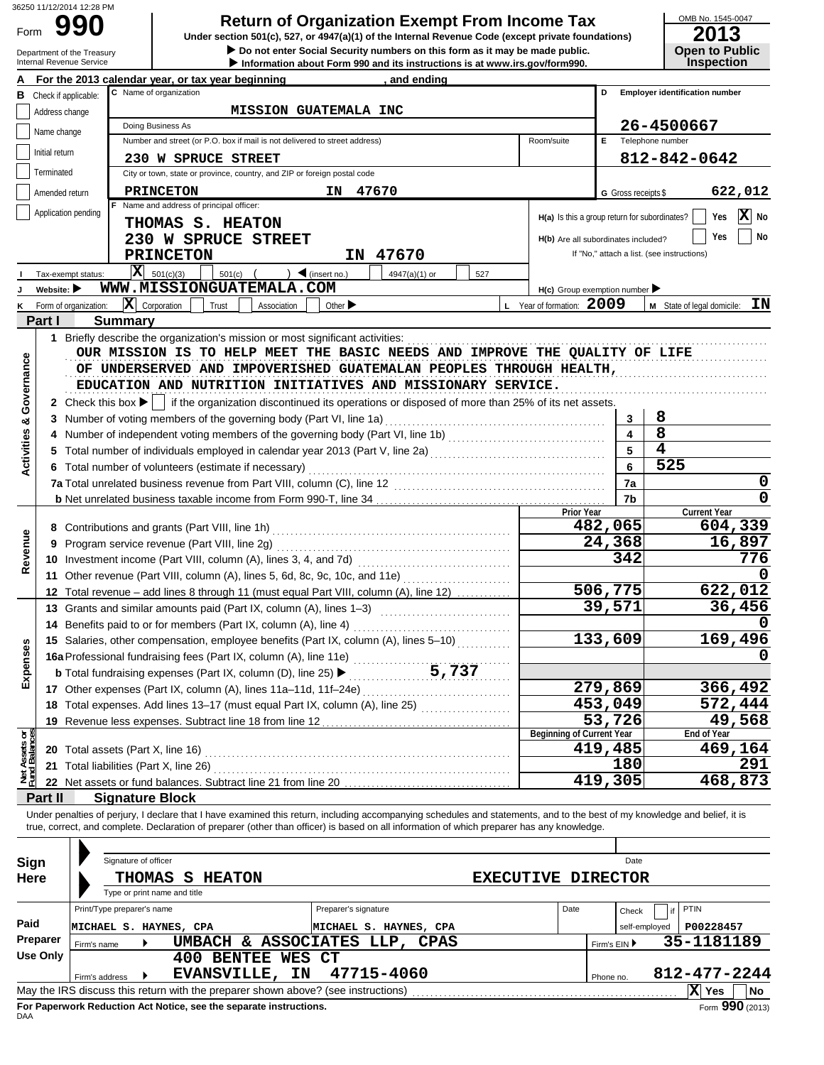|                                    |                                | 36250 11/12/2014 12:28 PM              | <b>Return of Organization Exempt From Income Tax</b>                                                                                                                                                                                                                                                                     |                                               |                              | OMB No. 1545-0047                          |
|------------------------------------|--------------------------------|----------------------------------------|--------------------------------------------------------------------------------------------------------------------------------------------------------------------------------------------------------------------------------------------------------------------------------------------------------------------------|-----------------------------------------------|------------------------------|--------------------------------------------|
| Form                               |                                | Department of the Treasury             | Under section 501(c), 527, or 4947(a)(1) of the Internal Revenue Code (except private foundations)<br>Do not enter Social Security numbers on this form as it may be made public.                                                                                                                                        |                                               |                              | 2013<br><b>Open to Public</b>              |
|                                    |                                | Internal Revenue Service               | Information about Form 990 and its instructions is at www.irs.gov/form990.                                                                                                                                                                                                                                               |                                               |                              | <b>Inspection</b>                          |
|                                    |                                |                                        | For the 2013 calendar year, or tax year beginning<br>and ending<br>C Name of organization                                                                                                                                                                                                                                |                                               | D                            | <b>Employer identification number</b>      |
|                                    |                                | <b>B</b> Check if applicable:          | <b>MISSION GUATEMALA INC</b>                                                                                                                                                                                                                                                                                             |                                               |                              |                                            |
|                                    | Address change                 |                                        | Doing Business As                                                                                                                                                                                                                                                                                                        |                                               |                              | 26-4500667                                 |
|                                    | Name change                    |                                        | Number and street (or P.O. box if mail is not delivered to street address)                                                                                                                                                                                                                                               | Room/suite                                    | Е.                           | Telephone number                           |
|                                    | Initial return                 |                                        | 230 W SPRUCE STREET                                                                                                                                                                                                                                                                                                      |                                               |                              | 812-842-0642                               |
|                                    | Terminated                     |                                        | City or town, state or province, country, and ZIP or foreign postal code                                                                                                                                                                                                                                                 |                                               |                              |                                            |
|                                    | Amended return                 |                                        | 47670<br><b>PRINCETON</b><br>IN                                                                                                                                                                                                                                                                                          |                                               | G Gross receipts \$          | 622,012                                    |
|                                    |                                |                                        | F Name and address of principal officer:                                                                                                                                                                                                                                                                                 |                                               |                              |                                            |
|                                    |                                | Application pending                    | THOMAS S. HEATON                                                                                                                                                                                                                                                                                                         | H(a) Is this a group return for subordinates? |                              | $\mathbf{X}$ No<br>Yes                     |
|                                    |                                |                                        | 230 W SPRUCE STREET                                                                                                                                                                                                                                                                                                      | H(b) Are all subordinates included?           |                              | No<br>Yes                                  |
|                                    |                                |                                        | IN 47670<br><b>PRINCETON</b>                                                                                                                                                                                                                                                                                             |                                               |                              | If "No," attach a list. (see instructions) |
|                                    |                                | Tax-exempt status:                     | $ \mathbf{X} $ 501(c)(3)<br>$\bigcup$ (insert no.)<br>$501(c)$ (<br>4947(a)(1) or<br>527                                                                                                                                                                                                                                 |                                               |                              |                                            |
|                                    | Website: $\blacktriangleright$ |                                        | WWW.MISSIONGUATEMALA.COM                                                                                                                                                                                                                                                                                                 | $H(c)$ Group exemption number                 |                              |                                            |
|                                    |                                | Form of organization:                  | X Corporation<br>Trust<br>Other $\blacktriangleright$<br>Association                                                                                                                                                                                                                                                     | L Year of formation: $2009$                   |                              | ΙN<br>M State of legal domicile:           |
|                                    | Part I                         | Summary                                |                                                                                                                                                                                                                                                                                                                          |                                               |                              |                                            |
| <b>Activities &amp; Governance</b> |                                |                                        | OUR MISSION IS TO HELP MEET THE BASIC NEEDS AND IMPROVE THE QUALITY OF LIFE<br>OF UNDERSERVED AND IMPOVERISHED GUATEMALAN PEOPLES THROUGH HEALTH,<br>EDUCATION AND NUTRITION INITIATIVES AND MISSIONARY SERVICE.                                                                                                         |                                               |                              |                                            |
|                                    |                                |                                        | 2 Check this box $\blacktriangleright$   if the organization discontinued its operations or disposed of more than 25% of its net assets.                                                                                                                                                                                 |                                               |                              |                                            |
|                                    |                                |                                        | 3 Number of voting members of the governing body (Part VI, line 1a)                                                                                                                                                                                                                                                      |                                               | 3<br>$\overline{\mathbf{4}}$ | 8<br>8                                     |
|                                    |                                |                                        | 4 Number of independent voting members of the governing body (Part VI, line 1b) [11] [11] Number of independent voting members of the governing body (Part VI, line 1b)<br>Total number of individuals employed in calendar year 2013 (Part V, line 2a) [[[[[[[[[[[[[[[[[[[[[[[[[[[[[[[[                                 |                                               | 5                            | 4                                          |
|                                    |                                |                                        | 6 Total number of volunteers (estimate if necessary)                                                                                                                                                                                                                                                                     |                                               | $6\phantom{a}$               | 525                                        |
|                                    |                                |                                        |                                                                                                                                                                                                                                                                                                                          |                                               | 7a                           | 0                                          |
|                                    |                                |                                        |                                                                                                                                                                                                                                                                                                                          |                                               | 7b                           | 0                                          |
|                                    |                                |                                        |                                                                                                                                                                                                                                                                                                                          | Prior Year                                    |                              | <b>Current Year</b>                        |
|                                    |                                |                                        |                                                                                                                                                                                                                                                                                                                          |                                               | 482,065                      | 604,339                                    |
| Revenue                            |                                |                                        |                                                                                                                                                                                                                                                                                                                          |                                               | 24,368                       | 16,897                                     |
|                                    |                                |                                        |                                                                                                                                                                                                                                                                                                                          |                                               | 342                          | 776                                        |
|                                    |                                |                                        | 11 Other revenue (Part VIII, column (A), lines 5, 6d, 8c, 9c, 10c, and 11e)                                                                                                                                                                                                                                              |                                               |                              |                                            |
|                                    |                                |                                        | 12 Total revenue – add lines 8 through 11 (must equal Part VIII, column (A), line 12)                                                                                                                                                                                                                                    |                                               | 506,775<br>39,571            | 622,012<br>36,456                          |
|                                    |                                |                                        | 13 Grants and similar amounts paid (Part IX, column (A), lines 1-3)<br>14 Benefits paid to or for members (Part IX, column (A), line 4)                                                                                                                                                                                  |                                               |                              |                                            |
|                                    |                                |                                        | 15 Salaries, other compensation, employee benefits (Part IX, column (A), lines 5-10)                                                                                                                                                                                                                                     |                                               | 133,609                      | 169,496                                    |
| Expenses                           |                                |                                        |                                                                                                                                                                                                                                                                                                                          |                                               |                              |                                            |
|                                    |                                |                                        | 5,737<br><b>b</b> Total fundraising expenses (Part IX, column (D), line 25) $\blacktriangleright$                                                                                                                                                                                                                        |                                               |                              |                                            |
|                                    |                                |                                        |                                                                                                                                                                                                                                                                                                                          |                                               | 279,869                      | 366,492                                    |
|                                    |                                |                                        | 18 Total expenses. Add lines 13-17 (must equal Part IX, column (A), line 25)                                                                                                                                                                                                                                             |                                               | 453,049                      | 572,444                                    |
|                                    |                                |                                        |                                                                                                                                                                                                                                                                                                                          |                                               | 53,726                       | 49,568                                     |
|                                    |                                |                                        |                                                                                                                                                                                                                                                                                                                          | <b>Beginning of Current Year</b>              |                              | End of Year                                |
| Net Assets or<br>Fund Balances     |                                | 20 Total assets (Part X, line 16)      |                                                                                                                                                                                                                                                                                                                          |                                               | 419,485                      | 469,164                                    |
|                                    |                                | 21 Total liabilities (Part X, line 26) |                                                                                                                                                                                                                                                                                                                          |                                               | 180<br>419,305               | 291<br>468,873                             |
|                                    | Part II                        |                                        | <b>Signature Block</b>                                                                                                                                                                                                                                                                                                   |                                               |                              |                                            |
|                                    |                                |                                        |                                                                                                                                                                                                                                                                                                                          |                                               |                              |                                            |
|                                    |                                |                                        | Under penalties of perjury, I declare that I have examined this return, including accompanying schedules and statements, and to the best of my knowledge and belief, it is<br>true, correct, and complete. Declaration of preparer (other than officer) is based on all information of which preparer has any knowledge. |                                               |                              |                                            |
| Sign                               |                                | Signature of officer                   |                                                                                                                                                                                                                                                                                                                          |                                               | Date                         |                                            |
| <b>Here</b>                        |                                |                                        | THOMAS S HEATON                                                                                                                                                                                                                                                                                                          | <b>EXECUTIVE DIRECTOR</b>                     |                              |                                            |
|                                    |                                |                                        | Type or print name and title                                                                                                                                                                                                                                                                                             |                                               |                              |                                            |
|                                    |                                | Print/Type preparer's name             | Preparer's signature                                                                                                                                                                                                                                                                                                     | Date                                          | Check                        | <b>PTIN</b><br>if                          |
| Paid                               |                                | MICHAEL S. HAYNES, CPA                 | MICHAEL S. HAYNES, CPA                                                                                                                                                                                                                                                                                                   |                                               |                              | self-employed<br>P00228457                 |
|                                    | <b>Preparer</b>                | Firm's name                            | UMBACH & ASSOCIATES LLP, CPAS                                                                                                                                                                                                                                                                                            |                                               | Firm's EIN ▶                 | 35-1181189                                 |
|                                    | <b>Use Only</b>                |                                        | 400 BENTEE WES CT                                                                                                                                                                                                                                                                                                        |                                               |                              |                                            |
|                                    |                                | Firm's address                         | 47715-4060<br>EVANSVILLE, IN                                                                                                                                                                                                                                                                                             |                                               | Phone no.                    | 812-477-2244                               |
|                                    |                                |                                        | May the IRS discuss this return with the preparer shown above? (see instructions)                                                                                                                                                                                                                                        |                                               |                              | X Yes<br>No                                |

|                                                                                          |                            | Type of print hand and the |  |                                                                    |                               |  |      |              |               |            |                 |
|------------------------------------------------------------------------------------------|----------------------------|----------------------------|--|--------------------------------------------------------------------|-------------------------------|--|------|--------------|---------------|------------|-----------------|
|                                                                                          | Print/Type preparer's name |                            |  |                                                                    | Preparer's signature          |  | Date |              | Check         | $if$ PTIN  |                 |
| Paid                                                                                     | MICHAEL S. HAYNES, CPA     |                            |  |                                                                    | MICHAEL S. HAYNES, CPA        |  |      |              | self-employed | P00228457  |                 |
| Preparer                                                                                 | Firm's name                |                            |  |                                                                    | UMBACH & ASSOCIATES LLP, CPAS |  |      | Firm's EIN ▶ |               | 35-1181189 |                 |
| Use Only                                                                                 |                            |                            |  | 400 BENTEE WES CT                                                  |                               |  |      |              |               |            |                 |
|                                                                                          | Firm's address             |                            |  |                                                                    | EVANSVILLE, IN 47715-4060     |  |      | Phone no.    |               |            | 812-477-2244    |
| May the IRS discuss this return with the preparer shown above? (see instructions)<br>Yes |                            |                            |  |                                                                    |                               |  | No   |              |               |            |                 |
| <b>DAA</b>                                                                               |                            |                            |  | For Paperwork Reduction Act Notice, see the separate instructions. |                               |  |      |              |               |            | Form 990 (2013) |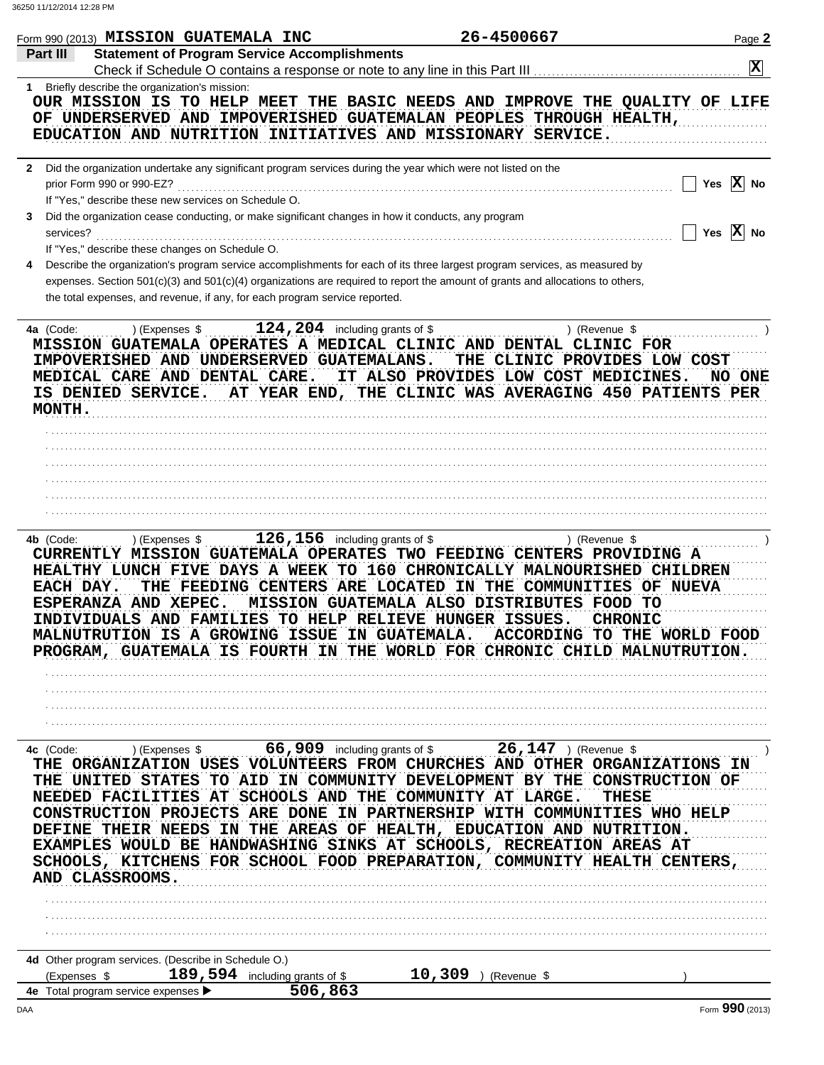|                     | Form 990 (2013) MISSION GUATEMALA INC                                                                                                                                                                                                                                                                                                       |                                                      | 26-4500667             |                                                                                                                                                                                                                                                                      | Page 2          |
|---------------------|---------------------------------------------------------------------------------------------------------------------------------------------------------------------------------------------------------------------------------------------------------------------------------------------------------------------------------------------|------------------------------------------------------|------------------------|----------------------------------------------------------------------------------------------------------------------------------------------------------------------------------------------------------------------------------------------------------------------|-----------------|
| Part III            | <b>Statement of Program Service Accomplishments</b>                                                                                                                                                                                                                                                                                         |                                                      |                        |                                                                                                                                                                                                                                                                      |                 |
|                     |                                                                                                                                                                                                                                                                                                                                             |                                                      |                        |                                                                                                                                                                                                                                                                      | $\mathbf{x}$    |
|                     | 1 Briefly describe the organization's mission:<br>OF UNDERSERVED AND IMPOVERISHED GUATEMALAN PEOPLES THROUGH HEALTH,<br>EDUCATION AND NUTRITION INITIATIVES AND MISSIONARY SERVICE.                                                                                                                                                         |                                                      |                        | OUR MISSION IS TO HELP MEET THE BASIC NEEDS AND IMPROVE THE QUALITY OF LIFE                                                                                                                                                                                          |                 |
|                     | 2 Did the organization undertake any significant program services during the year which were not listed on the<br>prior Form 990 or 990-EZ?<br>If "Yes," describe these new services on Schedule O.                                                                                                                                         |                                                      |                        |                                                                                                                                                                                                                                                                      | Yes $X$ No      |
| 3<br>services?      | Did the organization cease conducting, or make significant changes in how it conducts, any program                                                                                                                                                                                                                                          |                                                      |                        |                                                                                                                                                                                                                                                                      | Yes $X$ No      |
|                     | If "Yes," describe these changes on Schedule O.                                                                                                                                                                                                                                                                                             |                                                      |                        |                                                                                                                                                                                                                                                                      |                 |
|                     | Describe the organization's program service accomplishments for each of its three largest program services, as measured by<br>expenses. Section 501(c)(3) and 501(c)(4) organizations are required to report the amount of grants and allocations to others,<br>the total expenses, and revenue, if any, for each program service reported. |                                                      |                        |                                                                                                                                                                                                                                                                      |                 |
| 4a (Code:<br>MONTH. | ) (Expenses \$<br>MISSION GUATEMALA OPERATES A MEDICAL CLINIC AND DENTAL CLINIC FOR<br>IMPOVERISHED AND UNDERSERVED GUATEMALANS.<br>MEDICAL CARE AND DENTAL CARE.<br>IS DENIED SERVICE.                                                                                                                                                     | 124, 204 including grants of $$$                     |                        | ) (Revenue \$<br>THE CLINIC PROVIDES LOW COST<br>IT ALSO PROVIDES LOW COST MEDICINES.<br>AT YEAR END, THE CLINIC WAS AVERAGING 450 PATIENTS PER                                                                                                                      | NO ONE          |
|                     |                                                                                                                                                                                                                                                                                                                                             |                                                      |                        |                                                                                                                                                                                                                                                                      |                 |
|                     |                                                                                                                                                                                                                                                                                                                                             |                                                      |                        |                                                                                                                                                                                                                                                                      |                 |
|                     |                                                                                                                                                                                                                                                                                                                                             |                                                      |                        |                                                                                                                                                                                                                                                                      |                 |
|                     |                                                                                                                                                                                                                                                                                                                                             |                                                      |                        |                                                                                                                                                                                                                                                                      |                 |
|                     |                                                                                                                                                                                                                                                                                                                                             |                                                      |                        |                                                                                                                                                                                                                                                                      |                 |
| EACH DAY.           | CURRENTLY MISSION GUATEMALA OPERATES TWO FEEDING CENTERS PROVIDING A<br>ESPERANZA AND XEPEC.<br>INDIVIDUALS AND FAMILIES TO HELP RELIEVE HUNGER ISSUES.<br>MALNUTRUTION IS A GROWING ISSUE IN GUATEMALA.                                                                                                                                    | MISSION GUATEMALA ALSO DISTRIBUTES FOOD TO           |                        | HEALTHY LUNCH FIVE DAYS A WEEK TO 160 CHRONICALLY MALNOURISHED CHILDREN<br>THE FEEDING CENTERS ARE LOCATED IN THE COMMUNITIES OF NUEVA<br><b>CHRONIC</b><br>ACCORDING TO THE WORLD FOOD<br>PROGRAM, GUATEMALA IS FOURTH IN THE WORLD FOR CHRONIC CHILD MALNUTRUTION. |                 |
|                     |                                                                                                                                                                                                                                                                                                                                             |                                                      |                        |                                                                                                                                                                                                                                                                      |                 |
|                     |                                                                                                                                                                                                                                                                                                                                             |                                                      |                        |                                                                                                                                                                                                                                                                      |                 |
| 4c (Code:           | ) (Expenses \$<br>NEEDED FACILITIES AT SCHOOLS AND THE COMMUNITY AT LARGE.                                                                                                                                                                                                                                                                  | 66, 909 including grants of \$ 26, 147 ) (Revenue \$ |                        | THE ORGANIZATION USES VOLUNTEERS FROM CHURCHES AND OTHER ORGANIZATIONS IN<br>THE UNITED STATES TO AID IN COMMUNITY DEVELOPMENT BY THE CONSTRUCTION OF                                                                                                                |                 |
|                     | DEFINE THEIR NEEDS IN THE AREAS OF HEALTH, EDUCATION AND NUTRITION.<br>EXAMPLES WOULD BE HANDWASHING SINKS AT SCHOOLS, RECREATION AREAS AT<br>AND CLASSROOMS.                                                                                                                                                                               |                                                      |                        | <b>THESE</b><br>CONSTRUCTION PROJECTS ARE DONE IN PARTNERSHIP WITH COMMUNITIES WHO HELP<br>SCHOOLS, KITCHENS FOR SCHOOL FOOD PREPARATION, COMMUNITY HEALTH CENTERS,                                                                                                  |                 |
|                     |                                                                                                                                                                                                                                                                                                                                             |                                                      |                        |                                                                                                                                                                                                                                                                      |                 |
|                     |                                                                                                                                                                                                                                                                                                                                             |                                                      |                        |                                                                                                                                                                                                                                                                      |                 |
| (Expenses \$        | 4d Other program services. (Describe in Schedule O.)                                                                                                                                                                                                                                                                                        | 189, 594 including grants of \$                      | $10,309$ ) (Revenue \$ |                                                                                                                                                                                                                                                                      |                 |
|                     | 4e Total program service expenses                                                                                                                                                                                                                                                                                                           | 506,863                                              |                        |                                                                                                                                                                                                                                                                      | Form 990 (2013) |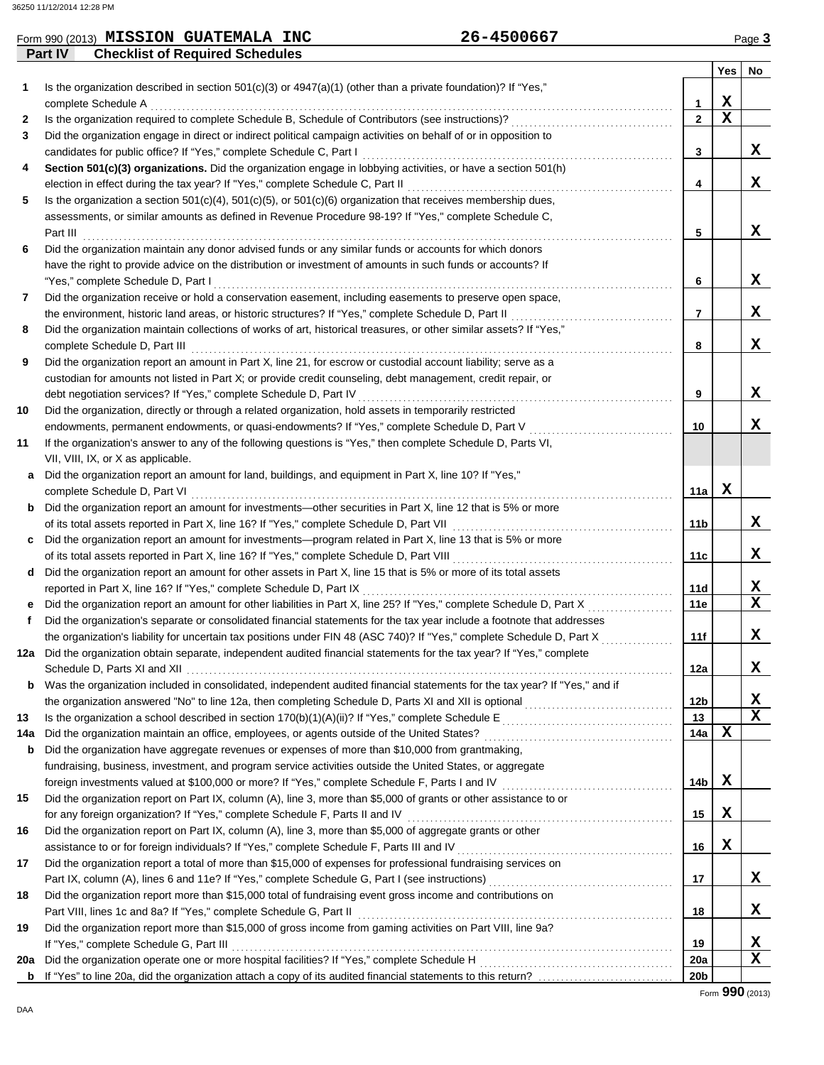|     |                |                                         | Form 990 (2013) MISSION GUATEMALA INC                               |                                                                                                                      | 26-4500667                                                                                                                 |                 |        | Page 3      |
|-----|----------------|-----------------------------------------|---------------------------------------------------------------------|----------------------------------------------------------------------------------------------------------------------|----------------------------------------------------------------------------------------------------------------------------|-----------------|--------|-------------|
|     | <b>Part IV</b> |                                         | <b>Checklist of Required Schedules</b>                              |                                                                                                                      |                                                                                                                            |                 |        |             |
|     |                |                                         |                                                                     |                                                                                                                      |                                                                                                                            |                 | Yes No |             |
| 1.  |                |                                         |                                                                     | Is the organization described in section $501(c)(3)$ or $4947(a)(1)$ (other than a private foundation)? If "Yes,"    |                                                                                                                            |                 |        |             |
|     |                | complete Schedule A                     |                                                                     |                                                                                                                      |                                                                                                                            | 1               | X      |             |
| 2   |                |                                         |                                                                     | Is the organization required to complete Schedule B, Schedule of Contributors (see instructions)?                    |                                                                                                                            | $\overline{2}$  | X      |             |
| 3   |                |                                         |                                                                     | Did the organization engage in direct or indirect political campaign activities on behalf of or in opposition to     |                                                                                                                            |                 |        |             |
|     |                |                                         | candidates for public office? If "Yes," complete Schedule C, Part I |                                                                                                                      |                                                                                                                            | 3               |        | x           |
| 4   |                |                                         |                                                                     | Section 501(c)(3) organizations. Did the organization engage in lobbying activities, or have a section 501(h)        |                                                                                                                            |                 |        |             |
|     |                |                                         |                                                                     | election in effect during the tax year? If "Yes," complete Schedule C, Part II                                       |                                                                                                                            | 4               |        | x           |
| 5   |                |                                         |                                                                     | Is the organization a section $501(c)(4)$ , $501(c)(5)$ , or $501(c)(6)$ organization that receives membership dues, |                                                                                                                            |                 |        |             |
|     |                |                                         |                                                                     | assessments, or similar amounts as defined in Revenue Procedure 98-19? If "Yes," complete Schedule C,                |                                                                                                                            |                 |        |             |
|     | Part III       |                                         |                                                                     |                                                                                                                      |                                                                                                                            | 5               |        | x           |
| 6   |                |                                         |                                                                     | Did the organization maintain any donor advised funds or any similar funds or accounts for which donors              |                                                                                                                            |                 |        |             |
|     |                |                                         |                                                                     | have the right to provide advice on the distribution or investment of amounts in such funds or accounts? If          |                                                                                                                            |                 |        |             |
|     |                | "Yes," complete Schedule D, Part I      |                                                                     |                                                                                                                      |                                                                                                                            | 6               |        | X           |
| 7   |                |                                         |                                                                     | Did the organization receive or hold a conservation easement, including easements to preserve open space,            |                                                                                                                            |                 |        |             |
|     |                |                                         |                                                                     | the environment, historic land areas, or historic structures? If "Yes," complete Schedule D, Part II                 |                                                                                                                            | 7               |        | x           |
| 8   |                |                                         |                                                                     | Did the organization maintain collections of works of art, historical treasures, or other similar assets? If "Yes,"  |                                                                                                                            |                 |        |             |
|     |                | complete Schedule D, Part III           |                                                                     |                                                                                                                      |                                                                                                                            | 8               |        | x           |
| 9   |                |                                         |                                                                     | Did the organization report an amount in Part X, line 21, for escrow or custodial account liability; serve as a      |                                                                                                                            |                 |        |             |
|     |                |                                         |                                                                     | custodian for amounts not listed in Part X; or provide credit counseling, debt management, credit repair, or         |                                                                                                                            |                 |        |             |
|     |                |                                         | debt negotiation services? If "Yes," complete Schedule D, Part IV   |                                                                                                                      |                                                                                                                            | 9               |        | x           |
| 10  |                |                                         |                                                                     | Did the organization, directly or through a related organization, hold assets in temporarily restricted              |                                                                                                                            |                 |        |             |
|     |                |                                         |                                                                     | endowments, permanent endowments, or quasi-endowments? If "Yes," complete Schedule D, Part V                         |                                                                                                                            | 10              |        | x           |
| 11  |                |                                         |                                                                     | If the organization's answer to any of the following questions is "Yes," then complete Schedule D, Parts VI,         |                                                                                                                            |                 |        |             |
|     |                | VII, VIII, IX, or X as applicable.      |                                                                     |                                                                                                                      |                                                                                                                            |                 |        |             |
| а   |                |                                         |                                                                     | Did the organization report an amount for land, buildings, and equipment in Part X, line 10? If "Yes,"               |                                                                                                                            |                 |        |             |
|     |                | complete Schedule D, Part VI            |                                                                     |                                                                                                                      |                                                                                                                            | 11a             | X      |             |
| b   |                |                                         |                                                                     | Did the organization report an amount for investments—other securities in Part X, line 12 that is 5% or more         |                                                                                                                            |                 |        |             |
|     |                |                                         |                                                                     | of its total assets reported in Part X, line 16? If "Yes," complete Schedule D, Part VII                             |                                                                                                                            | 11 <sub>b</sub> |        | x           |
| c   |                |                                         |                                                                     | Did the organization report an amount for investments—program related in Part X, line 13 that is 5% or more          |                                                                                                                            |                 |        |             |
|     |                |                                         |                                                                     | of its total assets reported in Part X, line 16? If "Yes," complete Schedule D, Part VIII                            |                                                                                                                            | 11c             |        | X           |
| d   |                |                                         |                                                                     | Did the organization report an amount for other assets in Part X, line 15 that is 5% or more of its total assets     |                                                                                                                            |                 |        |             |
|     |                |                                         | reported in Part X, line 16? If "Yes," complete Schedule D, Part IX |                                                                                                                      |                                                                                                                            | 11d             |        | x           |
|     |                |                                         |                                                                     |                                                                                                                      | Did the organization report an amount for other liabilities in Part X, line 25? If "Yes," complete Schedule D, Part X      | 11e             |        | X           |
|     |                |                                         |                                                                     |                                                                                                                      | Did the organization's separate or consolidated financial statements for the tax year include a footnote that addresses    |                 |        |             |
|     |                |                                         |                                                                     |                                                                                                                      | the organization's liability for uncertain tax positions under FIN 48 (ASC 740)? If "Yes," complete Schedule D, Part X     | 11f             |        | Χ           |
|     |                |                                         |                                                                     |                                                                                                                      | 12a Did the organization obtain separate, independent audited financial statements for the tax year? If "Yes," complete    |                 |        |             |
|     |                |                                         |                                                                     |                                                                                                                      |                                                                                                                            | 12a             |        | x           |
| b   |                |                                         |                                                                     |                                                                                                                      | Was the organization included in consolidated, independent audited financial statements for the tax year? If "Yes," and if |                 |        |             |
|     |                |                                         |                                                                     |                                                                                                                      |                                                                                                                            | 12b             |        | x           |
| 13  |                |                                         |                                                                     |                                                                                                                      |                                                                                                                            | 13              |        | x           |
| 14a |                |                                         |                                                                     | Did the organization maintain an office, employees, or agents outside of the United States?                          |                                                                                                                            | 14a             | x      |             |
| b   |                |                                         |                                                                     | Did the organization have aggregate revenues or expenses of more than \$10,000 from grantmaking,                     |                                                                                                                            |                 |        |             |
|     |                |                                         |                                                                     | fundraising, business, investment, and program service activities outside the United States, or aggregate            |                                                                                                                            |                 |        |             |
|     |                |                                         |                                                                     |                                                                                                                      | foreign investments valued at \$100,000 or more? If "Yes," complete Schedule F, Parts I and IV [[[[[[[[[[[[[[[[            | 14b             | х      |             |
| 15  |                |                                         |                                                                     |                                                                                                                      | Did the organization report on Part IX, column (A), line 3, more than \$5,000 of grants or other assistance to or          |                 |        |             |
|     |                |                                         |                                                                     | for any foreign organization? If "Yes," complete Schedule F, Parts II and IV                                         |                                                                                                                            | 15              | X      |             |
| 16  |                |                                         |                                                                     | Did the organization report on Part IX, column (A), line 3, more than \$5,000 of aggregate grants or other           |                                                                                                                            |                 |        |             |
|     |                |                                         |                                                                     |                                                                                                                      |                                                                                                                            |                 | X      |             |
|     |                |                                         |                                                                     |                                                                                                                      | assistance to or for foreign individuals? If "Yes," complete Schedule F, Parts III and IV [[[[[[[[[[[[[[[[[[[              | 16              |        |             |
| 17  |                |                                         |                                                                     | Did the organization report a total of more than \$15,000 of expenses for professional fundraising services on       |                                                                                                                            |                 |        |             |
|     |                |                                         |                                                                     |                                                                                                                      |                                                                                                                            | 17              |        | X           |
| 18  |                |                                         |                                                                     | Did the organization report more than \$15,000 total of fundraising event gross income and contributions on          |                                                                                                                            |                 |        |             |
|     |                |                                         | Part VIII, lines 1c and 8a? If "Yes," complete Schedule G, Part II  |                                                                                                                      |                                                                                                                            | 18              |        | X           |
| 19  |                |                                         |                                                                     | Did the organization report more than \$15,000 of gross income from gaming activities on Part VIII, line 9a?         |                                                                                                                            |                 |        |             |
|     |                | If "Yes," complete Schedule G, Part III |                                                                     |                                                                                                                      |                                                                                                                            | 19              |        | X           |
| 20a |                |                                         |                                                                     |                                                                                                                      |                                                                                                                            | 20a             |        | $\mathbf x$ |
| b   |                |                                         |                                                                     |                                                                                                                      |                                                                                                                            | 20 <sub>b</sub> |        |             |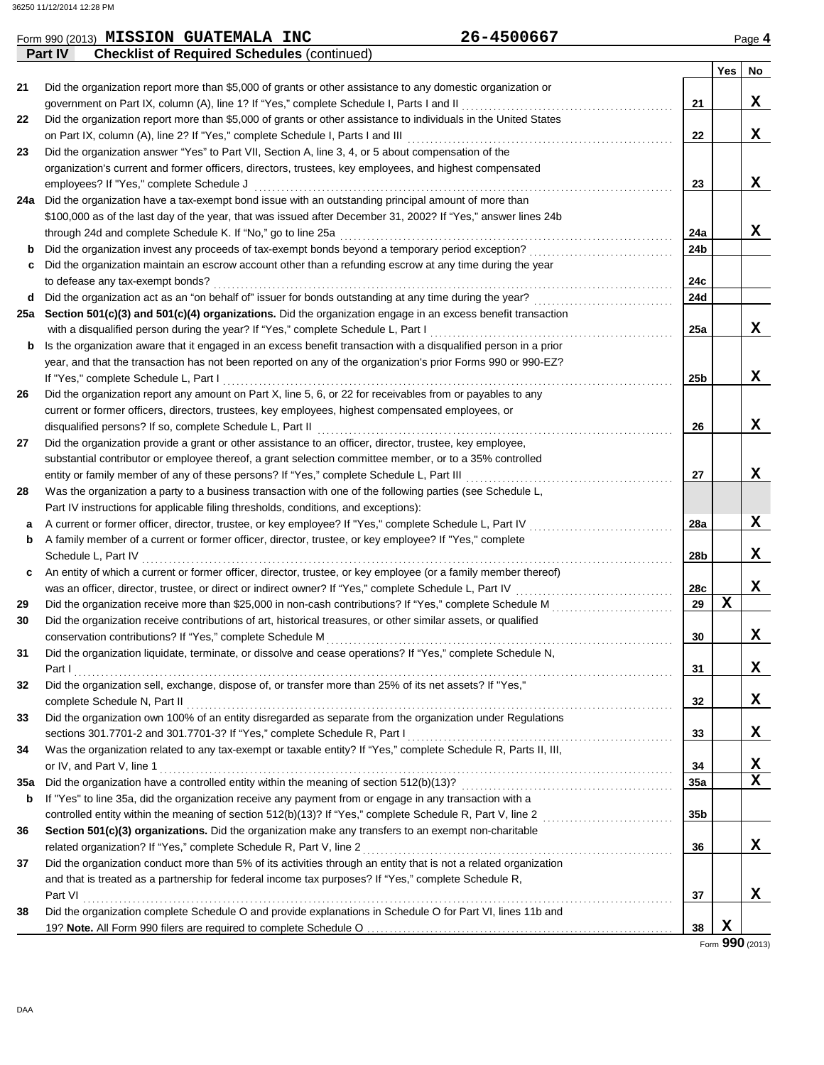#### **Yes No** Form 990 (2013) Page **4 MISSION GUATEMALA INC 26-4500667 Part IV** Checklist of Required Schedules (continued) **21 22 23 24a 24b 24c 24d** to defease any tax-exempt bonds? . . . . . . . . . . . . . . . . . . . . . . . . . . . . . . . . . . . . . . . . . . . . . . . . . . . . . . . . . . . . . . . . . . . . . . . . . . . . . . . . . . . . . . . . . . . . . . . . . . . . . . Did the organization maintain an escrow account other than a refunding escrow at any time during the year **c** Did the organization invest any proceeds of tax-exempt bonds beyond a temporary period exception? . . . . . . . . . . . . . . . . . . . . . . . . . . . . . . . . **b** through 24d and complete Schedule K. If "No," go to line 25a . . . . . . . . . . . . . . . . . . . . . . . . . . . . . . . . . . . . . . . . . . . . . . . . . . . . . . . . . . . . . . . . . . . . . . . . . . \$100,000 as of the last day of the year, that was issued after December 31, 2002? If "Yes," answer lines 24b Did the organization have a tax-exempt bond issue with an outstanding principal amount of more than **24a** organization's current and former officers, directors, trustees, key employees, and highest compensated Did the organization answer "Yes" to Part VII, Section A, line 3, 4, or 5 about compensation of the Did the organization report more than \$5,000 of grants or other assistance to individuals in the United States Did the organization report more than \$5,000 of grants or other assistance to any domestic organization or **23 22 21** government on Part IX, column (A), line 1? If "Yes," complete Schedule I, Parts I and II . . . . . . . . . . . . . . . . . . . . . . . . . . . . . . . . . . . . . . . . . . . . . . . on Part IX, column (A), line 2? If "Yes," complete Schedule I, Parts I and III . . . . . . . . . . . . . . . . . . . . . . . . . . . . . . . . . . . . . . . . . . . . . . . . . . . . . . . . . . . employees? If "Yes," complete Schedule J . . . . . . . . . . . . . . . . . . . . . . . . . . . . . . . . . . . . . . . . . . . . . . . . . . . . . . . . . . . . . . . . . . . . . . . . . . . . . . . . . . . . . . . . . . . . .

| d Did the organization act as an "on behalf of" issuer for bonds outstanding at any time during the year?                 |
|---------------------------------------------------------------------------------------------------------------------------|
| 25a Section 501(c)(3) and 501(c)(4) organizations. Did the organization engage in an excess benefit transaction           |
| with a disqualified person during the year? If "Yes," complete Schedule L, Part I                                         |
| <b>b</b> Is the organization aware that it engaged in an excess benefit transaction with a disqualified person in a prior |

|                                       | year, and that the transaction has not been reported on any of the organization's prior Forms 990 or 990-EZ? |  |  |  |  |  |
|---------------------------------------|--------------------------------------------------------------------------------------------------------------|--|--|--|--|--|
| If "Yes," complete Schedule L, Part I |                                                                                                              |  |  |  |  |  |
| 26                                    | Did the organization report any amount on Part X, line 5, 6, or 22 for receivables from or payables to any   |  |  |  |  |  |
|                                       | current or former officers, directors, trustees, key employees, highest compensated employees, or            |  |  |  |  |  |
|                                       | disqualified persons? If so, complete Schedule L, Part II                                                    |  |  |  |  |  |

| -27 | Did the organization provide a grant or other assistance to an officer, director, trustee, key employee,  |
|-----|-----------------------------------------------------------------------------------------------------------|
|     | substantial contributor or employee thereof, a grant selection committee member, or to a 35% controlled   |
|     | entity or family member of any of these persons? If "Yes," complete Schedule L, Part III                  |
| 28  | Was the organization a party to a business transaction with one of the following parties (see Schedule L, |
|     | Part IV instructions for applicable filing thresholds, conditions, and exceptions):                       |
|     | A current or former officer, director, trustee, or key employee? If "Yes," complete Schedule L, Part IV   |

| a   | A current or former officer, director, trustee, or key employee? If "Yes," complete Schedule L, Part IV         | 28a             |   | х |
|-----|-----------------------------------------------------------------------------------------------------------------|-----------------|---|---|
| b   | A family member of a current or former officer, director, trustee, or key employee? If "Yes," complete          |                 |   |   |
|     | Schedule L, Part IV                                                                                             | 28 <sub>b</sub> |   | x |
| С   | An entity of which a current or former officer, director, trustee, or key employee (or a family member thereof) |                 |   |   |
|     | was an officer, director, trustee, or direct or indirect owner? If "Yes," complete Schedule L, Part IV          | 28c             |   | x |
| 29  | Did the organization receive more than \$25,000 in non-cash contributions? If "Yes," complete Schedule M        | 29              | x |   |
| 30  | Did the organization receive contributions of art, historical treasures, or other similar assets, or qualified  |                 |   |   |
|     | conservation contributions? If "Yes," complete Schedule M                                                       | 30              |   | х |
| 31  | Did the organization liquidate, terminate, or dissolve and cease operations? If "Yes," complete Schedule N,     |                 |   |   |
|     | Part I                                                                                                          | 31              |   | х |
| 32  | Did the organization sell, exchange, dispose of, or transfer more than 25% of its net assets? If "Yes,"         |                 |   |   |
|     | complete Schedule N, Part II                                                                                    | 32              |   | x |
| 33  | Did the organization own 100% of an entity disregarded as separate from the organization under Regulations      |                 |   |   |
|     | sections 301.7701-2 and 301.7701-3? If "Yes," complete Schedule R, Part I                                       | 33              |   | x |
| 34  | Was the organization related to any tax-exempt or taxable entity? If "Yes," complete Schedule R, Parts II, III, |                 |   |   |
|     | or IV, and Part V, line 1                                                                                       | 34              |   | х |
| 35а | Did the organization have a controlled entity within the meaning of section 512(b)(13)?                         | 35a             |   | х |

|    | <b>JJA</b> DIU the Ulganization have a controlled entity within the meaning of Section JTZ(D)(TJ):               | vva             |  |
|----|------------------------------------------------------------------------------------------------------------------|-----------------|--|
| b  | If "Yes" to line 35a, did the organization receive any payment from or engage in any transaction with a          |                 |  |
|    | controlled entity within the meaning of section 512(b)(13)? If "Yes," complete Schedule R, Part V, line 2        | 35 <sub>b</sub> |  |
| 36 | Section 501(c)(3) organizations. Did the organization make any transfers to an exempt non-charitable             |                 |  |
|    | related organization? If "Yes," complete Schedule R, Part V, line 2                                              | 36              |  |
| 37 | Did the organization conduct more than 5% of its activities through an entity that is not a related organization |                 |  |
|    | and that is treated as a partnership for federal income tax purposes? If "Yes," complete Schedule R,             |                 |  |
|    | Part VI                                                                                                          | 37              |  |
| 38 | Did the organization complete Schedule O and provide explanations in Schedule O for Part VI, lines 11b and       |                 |  |
|    | 19? Note. All Form 990 filers are required to complete Schedule O                                                | 38              |  |

Form **990** (2013)

**X**

**X**

**X**

**X**

**X**

**X**

**X**

**X**

**X**

**X**

**25a**

**25b**

**26**

**27**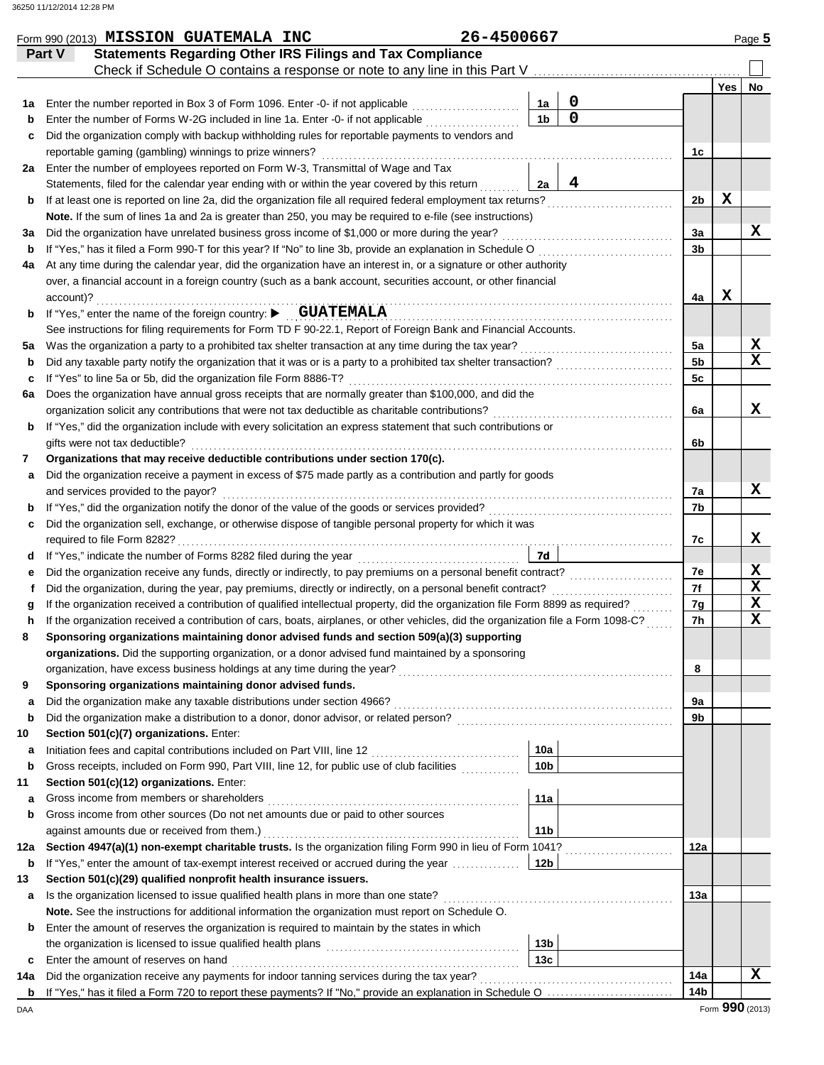|     | Form 990 (2013) MISSION GUATEMALA INC                                                                                              | 26-4500667 |                 |             |                 |     | Page 5                  |
|-----|------------------------------------------------------------------------------------------------------------------------------------|------------|-----------------|-------------|-----------------|-----|-------------------------|
|     | <b>Statements Regarding Other IRS Filings and Tax Compliance</b><br>Part V                                                         |            |                 |             |                 |     |                         |
|     |                                                                                                                                    |            |                 |             |                 |     |                         |
|     |                                                                                                                                    |            |                 |             |                 | Yes | No                      |
| 1а  | Enter the number reported in Box 3 of Form 1096. Enter -0- if not applicable                                                       |            | 1a              | $\mathbf 0$ |                 |     |                         |
| b   | Enter the number of Forms W-2G included in line 1a. Enter -0- if not applicable                                                    |            | 1 <sub>b</sub>  | $\mathbf 0$ |                 |     |                         |
| c   | Did the organization comply with backup withholding rules for reportable payments to vendors and                                   |            |                 |             |                 |     |                         |
|     | reportable gaming (gambling) winnings to prize winners?                                                                            |            |                 |             | 1c              |     |                         |
| 2a  | Enter the number of employees reported on Form W-3, Transmittal of Wage and Tax                                                    |            |                 |             |                 |     |                         |
|     | Statements, filed for the calendar year ending with or within the year covered by this return                                      |            | 2a              | 4           |                 |     |                         |
| b   | If at least one is reported on line 2a, did the organization file all required federal employment tax returns?                     |            |                 |             | 2 <sub>b</sub>  | X   |                         |
|     | Note. If the sum of lines 1a and 2a is greater than 250, you may be required to e-file (see instructions)                          |            |                 |             |                 |     |                         |
| За  | Did the organization have unrelated business gross income of \$1,000 or more during the year?                                      |            |                 |             | За              |     | x                       |
| b   |                                                                                                                                    |            |                 |             | 3 <sub>b</sub>  |     |                         |
| 4a  | At any time during the calendar year, did the organization have an interest in, or a signature or other authority                  |            |                 |             |                 |     |                         |
|     | over, a financial account in a foreign country (such as a bank account, securities account, or other financial                     |            |                 |             |                 |     |                         |
|     | account)?                                                                                                                          |            |                 |             | 4a              | X   |                         |
| b   | If "Yes," enter the name of the foreign country: CUATEMALA                                                                         |            |                 |             |                 |     |                         |
|     | See instructions for filing requirements for Form TD F 90-22.1, Report of Foreign Bank and Financial Accounts.                     |            |                 |             |                 |     |                         |
| 5а  | Was the organization a party to a prohibited tax shelter transaction at any time during the tax year?                              |            |                 |             | 5a              |     | X                       |
| b   |                                                                                                                                    |            |                 |             | 5 <sub>b</sub>  |     | $\overline{\mathbf{x}}$ |
| c   | If "Yes" to line 5a or 5b, did the organization file Form 8886-T?                                                                  |            |                 |             | 5 <sub>c</sub>  |     |                         |
| 6а  | Does the organization have annual gross receipts that are normally greater than \$100,000, and did the                             |            |                 |             |                 |     |                         |
|     | organization solicit any contributions that were not tax deductible as charitable contributions?                                   |            |                 |             | 6a              |     | x                       |
| b   | If "Yes," did the organization include with every solicitation an express statement that such contributions or                     |            |                 |             |                 |     |                         |
|     | gifts were not tax deductible?                                                                                                     |            |                 |             | 6b              |     |                         |
| 7   | Organizations that may receive deductible contributions under section 170(c).                                                      |            |                 |             |                 |     |                         |
| a   | Did the organization receive a payment in excess of \$75 made partly as a contribution and partly for goods                        |            |                 |             |                 |     |                         |
|     | and services provided to the payor?                                                                                                |            |                 |             | 7a              |     | X                       |
| b   |                                                                                                                                    |            |                 |             | 7b              |     |                         |
| c   | Did the organization sell, exchange, or otherwise dispose of tangible personal property for which it was                           |            |                 |             |                 |     |                         |
|     | required to file Form 8282?                                                                                                        |            |                 |             | 7c              |     | x                       |
| d   |                                                                                                                                    |            | 7d              |             |                 |     |                         |
| е   |                                                                                                                                    |            |                 |             | 7e              |     | x                       |
|     | Did the organization, during the year, pay premiums, directly or indirectly, on a personal benefit contract?                       |            |                 |             | 7f              |     | $\mathbf x$             |
|     | If the organization received a contribution of qualified intellectual property, did the organization file Form 8899 as required?   |            |                 |             | 7g              |     | $\mathbf x$             |
| h.  | If the organization received a contribution of cars, boats, airplanes, or other vehicles, did the organization file a Form 1098-C? |            |                 |             | 7h              |     | $\overline{\mathbf{x}}$ |
| 8   | Sponsoring organizations maintaining donor advised funds and section 509(a)(3) supporting                                          |            |                 |             |                 |     |                         |
|     | organizations. Did the supporting organization, or a donor advised fund maintained by a sponsoring                                 |            |                 |             |                 |     |                         |
|     |                                                                                                                                    |            |                 |             | 8               |     |                         |
| 9   | Sponsoring organizations maintaining donor advised funds.                                                                          |            |                 |             |                 |     |                         |
| a   | Did the organization make any taxable distributions under section 4966?                                                            |            |                 |             | 9а              |     |                         |
| b   |                                                                                                                                    |            |                 |             | 9b              |     |                         |
| 10  | Section 501(c)(7) organizations. Enter:                                                                                            |            |                 |             |                 |     |                         |
| а   |                                                                                                                                    |            | 10a             |             |                 |     |                         |
| b   | Gross receipts, included on Form 990, Part VIII, line 12, for public use of club facilities                                        |            | 10 <sub>b</sub> |             |                 |     |                         |
| 11  | Section 501(c)(12) organizations. Enter:                                                                                           |            | 11a             |             |                 |     |                         |
| a   | Gross income from other sources (Do not net amounts due or paid to other sources                                                   |            |                 |             |                 |     |                         |
| b   | against amounts due or received from them.)                                                                                        |            | 11 <sub>b</sub> |             |                 |     |                         |
| 12a | Section 4947(a)(1) non-exempt charitable trusts. Is the organization filing Form 990 in lieu of Form 1041?                         |            |                 |             | 12a             |     |                         |
| b   | If "Yes," enter the amount of tax-exempt interest received or accrued during the year                                              |            | 12 <b>b</b>     |             |                 |     |                         |
| 13  | Section 501(c)(29) qualified nonprofit health insurance issuers.                                                                   |            |                 |             |                 |     |                         |
| а   |                                                                                                                                    |            |                 |             | 13а             |     |                         |
|     | Note. See the instructions for additional information the organization must report on Schedule O.                                  |            |                 |             |                 |     |                         |
| b   | Enter the amount of reserves the organization is required to maintain by the states in which                                       |            |                 |             |                 |     |                         |
|     |                                                                                                                                    |            | 13 <sub>b</sub> |             |                 |     |                         |
| c   | Enter the amount of reserves on hand                                                                                               |            | 13 <sub>c</sub> |             |                 |     |                         |
| 14a |                                                                                                                                    |            |                 |             | 14a             |     | X                       |
|     |                                                                                                                                    |            |                 |             | 14 <sub>b</sub> |     |                         |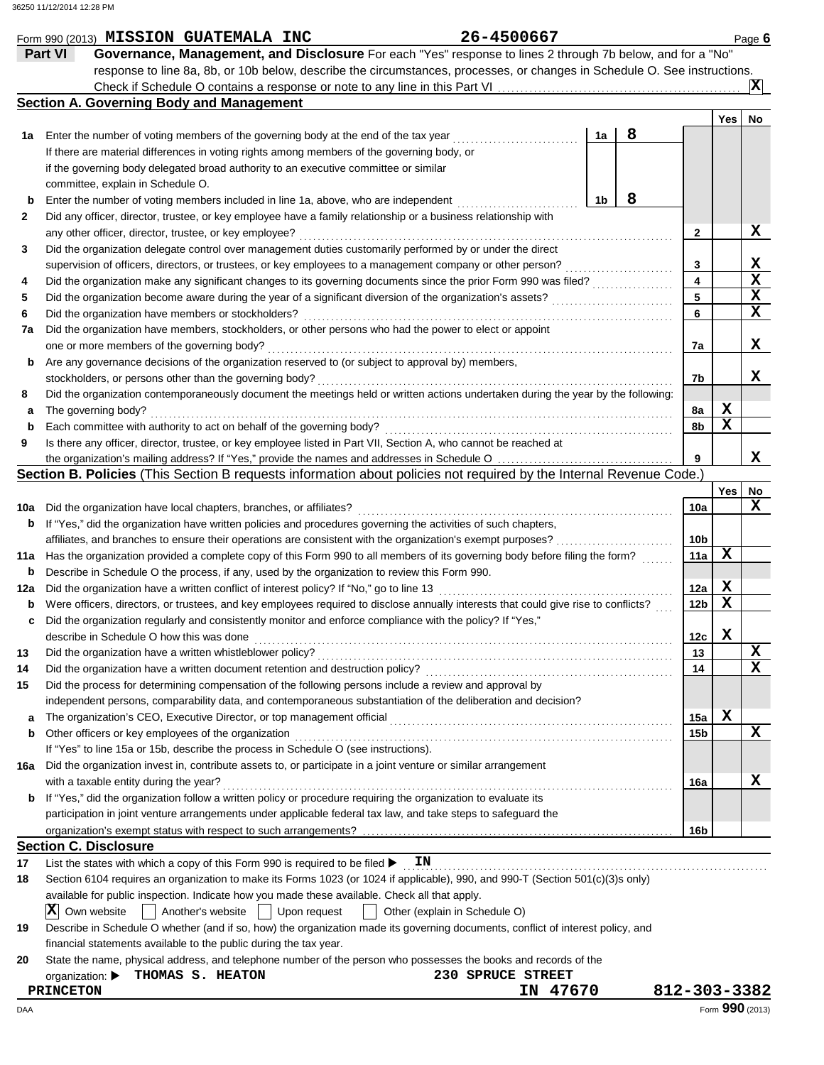|     | Form 990 (2013) MISSION GUATEMALA INC                                                                                               | 26-4500667        |    |   |                 |             | Page 6          |
|-----|-------------------------------------------------------------------------------------------------------------------------------------|-------------------|----|---|-----------------|-------------|-----------------|
|     | Governance, Management, and Disclosure For each "Yes" response to lines 2 through 7b below, and for a "No"<br><b>Part VI</b>        |                   |    |   |                 |             |                 |
|     | response to line 8a, 8b, or 10b below, describe the circumstances, processes, or changes in Schedule O. See instructions.           |                   |    |   |                 |             |                 |
|     |                                                                                                                                     |                   |    |   |                 |             | ΙXΙ             |
|     | <b>Section A. Governing Body and Management</b>                                                                                     |                   |    |   |                 |             |                 |
|     |                                                                                                                                     |                   |    |   |                 | <b>Yes</b>  | No              |
| 1a  | Enter the number of voting members of the governing body at the end of the tax year                                                 |                   | 1a | 8 |                 |             |                 |
|     | If there are material differences in voting rights among members of the governing body, or                                          |                   |    |   |                 |             |                 |
|     | if the governing body delegated broad authority to an executive committee or similar                                                |                   |    |   |                 |             |                 |
|     | committee, explain in Schedule O.                                                                                                   |                   |    |   |                 |             |                 |
|     |                                                                                                                                     |                   |    | 8 |                 |             |                 |
| b   | Enter the number of voting members included in line 1a, above, who are independent                                                  |                   | 1b |   |                 |             |                 |
| 2   | Did any officer, director, trustee, or key employee have a family relationship or a business relationship with                      |                   |    |   |                 |             |                 |
|     | any other officer, director, trustee, or key employee?                                                                              |                   |    |   | 2               |             | x               |
| 3   | Did the organization delegate control over management duties customarily performed by or under the direct                           |                   |    |   |                 |             |                 |
|     | supervision of officers, directors, or trustees, or key employees to a management company or other person?                          |                   |    |   | 3               |             | x               |
| 4   | Did the organization make any significant changes to its governing documents since the prior Form 990 was filed?                    |                   |    |   | 4               |             | X               |
| 5   | Did the organization become aware during the year of a significant diversion of the organization's assets?                          |                   |    |   | 5               |             | X               |
| 6   | Did the organization have members or stockholders?                                                                                  |                   |    |   | 6               |             | X               |
| 7a  | Did the organization have members, stockholders, or other persons who had the power to elect or appoint                             |                   |    |   |                 |             |                 |
|     | one or more members of the governing body?                                                                                          |                   |    |   | 7a              |             | x               |
| b   | Are any governance decisions of the organization reserved to (or subject to approval by) members,                                   |                   |    |   |                 |             |                 |
|     | stockholders, or persons other than the governing body?                                                                             |                   |    |   | 7b              |             | x               |
| 8   | Did the organization contemporaneously document the meetings held or written actions undertaken during the year by the following:   |                   |    |   |                 |             |                 |
| а   | The governing body?                                                                                                                 |                   |    |   | 8а              | X           |                 |
| b   | Each committee with authority to act on behalf of the governing body?                                                               |                   |    |   | 8b              | X           |                 |
| 9   | Is there any officer, director, trustee, or key employee listed in Part VII, Section A, who cannot be reached at                    |                   |    |   |                 |             |                 |
|     |                                                                                                                                     |                   |    |   | 9               |             | х               |
|     | Section B. Policies (This Section B requests information about policies not required by the Internal Revenue Code.)                 |                   |    |   |                 |             |                 |
|     |                                                                                                                                     |                   |    |   |                 | Yes         |                 |
|     |                                                                                                                                     |                   |    |   |                 |             | No<br>x         |
| 10a | Did the organization have local chapters, branches, or affiliates?                                                                  |                   |    |   | 10a             |             |                 |
| b   | If "Yes," did the organization have written policies and procedures governing the activities of such chapters,                      |                   |    |   |                 |             |                 |
|     | affiliates, and branches to ensure their operations are consistent with the organization's exempt purposes?                         |                   |    |   | 10 <sub>b</sub> |             |                 |
| 11a | Has the organization provided a complete copy of this Form 990 to all members of its governing body before filing the form?         |                   |    |   | 11a             | X           |                 |
| b   | Describe in Schedule O the process, if any, used by the organization to review this Form 990.                                       |                   |    |   |                 |             |                 |
| 12a | Did the organization have a written conflict of interest policy? If "No," go to line 13                                             |                   |    |   | 12a             | X           |                 |
| b   | Were officers, directors, or trustees, and key employees required to disclose annually interests that could give rise to conflicts? |                   |    |   | 12 <sub>b</sub> | X           |                 |
| c   | Did the organization regularly and consistently monitor and enforce compliance with the policy? If "Yes,"                           |                   |    |   |                 |             |                 |
|     | describe in Schedule O how this was done                                                                                            |                   |    |   | 12c             | $\mathbf x$ |                 |
| 13  | Did the organization have a written whistleblower policy?                                                                           |                   |    |   | 13              |             | x               |
| 14  | Did the organization have a written document retention and destruction policy?                                                      |                   |    |   | 14              |             | x               |
| 15  | Did the process for determining compensation of the following persons include a review and approval by                              |                   |    |   |                 |             |                 |
|     | independent persons, comparability data, and contemporaneous substantiation of the deliberation and decision?                       |                   |    |   |                 |             |                 |
| a   | The organization's CEO, Executive Director, or top management official                                                              |                   |    |   | 15a             | х           |                 |
| b   | Other officers or key employees of the organization                                                                                 |                   |    |   | 15b             |             | x               |
|     | If "Yes" to line 15a or 15b, describe the process in Schedule O (see instructions).                                                 |                   |    |   |                 |             |                 |
| 16a | Did the organization invest in, contribute assets to, or participate in a joint venture or similar arrangement                      |                   |    |   |                 |             |                 |
|     | with a taxable entity during the year?                                                                                              |                   |    |   | 16a             |             | x               |
|     | If "Yes," did the organization follow a written policy or procedure requiring the organization to evaluate its                      |                   |    |   |                 |             |                 |
| b   | participation in joint venture arrangements under applicable federal tax law, and take steps to safeguard the                       |                   |    |   |                 |             |                 |
|     |                                                                                                                                     |                   |    |   |                 |             |                 |
|     |                                                                                                                                     |                   |    |   | 16b             |             |                 |
|     | <b>Section C. Disclosure</b>                                                                                                        |                   |    |   |                 |             |                 |
| 17  | List the states with which a copy of this Form 990 is required to be filed ><br>IN                                                  |                   |    |   |                 |             |                 |
| 18  | Section 6104 requires an organization to make its Forms 1023 (or 1024 if applicable), 990, and 990-T (Section 501(c)(3)s only)      |                   |    |   |                 |             |                 |
|     | available for public inspection. Indicate how you made these available. Check all that apply.                                       |                   |    |   |                 |             |                 |
|     | X <br>Own website<br>Another's website<br>Upon request<br>Other (explain in Schedule O)                                             |                   |    |   |                 |             |                 |
| 19  | Describe in Schedule O whether (and if so, how) the organization made its governing documents, conflict of interest policy, and     |                   |    |   |                 |             |                 |
|     | financial statements available to the public during the tax year.                                                                   |                   |    |   |                 |             |                 |
| 20  | State the name, physical address, and telephone number of the person who possesses the books and records of the                     |                   |    |   |                 |             |                 |
|     | THOMAS S. HEATON<br>organization: $\blacktriangleright$                                                                             | 230 SPRUCE STREET |    |   |                 |             |                 |
|     | <b>PRINCETON</b>                                                                                                                    | IN 47670          |    |   | 812-303-3382    |             |                 |
| DAA |                                                                                                                                     |                   |    |   |                 |             | Form 990 (2013) |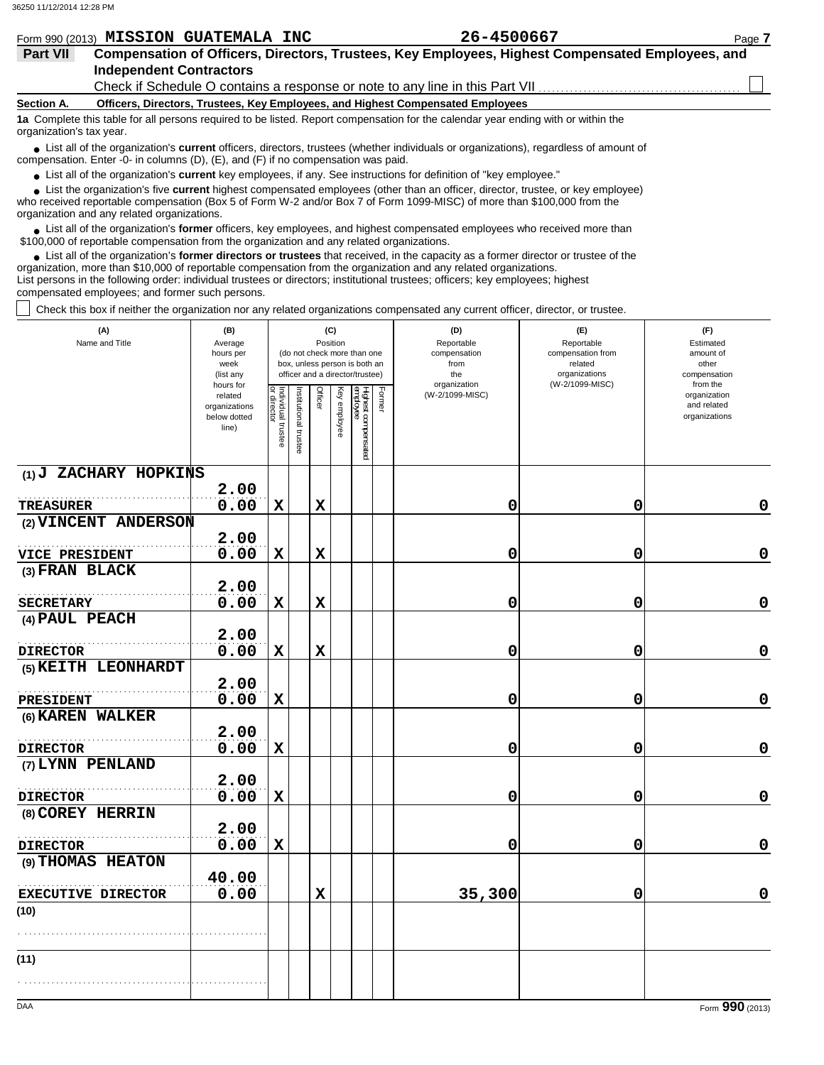|                                                                                                                                                               | Form 990 (2013) MISSION GUATEMALA INC                                                                                                                | 26-4500667 | Page 7 |  |  |  |  |
|---------------------------------------------------------------------------------------------------------------------------------------------------------------|------------------------------------------------------------------------------------------------------------------------------------------------------|------------|--------|--|--|--|--|
| <b>Part VII</b>                                                                                                                                               | Compensation of Officers, Directors, Trustees, Key Employees, Highest Compensated Employees, and                                                     |            |        |  |  |  |  |
|                                                                                                                                                               | <b>Independent Contractors</b>                                                                                                                       |            |        |  |  |  |  |
|                                                                                                                                                               | Check if Schedule O contains a response or note to any line in this Part VII                                                                         |            |        |  |  |  |  |
| Section A.                                                                                                                                                    | Officers, Directors, Trustees, Key Employees, and Highest Compensated Employees                                                                      |            |        |  |  |  |  |
| 1a Complete this table for all persons required to be listed. Report compensation for the calendar year ending with or within the<br>organization's tax year. |                                                                                                                                                      |            |        |  |  |  |  |
|                                                                                                                                                               | <b>A</b> list all of the organization's <b>current</b> officers, directors, trustees (whether individuals or organizations), regardless of amount of |            |        |  |  |  |  |

ctors, trustees (whether individuals or organizations), regardless of amount of ● List all of the organization's **current** officers, directors, trustees (whether ind compensation. Enter -0- in columns (D), (E), and (F) if no compensation was paid.

● List all of the organization's **current** key employees, if any. See instructions for definition of "key employee."

who received reportable compensation (Box 5 of Form W-2 and/or Box 7 of Form 1099-MISC) of more than \$100,000 from the organization and any related organizations. ■ List the organization's five **current** highest compensated employees (other than an officer, director, trustee, or key employee)<br> **•** Presented reportable compensation (Pox 5 of Ferm W 2 and/or Box 7 of Ferm 1000 MISC)

● List all of the organization's **former** officers, key employees, and highest compensated employees who received more than<br> **•** 00.00 of repertable compensation from the ergenization and any related ergenizations \$100,000 of reportable compensation from the organization and any related organizations.

■ List all of the organization's **former directors or trustees** that received, in the capacity as a former director or trustee of the precision more than \$10,000 of reportable componention from the organization and any re organization, more than \$10,000 of reportable compensation from the organization and any related organizations. List persons in the following order: individual trustees or directors; institutional trustees; officers; key employees; highest

compensated employees; and former such persons.

Check this box if neither the organization nor any related organizations compensated any current officer, director, or trustee.

| (A)<br>Name and Title                   | (B)<br>Average<br>hours per<br>week<br>(list any               |                                   |                      | (C)<br>Position |              | (do not check more than one<br>box, unless person is both an<br>officer and a director/trustee) |        | (D)<br>Reportable<br>compensation<br>from<br>the | (E)<br>Reportable<br>compensation from<br>related<br>organizations | (F)<br>Estimated<br>amount of<br>other<br>compensation   |
|-----------------------------------------|----------------------------------------------------------------|-----------------------------------|----------------------|-----------------|--------------|-------------------------------------------------------------------------------------------------|--------|--------------------------------------------------|--------------------------------------------------------------------|----------------------------------------------------------|
|                                         | hours for<br>related<br>organizations<br>below dotted<br>line) | Individual trustee<br>or director | nstitutional trustee | Officer         | Key employee | Highest compensated<br>employee                                                                 | Former | organization<br>(W-2/1099-MISC)                  | (W-2/1099-MISC)                                                    | from the<br>organization<br>and related<br>organizations |
| (1) J ZACHARY HOPKINS                   |                                                                |                                   |                      |                 |              |                                                                                                 |        |                                                  |                                                                    |                                                          |
|                                         | 2.00                                                           |                                   |                      |                 |              |                                                                                                 |        |                                                  |                                                                    |                                                          |
| <b>TREASURER</b>                        | 0.00                                                           | $\mathbf x$                       |                      | $\mathbf x$     |              |                                                                                                 |        | 0                                                | 0                                                                  | 0                                                        |
| (2) VINCENT ANDERSON                    | 2.00                                                           |                                   |                      |                 |              |                                                                                                 |        |                                                  |                                                                    |                                                          |
|                                         | 0.00                                                           | $\mathbf x$                       |                      | $\mathbf x$     |              |                                                                                                 |        | 0                                                | 0                                                                  | 0                                                        |
| <b>VICE PRESIDENT</b><br>(3) FRAN BLACK |                                                                |                                   |                      |                 |              |                                                                                                 |        |                                                  |                                                                    |                                                          |
|                                         | 2.00                                                           |                                   |                      |                 |              |                                                                                                 |        |                                                  |                                                                    |                                                          |
| <b>SECRETARY</b>                        | 0.00                                                           | $\mathbf x$                       |                      | $\mathbf x$     |              |                                                                                                 |        | 0                                                | $\mathbf 0$                                                        | $\mathbf 0$                                              |
| (4) PAUL PEACH                          |                                                                |                                   |                      |                 |              |                                                                                                 |        |                                                  |                                                                    |                                                          |
|                                         | 2.00                                                           |                                   |                      |                 |              |                                                                                                 |        |                                                  |                                                                    |                                                          |
| <b>DIRECTOR</b>                         | 0.00                                                           | $\mathbf x$                       |                      | $\mathbf x$     |              |                                                                                                 |        | 0                                                | 0                                                                  | 0                                                        |
| (5) KEITH LEONHARDT                     |                                                                |                                   |                      |                 |              |                                                                                                 |        |                                                  |                                                                    |                                                          |
|                                         | 2.00                                                           |                                   |                      |                 |              |                                                                                                 |        |                                                  |                                                                    |                                                          |
| <b>PRESIDENT</b>                        | 0.00                                                           | $\mathbf x$                       |                      |                 |              |                                                                                                 |        | 0                                                | 0                                                                  | $\mathbf 0$                                              |
| (6) KAREN WALKER                        |                                                                |                                   |                      |                 |              |                                                                                                 |        |                                                  |                                                                    |                                                          |
|                                         | 2.00                                                           |                                   |                      |                 |              |                                                                                                 |        |                                                  |                                                                    |                                                          |
| <b>DIRECTOR</b>                         | 0.00                                                           | $\mathbf x$                       |                      |                 |              |                                                                                                 |        | 0                                                | 0                                                                  | $\mathbf 0$                                              |
| (7) LYNN PENLAND                        |                                                                |                                   |                      |                 |              |                                                                                                 |        |                                                  |                                                                    |                                                          |
|                                         | 2.00                                                           |                                   |                      |                 |              |                                                                                                 |        |                                                  |                                                                    |                                                          |
| <b>DIRECTOR</b>                         | 0.00                                                           | $\mathbf x$                       |                      |                 |              |                                                                                                 |        | 0                                                | 0                                                                  | $\mathbf 0$                                              |
| (8) COREY HERRIN                        | 2.00                                                           |                                   |                      |                 |              |                                                                                                 |        |                                                  |                                                                    |                                                          |
| <b>DIRECTOR</b>                         | 0.00                                                           | $\mathbf x$                       |                      |                 |              |                                                                                                 |        | 0                                                | $\mathbf 0$                                                        | $\mathbf 0$                                              |
| (9) THOMAS HEATON                       |                                                                |                                   |                      |                 |              |                                                                                                 |        |                                                  |                                                                    |                                                          |
|                                         | 40.00                                                          |                                   |                      |                 |              |                                                                                                 |        |                                                  |                                                                    |                                                          |
| <b>EXECUTIVE DIRECTOR</b>               | 0.00                                                           |                                   |                      | $\mathbf x$     |              |                                                                                                 |        | 35,300                                           | $\mathbf 0$                                                        | $\mathbf 0$                                              |
| (10)                                    |                                                                |                                   |                      |                 |              |                                                                                                 |        |                                                  |                                                                    |                                                          |
|                                         |                                                                |                                   |                      |                 |              |                                                                                                 |        |                                                  |                                                                    |                                                          |
| (11)                                    |                                                                |                                   |                      |                 |              |                                                                                                 |        |                                                  |                                                                    |                                                          |
|                                         |                                                                |                                   |                      |                 |              |                                                                                                 |        |                                                  |                                                                    |                                                          |
|                                         |                                                                |                                   |                      |                 |              |                                                                                                 |        |                                                  |                                                                    |                                                          |
| DAA                                     |                                                                |                                   |                      |                 |              |                                                                                                 |        |                                                  |                                                                    | Form 990 (2013)                                          |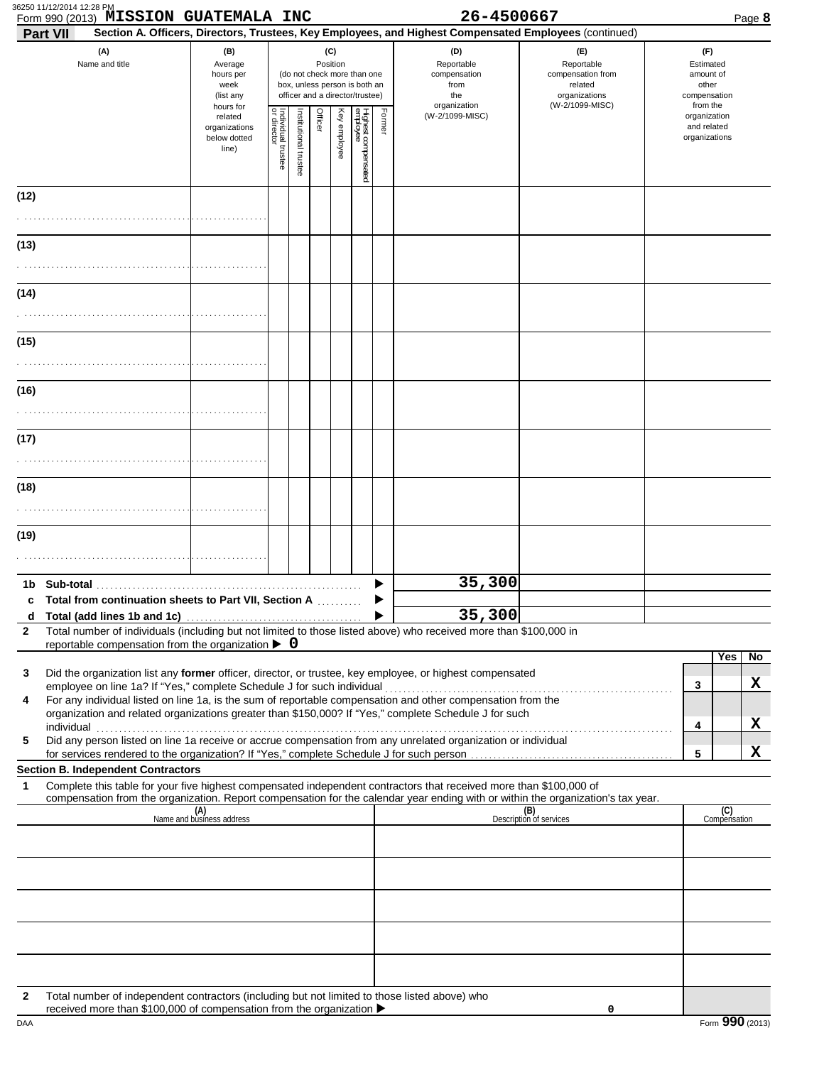|              | 36250 11/12/2014 12:28 PM<br>Form 990 (2013) MISSION GUATEMALA INC<br>Part VII                                                                                                                                                                                                                                                                 |                                                                      |                                   |                      |         |                 |                                                                                                 |        | 26-4500667<br>Section A. Officers, Directors, Trustees, Key Employees, and Highest Compensated Employees (continued) |                                                                                       | Page 8                                                             |
|--------------|------------------------------------------------------------------------------------------------------------------------------------------------------------------------------------------------------------------------------------------------------------------------------------------------------------------------------------------------|----------------------------------------------------------------------|-----------------------------------|----------------------|---------|-----------------|-------------------------------------------------------------------------------------------------|--------|----------------------------------------------------------------------------------------------------------------------|---------------------------------------------------------------------------------------|--------------------------------------------------------------------|
|              | (A)<br>Name and title                                                                                                                                                                                                                                                                                                                          | (B)<br>Average<br>hours per<br>week<br>(list any                     |                                   |                      |         | (C)<br>Position | (do not check more than one<br>box, unless person is both an<br>officer and a director/trustee) |        | (D)<br>Reportable<br>compensation<br>from<br>the                                                                     | (E)<br>Reportable<br>compensation from<br>related<br>organizations<br>(W-2/1099-MISC) | (F)<br>Estimated<br>amount of<br>other<br>compensation<br>from the |
|              |                                                                                                                                                                                                                                                                                                                                                | hours for<br>related<br>organizations<br>below dotted<br>line)       | Individual trustee<br>or director | nstitutional trustee | Officer | Key employee    | Highest compensated<br>employee                                                                 | Former | organization<br>(W-2/1099-MISC)                                                                                      |                                                                                       | organization<br>and related<br>organizations                       |
| (12)         |                                                                                                                                                                                                                                                                                                                                                |                                                                      |                                   |                      |         |                 |                                                                                                 |        |                                                                                                                      |                                                                                       |                                                                    |
|              |                                                                                                                                                                                                                                                                                                                                                |                                                                      |                                   |                      |         |                 |                                                                                                 |        |                                                                                                                      |                                                                                       |                                                                    |
| (13)         |                                                                                                                                                                                                                                                                                                                                                |                                                                      |                                   |                      |         |                 |                                                                                                 |        |                                                                                                                      |                                                                                       |                                                                    |
| (14)         |                                                                                                                                                                                                                                                                                                                                                |                                                                      |                                   |                      |         |                 |                                                                                                 |        |                                                                                                                      |                                                                                       |                                                                    |
| (15)         |                                                                                                                                                                                                                                                                                                                                                |                                                                      |                                   |                      |         |                 |                                                                                                 |        |                                                                                                                      |                                                                                       |                                                                    |
|              |                                                                                                                                                                                                                                                                                                                                                |                                                                      |                                   |                      |         |                 |                                                                                                 |        |                                                                                                                      |                                                                                       |                                                                    |
| (16)         |                                                                                                                                                                                                                                                                                                                                                |                                                                      |                                   |                      |         |                 |                                                                                                 |        |                                                                                                                      |                                                                                       |                                                                    |
| (17)         |                                                                                                                                                                                                                                                                                                                                                |                                                                      |                                   |                      |         |                 |                                                                                                 |        |                                                                                                                      |                                                                                       |                                                                    |
|              |                                                                                                                                                                                                                                                                                                                                                |                                                                      |                                   |                      |         |                 |                                                                                                 |        |                                                                                                                      |                                                                                       |                                                                    |
| (18)         |                                                                                                                                                                                                                                                                                                                                                |                                                                      |                                   |                      |         |                 |                                                                                                 |        |                                                                                                                      |                                                                                       |                                                                    |
|              |                                                                                                                                                                                                                                                                                                                                                |                                                                      |                                   |                      |         |                 |                                                                                                 |        |                                                                                                                      |                                                                                       |                                                                    |
| (19)         |                                                                                                                                                                                                                                                                                                                                                |                                                                      |                                   |                      |         |                 |                                                                                                 |        |                                                                                                                      |                                                                                       |                                                                    |
|              |                                                                                                                                                                                                                                                                                                                                                |                                                                      |                                   |                      |         |                 |                                                                                                 |        |                                                                                                                      |                                                                                       |                                                                    |
|              |                                                                                                                                                                                                                                                                                                                                                |                                                                      |                                   |                      |         |                 |                                                                                                 |        | 35,300                                                                                                               |                                                                                       |                                                                    |
| c<br>d.      | Total from continuation sheets to Part VII, Section A                                                                                                                                                                                                                                                                                          |                                                                      |                                   |                      |         |                 |                                                                                                 |        | 35,300                                                                                                               |                                                                                       |                                                                    |
| $\mathbf{2}$ | Total number of individuals (including but not limited to those listed above) who received more than \$100,000 in<br>reportable compensation from the organization $\triangleright$ 0                                                                                                                                                          |                                                                      |                                   |                      |         |                 |                                                                                                 |        |                                                                                                                      |                                                                                       |                                                                    |
| 3            | Did the organization list any former officer, director, or trustee, key employee, or highest compensated                                                                                                                                                                                                                                       |                                                                      |                                   |                      |         |                 |                                                                                                 |        |                                                                                                                      |                                                                                       | Yes<br>No.                                                         |
| 4            | For any individual listed on line 1a, is the sum of reportable compensation and other compensation from the<br>organization and related organizations greater than \$150,000? If "Yes," complete Schedule J for such                                                                                                                           |                                                                      |                                   |                      |         |                 |                                                                                                 |        |                                                                                                                      |                                                                                       | X<br>3                                                             |
| 5            | individual communications and contact the contact of the contact of the contact of the contact of the contact of the contact of the contact of the contact of the contact of the contact of the contact of the contact of the<br>Did any person listed on line 1a receive or accrue compensation from any unrelated organization or individual |                                                                      |                                   |                      |         |                 |                                                                                                 |        |                                                                                                                      |                                                                                       | x<br>4                                                             |
|              |                                                                                                                                                                                                                                                                                                                                                |                                                                      |                                   |                      |         |                 |                                                                                                 |        |                                                                                                                      |                                                                                       | X<br>5                                                             |
| 1            | <b>Section B. Independent Contractors</b><br>Complete this table for your five highest compensated independent contractors that received more than \$100,000 of                                                                                                                                                                                |                                                                      |                                   |                      |         |                 |                                                                                                 |        |                                                                                                                      |                                                                                       |                                                                    |
|              | compensation from the organization. Report compensation for the calendar year ending with or within the organization's tax year.                                                                                                                                                                                                               | (A)<br>Name and business address                                     |                                   |                      |         |                 |                                                                                                 |        |                                                                                                                      | (B)<br>Description of services                                                        | (C)<br>Compensation                                                |
|              |                                                                                                                                                                                                                                                                                                                                                |                                                                      |                                   |                      |         |                 |                                                                                                 |        |                                                                                                                      |                                                                                       |                                                                    |
|              |                                                                                                                                                                                                                                                                                                                                                |                                                                      |                                   |                      |         |                 |                                                                                                 |        |                                                                                                                      |                                                                                       |                                                                    |
|              |                                                                                                                                                                                                                                                                                                                                                |                                                                      |                                   |                      |         |                 |                                                                                                 |        |                                                                                                                      |                                                                                       |                                                                    |
|              |                                                                                                                                                                                                                                                                                                                                                |                                                                      |                                   |                      |         |                 |                                                                                                 |        |                                                                                                                      |                                                                                       |                                                                    |
|              |                                                                                                                                                                                                                                                                                                                                                |                                                                      |                                   |                      |         |                 |                                                                                                 |        |                                                                                                                      |                                                                                       |                                                                    |
| $\mathbf{2}$ | Total number of independent contractors (including but not limited to those listed above) who                                                                                                                                                                                                                                                  | received more than \$100,000 of compensation from the organization ▶ |                                   |                      |         |                 |                                                                                                 |        |                                                                                                                      |                                                                                       |                                                                    |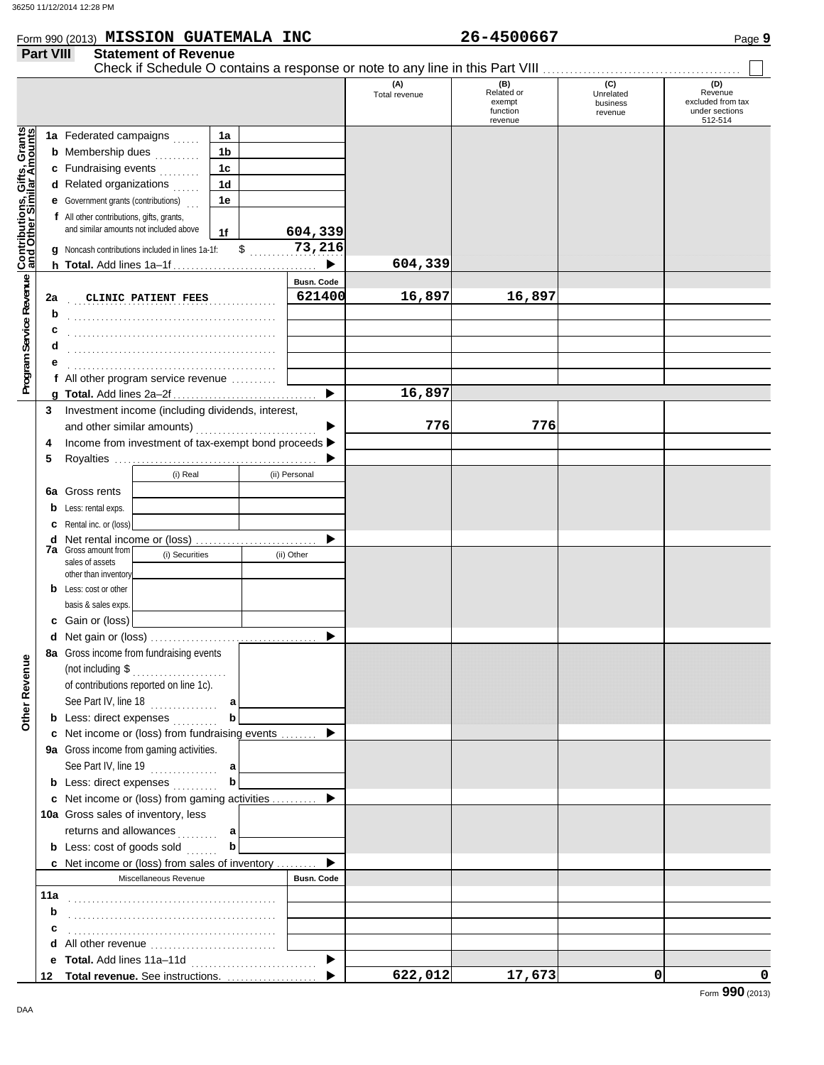|                                         | Form 990 (2013) MISSION GUATEMALA INC                                               |                |               |                       |                      | 26-4500667                                         |                                         | Page 9                                                           |
|-----------------------------------------|-------------------------------------------------------------------------------------|----------------|---------------|-----------------------|----------------------|----------------------------------------------------|-----------------------------------------|------------------------------------------------------------------|
| <b>Part VIII</b>                        | <b>Statement of Revenue</b>                                                         |                |               |                       |                      |                                                    |                                         |                                                                  |
|                                         |                                                                                     |                |               |                       | (A)<br>Total revenue | (B)<br>Related or<br>exempt<br>function<br>revenue | (C)<br>Unrelated<br>business<br>revenue | (D)<br>Revenue<br>excluded from tax<br>under sections<br>512-514 |
| Gifts, Grants                           | 1a Federated campaigns                                                              |                | 1a            |                       |                      |                                                    |                                         |                                                                  |
|                                         | <b>b</b> Membership dues                                                            | .              | 1b            |                       |                      |                                                    |                                         |                                                                  |
|                                         | c Fundraising events                                                                |                | 1c            |                       |                      |                                                    |                                         |                                                                  |
|                                         | d Related organizations                                                             |                | 1d            |                       |                      |                                                    |                                         |                                                                  |
|                                         | <b>e</b> Government grants (contributions)                                          |                | 1e            |                       |                      |                                                    |                                         |                                                                  |
| <b>Contributions,<br/>and Other Sim</b> | f All other contributions, gifts, grants,<br>and similar amounts not included above |                | 1f            | 604,339               |                      |                                                    |                                         |                                                                  |
|                                         | g Noncash contributions included in lines 1a-1f:                                    |                | $\frac{1}{2}$ | 73,216                |                      |                                                    |                                         |                                                                  |
|                                         |                                                                                     |                |               |                       | 604,339              |                                                    |                                         |                                                                  |
|                                         |                                                                                     |                |               | <b>Busn. Code</b>     |                      |                                                    |                                         |                                                                  |
| Program Service Revenue<br>2a           | CLINIC PATIENT FEES                                                                 |                |               | 621400                | 16,897               | 16,897                                             |                                         |                                                                  |
| b                                       |                                                                                     |                |               |                       |                      |                                                    |                                         |                                                                  |
| c                                       |                                                                                     |                |               |                       |                      |                                                    |                                         |                                                                  |
| d                                       |                                                                                     |                |               |                       |                      |                                                    |                                         |                                                                  |
|                                         |                                                                                     |                |               |                       |                      |                                                    |                                         |                                                                  |
|                                         | f All other program service revenue                                                 |                |               |                       |                      |                                                    |                                         |                                                                  |
|                                         |                                                                                     |                |               |                       | 16,897               |                                                    |                                         |                                                                  |
| 3                                       | Investment income (including dividends, interest,                                   |                |               |                       |                      |                                                    |                                         |                                                                  |
|                                         | and other similar amounts)                                                          |                |               |                       | 776                  | 776                                                |                                         |                                                                  |
| 4                                       | Income from investment of tax-exempt bond proceeds >                                |                |               |                       |                      |                                                    |                                         |                                                                  |
| 5                                       |                                                                                     |                |               |                       |                      |                                                    |                                         |                                                                  |
|                                         |                                                                                     | (i) Real       |               | (ii) Personal         |                      |                                                    |                                         |                                                                  |
|                                         | <b>6a</b> Gross rents                                                               |                |               |                       |                      |                                                    |                                         |                                                                  |
| b                                       | Less: rental exps.                                                                  |                |               |                       |                      |                                                    |                                         |                                                                  |
|                                         | Rental inc. or (loss)                                                               |                |               |                       |                      |                                                    |                                         |                                                                  |
|                                         |                                                                                     |                |               |                       |                      |                                                    |                                         |                                                                  |
|                                         | <b>7a</b> Gross amount from                                                         | (i) Securities |               | (ii) Other            |                      |                                                    |                                         |                                                                  |
|                                         | sales of assets<br>other than inventory                                             |                |               |                       |                      |                                                    |                                         |                                                                  |
|                                         | <b>b</b> Less: cost or other                                                        |                |               |                       |                      |                                                    |                                         |                                                                  |
|                                         | basis & sales exps.                                                                 |                |               |                       |                      |                                                    |                                         |                                                                  |
|                                         | c Gain or (loss)                                                                    |                |               |                       |                      |                                                    |                                         |                                                                  |
|                                         |                                                                                     |                |               |                       |                      |                                                    |                                         |                                                                  |
|                                         | 8a Gross income from fundraising events                                             |                |               |                       |                      |                                                    |                                         |                                                                  |
|                                         | (not including $\$\dots$                                                            |                |               |                       |                      |                                                    |                                         |                                                                  |
| Other Revenue                           | of contributions reported on line 1c).                                              |                |               |                       |                      |                                                    |                                         |                                                                  |
|                                         | See Part IV, line 18 $\dots$                                                        |                |               |                       |                      |                                                    |                                         |                                                                  |
|                                         | <b>b</b> Less: direct expenses                                                      |                | $\mathbf{b}$  |                       |                      |                                                    |                                         |                                                                  |
|                                         | c Net income or (loss) from fundraising events                                      |                |               |                       |                      |                                                    |                                         |                                                                  |
|                                         | 9a Gross income from gaming activities.                                             |                |               |                       |                      |                                                    |                                         |                                                                  |
|                                         | See Part IV, line 19 $\ldots$                                                       |                |               |                       |                      |                                                    |                                         |                                                                  |
|                                         | <b>b</b> Less: direct expenses <i>minimals</i>                                      |                | $\mathbf{b}$  |                       |                      |                                                    |                                         |                                                                  |
|                                         | c Net income or (loss) from gaming activities                                       |                |               |                       |                      |                                                    |                                         |                                                                  |
|                                         | 10a Gross sales of inventory, less                                                  |                |               |                       |                      |                                                    |                                         |                                                                  |
|                                         | returns and allowances  a                                                           |                |               |                       |                      |                                                    |                                         |                                                                  |
|                                         | <b>b</b> Less: $cost$ of goods sold $\ldots$                                        |                | $\mathbf{b}$  |                       |                      |                                                    |                                         |                                                                  |
|                                         | c Net income or (loss) from sales of inventory                                      |                |               |                       |                      |                                                    |                                         |                                                                  |
|                                         | Miscellaneous Revenue                                                               |                |               | <b>Busn. Code</b>     |                      |                                                    |                                         |                                                                  |
| 11a                                     |                                                                                     |                |               |                       |                      |                                                    |                                         |                                                                  |
| b                                       |                                                                                     |                |               |                       |                      |                                                    |                                         |                                                                  |
|                                         |                                                                                     |                |               |                       |                      |                                                    |                                         |                                                                  |
| с                                       |                                                                                     |                |               |                       |                      |                                                    |                                         |                                                                  |
| d                                       |                                                                                     |                |               | $\blacktriangleright$ |                      |                                                    |                                         |                                                                  |
|                                         |                                                                                     |                |               |                       | 622,012              | 17,673                                             | $\Omega$                                |                                                                  |
| 12                                      |                                                                                     |                |               |                       |                      |                                                    |                                         |                                                                  |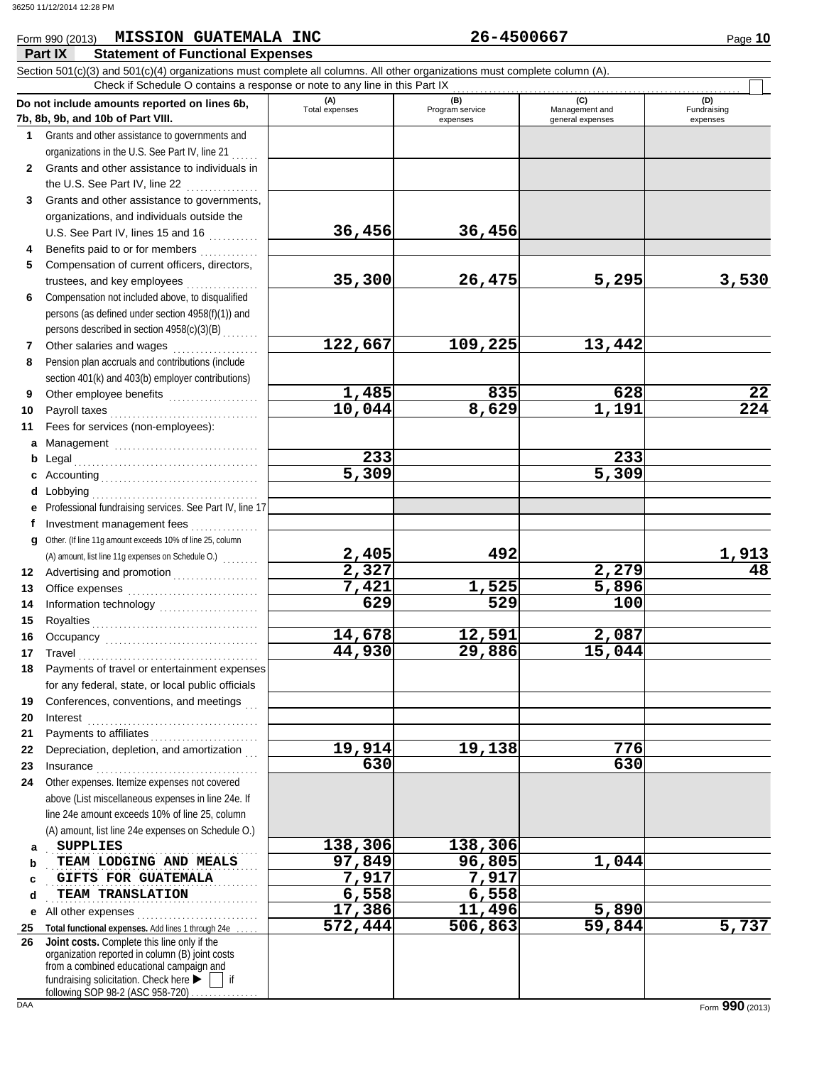## **Part IX Statement of Functional Expenses** Form 990 (2013) Page **10 MISSION GUATEMALA INC 26-4500667**

|              | $1$ all $1$<br>Statement of Functional Experises<br>Section 501(c)(3) and 501(c)(4) organizations must complete all columns. All other organizations must complete column (A).                                                  |                       |                                    |                                           |                                |
|--------------|---------------------------------------------------------------------------------------------------------------------------------------------------------------------------------------------------------------------------------|-----------------------|------------------------------------|-------------------------------------------|--------------------------------|
|              | Check if Schedule O contains a response or note to any line in this Part IX                                                                                                                                                     |                       |                                    |                                           |                                |
|              | Do not include amounts reported on lines 6b,<br>7b, 8b, 9b, and 10b of Part VIII.                                                                                                                                               | (A)<br>Total expenses | (B)<br>Program service<br>expenses | (C)<br>Management and<br>general expenses | (D)<br>Fundraising<br>expenses |
|              | 1 Grants and other assistance to governments and                                                                                                                                                                                |                       |                                    |                                           |                                |
|              | organizations in the U.S. See Part IV, line 21                                                                                                                                                                                  |                       |                                    |                                           |                                |
| $\mathbf{2}$ | Grants and other assistance to individuals in                                                                                                                                                                                   |                       |                                    |                                           |                                |
|              | the U.S. See Part IV, line 22<br>.                                                                                                                                                                                              |                       |                                    |                                           |                                |
| 3            | Grants and other assistance to governments,                                                                                                                                                                                     |                       |                                    |                                           |                                |
|              | organizations, and individuals outside the                                                                                                                                                                                      |                       |                                    |                                           |                                |
|              | U.S. See Part IV, lines 15 and 16                                                                                                                                                                                               | 36,456                | 36,456                             |                                           |                                |
| 4            | Benefits paid to or for members                                                                                                                                                                                                 |                       |                                    |                                           |                                |
| 5            | Compensation of current officers, directors,                                                                                                                                                                                    |                       |                                    |                                           |                                |
|              | trustees, and key employees                                                                                                                                                                                                     | 35,300                | 26,475                             | 5,295                                     | 3,530                          |
| 6            | Compensation not included above, to disqualified                                                                                                                                                                                |                       |                                    |                                           |                                |
|              | persons (as defined under section 4958(f)(1)) and                                                                                                                                                                               |                       |                                    |                                           |                                |
|              | persons described in section 4958(c)(3)(B)                                                                                                                                                                                      |                       |                                    |                                           |                                |
| 7            | Other salaries and wages                                                                                                                                                                                                        | 122,667               | 109,225                            | 13,442                                    |                                |
| 8            | Pension plan accruals and contributions (include<br>section 401(k) and 403(b) employer contributions)                                                                                                                           |                       |                                    |                                           |                                |
| 9            | Other employee benefits                                                                                                                                                                                                         | 1,485                 | 835                                | 628                                       | 22                             |
| 10           | Payroll taxes                                                                                                                                                                                                                   | 10,044                | 8,629                              | 1,191                                     | $\overline{224}$               |
| 11           | Fees for services (non-employees):                                                                                                                                                                                              |                       |                                    |                                           |                                |
|              | a Management                                                                                                                                                                                                                    |                       |                                    |                                           |                                |
| b            | Legal                                                                                                                                                                                                                           | 233                   |                                    | 233                                       |                                |
| c            |                                                                                                                                                                                                                                 | 5,309                 |                                    | 5,309                                     |                                |
|              | <b>d</b> Lobbying                                                                                                                                                                                                               |                       |                                    |                                           |                                |
|              | Professional fundraising services. See Part IV, line 17                                                                                                                                                                         |                       |                                    |                                           |                                |
| f            | Investment management fees<br>.                                                                                                                                                                                                 |                       |                                    |                                           |                                |
| g            | Other. (If line 11g amount exceeds 10% of line 25, column                                                                                                                                                                       |                       |                                    |                                           |                                |
|              | (A) amount, list line 11g expenses on Schedule O.)                                                                                                                                                                              | 2,405                 | 492                                |                                           | <u>1,913</u>                   |
| 12           |                                                                                                                                                                                                                                 | 2,327                 |                                    | 2,279                                     | 48                             |
| 13           |                                                                                                                                                                                                                                 | 7,421                 | 1,525                              | 5,896                                     |                                |
| 14           |                                                                                                                                                                                                                                 | 629                   | 529                                | 100                                       |                                |
| 15           |                                                                                                                                                                                                                                 |                       |                                    |                                           |                                |
| 16           | Occupancy                                                                                                                                                                                                                       | 14,678                | 12,591                             | 2,087                                     |                                |
| 17           | Travel                                                                                                                                                                                                                          | 44,930                | 29,886                             | 15,044                                    |                                |
|              | 18 Payments of travel or entertainment expenses                                                                                                                                                                                 |                       |                                    |                                           |                                |
|              | for any federal, state, or local public officials                                                                                                                                                                               |                       |                                    |                                           |                                |
| 19           | Conferences, conventions, and meetings                                                                                                                                                                                          |                       |                                    |                                           |                                |
| 20           | Interest                                                                                                                                                                                                                        |                       |                                    |                                           |                                |
| 21           | Payments to affiliates                                                                                                                                                                                                          | 19,914                | 19,138                             | 776                                       |                                |
| 22<br>23     | Depreciation, depletion, and amortization<br>Insurance                                                                                                                                                                          | $\overline{630}$      |                                    | 630                                       |                                |
| 24           | Other expenses. Itemize expenses not covered                                                                                                                                                                                    |                       |                                    |                                           |                                |
|              | above (List miscellaneous expenses in line 24e. If                                                                                                                                                                              |                       |                                    |                                           |                                |
|              | line 24e amount exceeds 10% of line 25, column                                                                                                                                                                                  |                       |                                    |                                           |                                |
|              | (A) amount, list line 24e expenses on Schedule O.)                                                                                                                                                                              |                       |                                    |                                           |                                |
| a            | <b>SUPPLIES</b>                                                                                                                                                                                                                 | 138,306               | 138,306                            |                                           |                                |
| b            | TEAM LODGING AND MEALS                                                                                                                                                                                                          | 97,849                | 96,805                             | 1,044                                     |                                |
| с            | GIFTS FOR GUATEMALA                                                                                                                                                                                                             | 7,917                 | 7,917                              |                                           |                                |
| d            | TEAM TRANSLATION                                                                                                                                                                                                                | 6,558                 | 6,558                              |                                           |                                |
| е            | All other expenses<br>.                                                                                                                                                                                                         | 17,386                | 11,496                             | 5,890                                     |                                |
| 25           | Total functional expenses. Add lines 1 through 24e .                                                                                                                                                                            | $\overline{572, 444}$ | 506,863                            | 59,844                                    | 5,737                          |
| 26           | Joint costs. Complete this line only if the<br>organization reported in column (B) joint costs<br>from a combined educational campaign and<br>fundraising solicitation. Check here ▶<br>if<br>following SOP 98-2 (ASC 958-720). |                       |                                    |                                           |                                |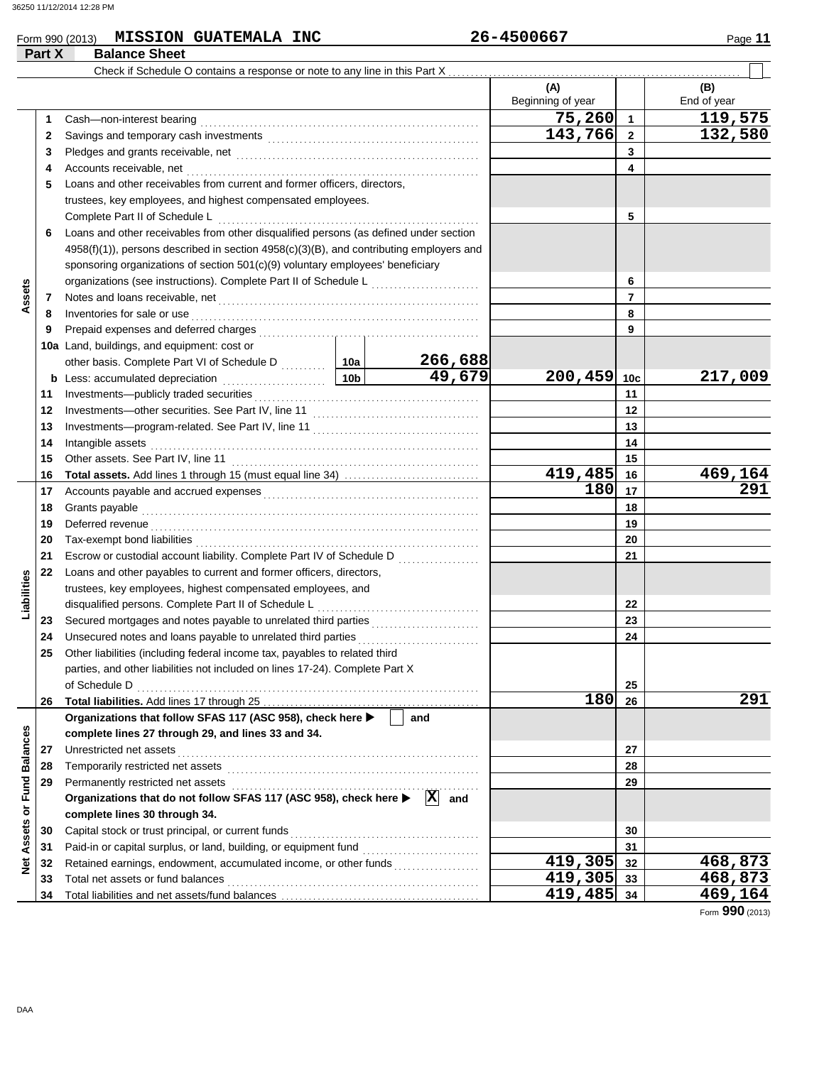#### Form 990 (2013) Page **11 MISSION GUATEMALA INC 26-4500667**

|                             | Part X | <b>Balance Sheet</b>                                                                                                                                                                                                           |                 |                       |                          |                 |                    |
|-----------------------------|--------|--------------------------------------------------------------------------------------------------------------------------------------------------------------------------------------------------------------------------------|-----------------|-----------------------|--------------------------|-----------------|--------------------|
|                             |        | Check if Schedule O contains a response or note to any line in this Part X.                                                                                                                                                    |                 |                       |                          |                 |                    |
|                             |        |                                                                                                                                                                                                                                |                 |                       | (A)<br>Beginning of year |                 | (B)<br>End of year |
|                             | 1      | Cash-non-interest bearing                                                                                                                                                                                                      |                 |                       | 75,260                   | $\blacksquare$  | 119,575            |
|                             | 2      |                                                                                                                                                                                                                                |                 |                       | 143,766                  | $\overline{2}$  | 132,580            |
|                             | 3      |                                                                                                                                                                                                                                |                 |                       |                          | 3               |                    |
|                             | 4      | Accounts receivable, net                                                                                                                                                                                                       |                 |                       |                          | 4               |                    |
|                             | 5      | Loans and other receivables from current and former officers, directors,                                                                                                                                                       |                 |                       |                          |                 |                    |
|                             |        | trustees, key employees, and highest compensated employees.                                                                                                                                                                    |                 |                       |                          |                 |                    |
|                             |        | Complete Part II of Schedule L                                                                                                                                                                                                 |                 |                       |                          | 5               |                    |
|                             | 6      | Loans and other receivables from other disqualified persons (as defined under section                                                                                                                                          |                 |                       |                          |                 |                    |
|                             |        | $4958(f)(1)$ ), persons described in section $4958(c)(3)(B)$ , and contributing employers and                                                                                                                                  |                 |                       |                          |                 |                    |
|                             |        | sponsoring organizations of section 501(c)(9) voluntary employees' beneficiary                                                                                                                                                 |                 |                       |                          |                 |                    |
|                             |        | organizations (see instructions). Complete Part II of Schedule L [111] [11]                                                                                                                                                    |                 |                       |                          | 6               |                    |
| Assets                      | 7      |                                                                                                                                                                                                                                |                 |                       |                          | $\overline{7}$  |                    |
|                             | 8      | Inventories for sale or use                                                                                                                                                                                                    |                 |                       |                          | 8               |                    |
|                             | 9      |                                                                                                                                                                                                                                |                 |                       |                          | 9               |                    |
|                             |        | 10a Land, buildings, and equipment: cost or                                                                                                                                                                                    |                 |                       |                          |                 |                    |
|                             |        |                                                                                                                                                                                                                                |                 | 266,688               |                          |                 |                    |
|                             |        | b Less: accumulated depreciation [1] [1] Less: accumulated depreciation                                                                                                                                                        | 10 <sub>b</sub> | 49,679                | 200,459                  | 10 <sub>c</sub> | 217,009            |
|                             | 11     |                                                                                                                                                                                                                                |                 |                       |                          | 11              |                    |
|                             | 12     |                                                                                                                                                                                                                                |                 |                       |                          | 12              |                    |
|                             | 13     |                                                                                                                                                                                                                                |                 |                       |                          | 13              |                    |
|                             | 14     | Intangible assets                                                                                                                                                                                                              |                 |                       |                          | 14              |                    |
|                             | 15     | Other assets. See Part IV, line 11                                                                                                                                                                                             |                 |                       |                          | 15              |                    |
|                             | 16     |                                                                                                                                                                                                                                |                 |                       | 419,485                  | 16              | 469,164            |
|                             | 17     |                                                                                                                                                                                                                                |                 |                       | 180                      | 17              | 291                |
|                             | 18     |                                                                                                                                                                                                                                |                 |                       |                          | 18              |                    |
|                             | 19     | Deferred revenue communications and contain the contract of the contract of the contract of the contract of the contract of the contract of the contract of the contract of the contract of the contract of the contract of th |                 |                       |                          | 19              |                    |
|                             | 20     |                                                                                                                                                                                                                                |                 |                       |                          | 20              |                    |
|                             | 21     |                                                                                                                                                                                                                                |                 |                       |                          | 21              |                    |
|                             | 22     | Loans and other payables to current and former officers, directors,                                                                                                                                                            |                 |                       |                          |                 |                    |
| Liabilities                 |        | trustees, key employees, highest compensated employees, and                                                                                                                                                                    |                 |                       |                          |                 |                    |
|                             |        | disqualified persons. Complete Part II of Schedule L                                                                                                                                                                           |                 |                       |                          | 22              |                    |
|                             | 23     | Secured mortgages and notes payable to unrelated third parties                                                                                                                                                                 |                 |                       |                          | 23              |                    |
|                             | 24     | Unsecured notes and loans payable to unrelated third parties                                                                                                                                                                   |                 |                       |                          | 24              |                    |
|                             |        | Other liabilities (including federal income tax, payables to related third                                                                                                                                                     |                 |                       |                          |                 |                    |
|                             |        | parties, and other liabilities not included on lines 17-24). Complete Part X                                                                                                                                                   |                 |                       |                          |                 |                    |
|                             |        | of Schedule D                                                                                                                                                                                                                  |                 |                       |                          | 25              |                    |
|                             | 26     |                                                                                                                                                                                                                                |                 |                       | 180                      | 26              | 291                |
|                             |        | Organizations that follow SFAS 117 (ASC 958), check here >                                                                                                                                                                     |                 | and                   |                          |                 |                    |
|                             |        | complete lines 27 through 29, and lines 33 and 34.                                                                                                                                                                             |                 |                       |                          |                 |                    |
|                             | 27     | Unrestricted net assets                                                                                                                                                                                                        |                 |                       |                          | 27              |                    |
|                             | 28     | Temporarily restricted net assets                                                                                                                                                                                              |                 |                       |                          | 28              |                    |
|                             | 29     | Permanently restricted net assets                                                                                                                                                                                              |                 |                       |                          | 29              |                    |
|                             |        | Organizations that do not follow SFAS 117 (ASC 958), check here ▶                                                                                                                                                              |                 | $ \mathbf{X} $<br>and |                          |                 |                    |
| Net Assets or Fund Balances |        | complete lines 30 through 34.                                                                                                                                                                                                  |                 |                       |                          |                 |                    |
|                             | 30     | Capital stock or trust principal, or current funds                                                                                                                                                                             |                 |                       |                          | 30              |                    |
|                             | 31     | Paid-in or capital surplus, or land, building, or equipment fund                                                                                                                                                               |                 |                       |                          | 31              |                    |
|                             | 32     |                                                                                                                                                                                                                                |                 |                       | 419,305 32               |                 | 468,873            |
|                             | 33     | Total net assets or fund balances                                                                                                                                                                                              |                 |                       | 419, 305 33              |                 | 468,873<br>469,164 |
|                             | 34     |                                                                                                                                                                                                                                |                 |                       | 419, 485 34              |                 |                    |

Form **990** (2013)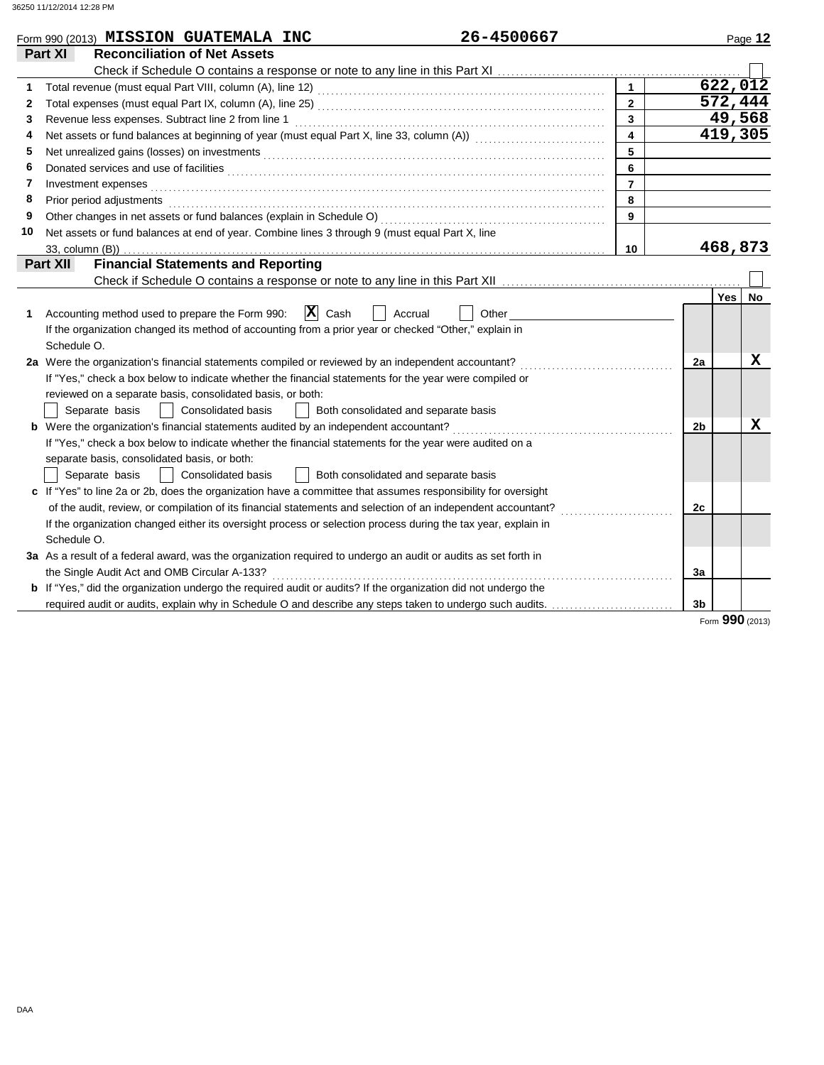|    | Form 990 (2013) MISSION GUATEMALA INC                                                                                                                                                                                                | 26-4500667                           |                         |                |            | Page 12                |
|----|--------------------------------------------------------------------------------------------------------------------------------------------------------------------------------------------------------------------------------------|--------------------------------------|-------------------------|----------------|------------|------------------------|
|    | <b>Reconciliation of Net Assets</b><br>Part XI                                                                                                                                                                                       |                                      |                         |                |            |                        |
|    |                                                                                                                                                                                                                                      |                                      |                         |                |            |                        |
| 1  |                                                                                                                                                                                                                                      |                                      | $\mathbf{1}$            |                |            | 622,012                |
| 2  |                                                                                                                                                                                                                                      |                                      | $\overline{2}$          |                | 572,444    |                        |
| 3  | Revenue less expenses. Subtract line 2 from line 1                                                                                                                                                                                   |                                      | $\mathbf{3}$            |                |            | 49,568                 |
| 4  |                                                                                                                                                                                                                                      |                                      | $\overline{\mathbf{4}}$ |                |            | $\overline{419}$ , 305 |
| 5  | Net unrealized gains (losses) on investments [11] Martin Martin Martin Martin Martin Martin Martin Martin Marti                                                                                                                      |                                      | 5                       |                |            |                        |
| 6  |                                                                                                                                                                                                                                      |                                      | 6                       |                |            |                        |
| 7  | Investment expenses <b>contract and the contract of the contract of the contract of the contract of the contract of the contract of the contract of the contract of the contract of the contract of the contract of the contract</b> |                                      | $\overline{7}$          |                |            |                        |
| 8  | Prior period adjustments entertainments and a statement of the statement of the statement of the statement of                                                                                                                        |                                      | 8                       |                |            |                        |
| 9  |                                                                                                                                                                                                                                      |                                      | 9                       |                |            |                        |
| 10 | Net assets or fund balances at end of year. Combine lines 3 through 9 (must equal Part X, line                                                                                                                                       |                                      |                         |                |            |                        |
|    | 33, column (B))                                                                                                                                                                                                                      |                                      | 10                      |                | 468,873    |                        |
|    | <b>Financial Statements and Reporting</b><br>Part XII                                                                                                                                                                                |                                      |                         |                |            |                        |
|    |                                                                                                                                                                                                                                      |                                      |                         |                |            |                        |
|    |                                                                                                                                                                                                                                      |                                      |                         |                | <b>Yes</b> | <b>No</b>              |
| 1  | $ \mathbf{X} $ Cash<br>Accounting method used to prepare the Form 990:                                                                                                                                                               | Accrual<br>Other                     |                         |                |            |                        |
|    | If the organization changed its method of accounting from a prior year or checked "Other," explain in                                                                                                                                |                                      |                         |                |            |                        |
|    | Schedule O.                                                                                                                                                                                                                          |                                      |                         |                |            |                        |
|    | 2a Were the organization's financial statements compiled or reviewed by an independent accountant?                                                                                                                                   |                                      |                         | 2a             |            | x                      |
|    | If "Yes," check a box below to indicate whether the financial statements for the year were compiled or                                                                                                                               |                                      |                         |                |            |                        |
|    | reviewed on a separate basis, consolidated basis, or both:                                                                                                                                                                           |                                      |                         |                |            |                        |
|    | <b>Consolidated basis</b><br>Separate basis                                                                                                                                                                                          | Both consolidated and separate basis |                         |                |            |                        |
|    |                                                                                                                                                                                                                                      |                                      |                         | 2 <sub>b</sub> |            | х                      |
|    | If "Yes," check a box below to indicate whether the financial statements for the year were audited on a                                                                                                                              |                                      |                         |                |            |                        |
|    | separate basis, consolidated basis, or both:                                                                                                                                                                                         |                                      |                         |                |            |                        |
|    | Separate basis<br>Consolidated basis                                                                                                                                                                                                 | Both consolidated and separate basis |                         |                |            |                        |
|    | c If "Yes" to line 2a or 2b, does the organization have a committee that assumes responsibility for oversight                                                                                                                        |                                      |                         |                |            |                        |
|    | of the audit, review, or compilation of its financial statements and selection of an independent accountant?                                                                                                                         |                                      |                         | 2c             |            |                        |
|    | If the organization changed either its oversight process or selection process during the tax year, explain in                                                                                                                        |                                      |                         |                |            |                        |
|    | Schedule O.                                                                                                                                                                                                                          |                                      |                         |                |            |                        |
|    | 3a As a result of a federal award, was the organization required to undergo an audit or audits as set forth in                                                                                                                       |                                      |                         |                |            |                        |
|    | the Single Audit Act and OMB Circular A-133?                                                                                                                                                                                         |                                      |                         | 3a             |            |                        |
|    | <b>b</b> If "Yes," did the organization undergo the required audit or audits? If the organization did not undergo the                                                                                                                |                                      |                         |                |            |                        |
|    | required audit or audits, explain why in Schedule O and describe any steps taken to undergo such audits.                                                                                                                             |                                      |                         | 3b             |            |                        |
|    |                                                                                                                                                                                                                                      |                                      |                         |                |            | Form 990 (2013)        |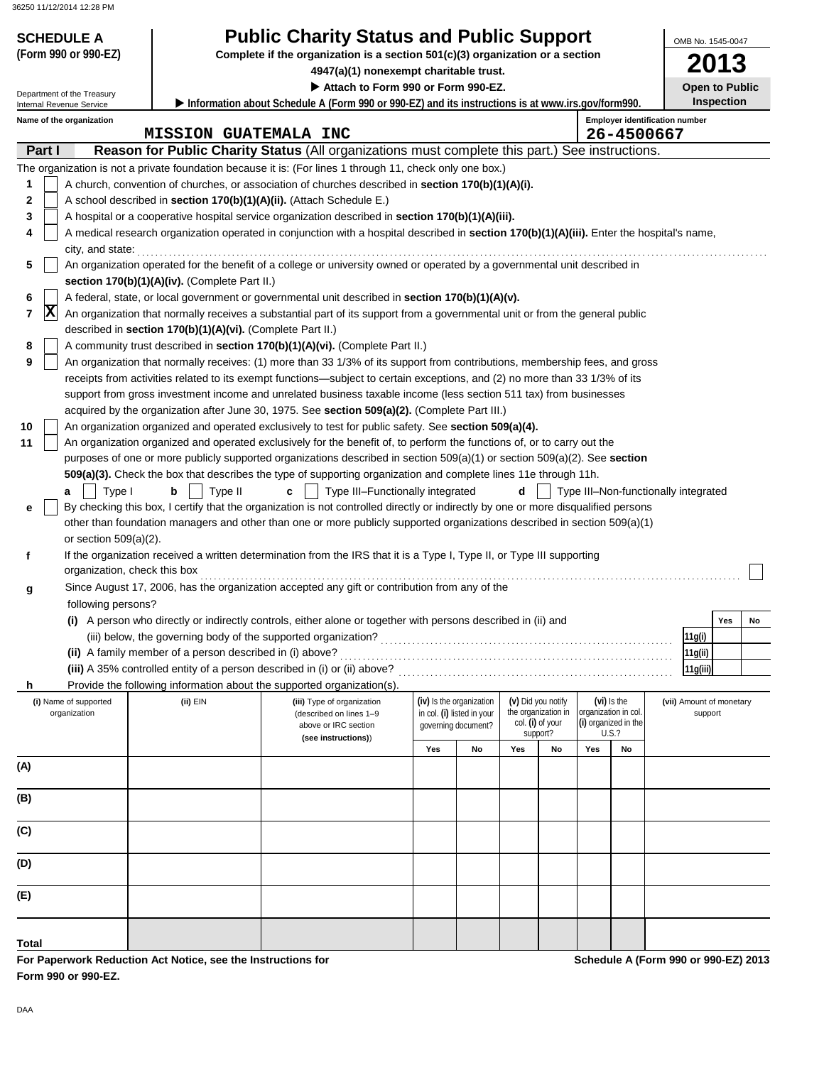| (Form 990 or 990-EZ)                                   |                                                                      | Complete if the organization is a section 501(c)(3) organization or a section<br>4947(a)(1) nonexempt charitable trust.<br>Attach to Form 990 or Form 990-EZ.                                                                                              |     |                                                   |     |                                         |     |                                              |                                       | <b>2013</b><br><b>Open to Public</b> |
|--------------------------------------------------------|----------------------------------------------------------------------|------------------------------------------------------------------------------------------------------------------------------------------------------------------------------------------------------------------------------------------------------------|-----|---------------------------------------------------|-----|-----------------------------------------|-----|----------------------------------------------|---------------------------------------|--------------------------------------|
| Department of the Treasury<br>Internal Revenue Service |                                                                      | Information about Schedule A (Form 990 or 990-EZ) and its instructions is at www.irs.gov/form990.                                                                                                                                                          |     |                                                   |     |                                         |     |                                              |                                       | <b>Inspection</b>                    |
| Name of the organization                               |                                                                      |                                                                                                                                                                                                                                                            |     |                                                   |     |                                         |     |                                              | <b>Employer identification number</b> |                                      |
|                                                        | <b>MISSION GUATEMALA INC</b>                                         |                                                                                                                                                                                                                                                            |     |                                                   |     |                                         |     | 26-4500667                                   |                                       |                                      |
| Part I                                                 |                                                                      | Reason for Public Charity Status (All organizations must complete this part.) See instructions.                                                                                                                                                            |     |                                                   |     |                                         |     |                                              |                                       |                                      |
|                                                        |                                                                      | The organization is not a private foundation because it is: (For lines 1 through 11, check only one box.)                                                                                                                                                  |     |                                                   |     |                                         |     |                                              |                                       |                                      |
| 1                                                      |                                                                      | A church, convention of churches, or association of churches described in section 170(b)(1)(A)(i).                                                                                                                                                         |     |                                                   |     |                                         |     |                                              |                                       |                                      |
| 2                                                      | A school described in section 170(b)(1)(A)(ii). (Attach Schedule E.) |                                                                                                                                                                                                                                                            |     |                                                   |     |                                         |     |                                              |                                       |                                      |
| 3                                                      |                                                                      | A hospital or a cooperative hospital service organization described in section 170(b)(1)(A)(iii).                                                                                                                                                          |     |                                                   |     |                                         |     |                                              |                                       |                                      |
| 4                                                      |                                                                      | A medical research organization operated in conjunction with a hospital described in section 170(b)(1)(A)(iii). Enter the hospital's name,                                                                                                                 |     |                                                   |     |                                         |     |                                              |                                       |                                      |
| city, and state:                                       |                                                                      |                                                                                                                                                                                                                                                            |     |                                                   |     |                                         |     |                                              |                                       |                                      |
| 5                                                      |                                                                      | An organization operated for the benefit of a college or university owned or operated by a governmental unit described in                                                                                                                                  |     |                                                   |     |                                         |     |                                              |                                       |                                      |
|                                                        | section 170(b)(1)(A)(iv). (Complete Part II.)                        |                                                                                                                                                                                                                                                            |     |                                                   |     |                                         |     |                                              |                                       |                                      |
| 6                                                      |                                                                      | A federal, state, or local government or governmental unit described in section 170(b)(1)(A)(v).                                                                                                                                                           |     |                                                   |     |                                         |     |                                              |                                       |                                      |
| $ \mathbf{X} $<br>7                                    |                                                                      | An organization that normally receives a substantial part of its support from a governmental unit or from the general public                                                                                                                               |     |                                                   |     |                                         |     |                                              |                                       |                                      |
|                                                        | described in section 170(b)(1)(A)(vi). (Complete Part II.)           |                                                                                                                                                                                                                                                            |     |                                                   |     |                                         |     |                                              |                                       |                                      |
| 8                                                      |                                                                      | A community trust described in section 170(b)(1)(A)(vi). (Complete Part II.)                                                                                                                                                                               |     |                                                   |     |                                         |     |                                              |                                       |                                      |
| 9                                                      |                                                                      | An organization that normally receives: (1) more than 33 1/3% of its support from contributions, membership fees, and gross<br>receipts from activities related to its exempt functions—subject to certain exceptions, and (2) no more than 33 1/3% of its |     |                                                   |     |                                         |     |                                              |                                       |                                      |
|                                                        |                                                                      | support from gross investment income and unrelated business taxable income (less section 511 tax) from businesses                                                                                                                                          |     |                                                   |     |                                         |     |                                              |                                       |                                      |
|                                                        |                                                                      | acquired by the organization after June 30, 1975. See section 509(a)(2). (Complete Part III.)                                                                                                                                                              |     |                                                   |     |                                         |     |                                              |                                       |                                      |
| 10                                                     |                                                                      | An organization organized and operated exclusively to test for public safety. See section 509(a)(4).                                                                                                                                                       |     |                                                   |     |                                         |     |                                              |                                       |                                      |
| 11                                                     |                                                                      | An organization organized and operated exclusively for the benefit of, to perform the functions of, or to carry out the                                                                                                                                    |     |                                                   |     |                                         |     |                                              |                                       |                                      |
|                                                        |                                                                      | purposes of one or more publicly supported organizations described in section $509(a)(1)$ or section $509(a)(2)$ . See section                                                                                                                             |     |                                                   |     |                                         |     |                                              |                                       |                                      |
|                                                        |                                                                      | 509(a)(3). Check the box that describes the type of supporting organization and complete lines 11e through 11h.                                                                                                                                            |     |                                                   |     |                                         |     |                                              |                                       |                                      |
| Type I<br>a                                            | b<br>Type II                                                         | Type III-Functionally integrated<br>c                                                                                                                                                                                                                      |     |                                                   | d   |                                         |     |                                              | Type III-Non-functionally integrated  |                                      |
| е                                                      |                                                                      | By checking this box, I certify that the organization is not controlled directly or indirectly by one or more disqualified persons                                                                                                                         |     |                                                   |     |                                         |     |                                              |                                       |                                      |
|                                                        |                                                                      | other than foundation managers and other than one or more publicly supported organizations described in section 509(a)(1)                                                                                                                                  |     |                                                   |     |                                         |     |                                              |                                       |                                      |
| or section $509(a)(2)$ .                               |                                                                      |                                                                                                                                                                                                                                                            |     |                                                   |     |                                         |     |                                              |                                       |                                      |
| f                                                      |                                                                      | If the organization received a written determination from the IRS that it is a Type I, Type II, or Type III supporting                                                                                                                                     |     |                                                   |     |                                         |     |                                              |                                       |                                      |
|                                                        | organization, check this box                                         |                                                                                                                                                                                                                                                            |     |                                                   |     |                                         |     |                                              |                                       |                                      |
| g                                                      |                                                                      | Since August 17, 2006, has the organization accepted any gift or contribution from any of the                                                                                                                                                              |     |                                                   |     |                                         |     |                                              |                                       |                                      |
| following persons?                                     |                                                                      |                                                                                                                                                                                                                                                            |     |                                                   |     |                                         |     |                                              |                                       |                                      |
|                                                        |                                                                      | (i) A person who directly or indirectly controls, either alone or together with persons described in (ii) and                                                                                                                                              |     |                                                   |     |                                         |     |                                              |                                       | Yes<br>No                            |
|                                                        | (iii) below, the governing body of the supported organization?       |                                                                                                                                                                                                                                                            |     |                                                   |     |                                         |     |                                              | 11g(i)                                |                                      |
|                                                        | (ii) A family member of a person described in (i) above?             |                                                                                                                                                                                                                                                            |     |                                                   |     |                                         |     |                                              | 11g(ii)                               |                                      |
|                                                        |                                                                      | (iii) A 35% controlled entity of a person described in (i) or (ii) above?                                                                                                                                                                                  |     |                                                   |     |                                         |     |                                              | 11g(iii)                              |                                      |
| h.                                                     |                                                                      | Provide the following information about the supported organization(s).                                                                                                                                                                                     |     |                                                   |     |                                         |     |                                              |                                       |                                      |
| (i) Name of supported                                  | (ii) EIN                                                             | (iii) Type of organization                                                                                                                                                                                                                                 |     | (iv) Is the organization                          |     | (v) Did you notify                      |     | $(vi)$ is the                                |                                       | (vii) Amount of monetary             |
| organization                                           |                                                                      | (described on lines 1-9<br>above or IRC section                                                                                                                                                                                                            |     | in col. (i) listed in your<br>governing document? |     | the organization in<br>col. (i) of your |     | organization in col.<br>(i) organized in the |                                       | support                              |
|                                                        |                                                                      | (see instructions))                                                                                                                                                                                                                                        |     |                                                   |     | support?                                |     | U.S.?                                        |                                       |                                      |
|                                                        |                                                                      |                                                                                                                                                                                                                                                            | Yes | No                                                | Yes | No                                      | Yes | No                                           |                                       |                                      |
| (A)                                                    |                                                                      |                                                                                                                                                                                                                                                            |     |                                                   |     |                                         |     |                                              |                                       |                                      |
|                                                        |                                                                      |                                                                                                                                                                                                                                                            |     |                                                   |     |                                         |     |                                              |                                       |                                      |
| (B)                                                    |                                                                      |                                                                                                                                                                                                                                                            |     |                                                   |     |                                         |     |                                              |                                       |                                      |
|                                                        |                                                                      |                                                                                                                                                                                                                                                            |     |                                                   |     |                                         |     |                                              |                                       |                                      |
| (C)                                                    |                                                                      |                                                                                                                                                                                                                                                            |     |                                                   |     |                                         |     |                                              |                                       |                                      |
|                                                        |                                                                      |                                                                                                                                                                                                                                                            |     |                                                   |     |                                         |     |                                              |                                       |                                      |
| (D)                                                    |                                                                      |                                                                                                                                                                                                                                                            |     |                                                   |     |                                         |     |                                              |                                       |                                      |
| (E)                                                    |                                                                      |                                                                                                                                                                                                                                                            |     |                                                   |     |                                         |     |                                              |                                       |                                      |
|                                                        |                                                                      |                                                                                                                                                                                                                                                            |     |                                                   |     |                                         |     |                                              |                                       |                                      |
|                                                        |                                                                      |                                                                                                                                                                                                                                                            |     |                                                   |     |                                         |     |                                              |                                       |                                      |

## **Total**

**For Paperwork Reduction Act Notice, see the Instructions for Form 990 or 990-EZ.**

**Schedule A (Form 990 or 990-EZ) 2013**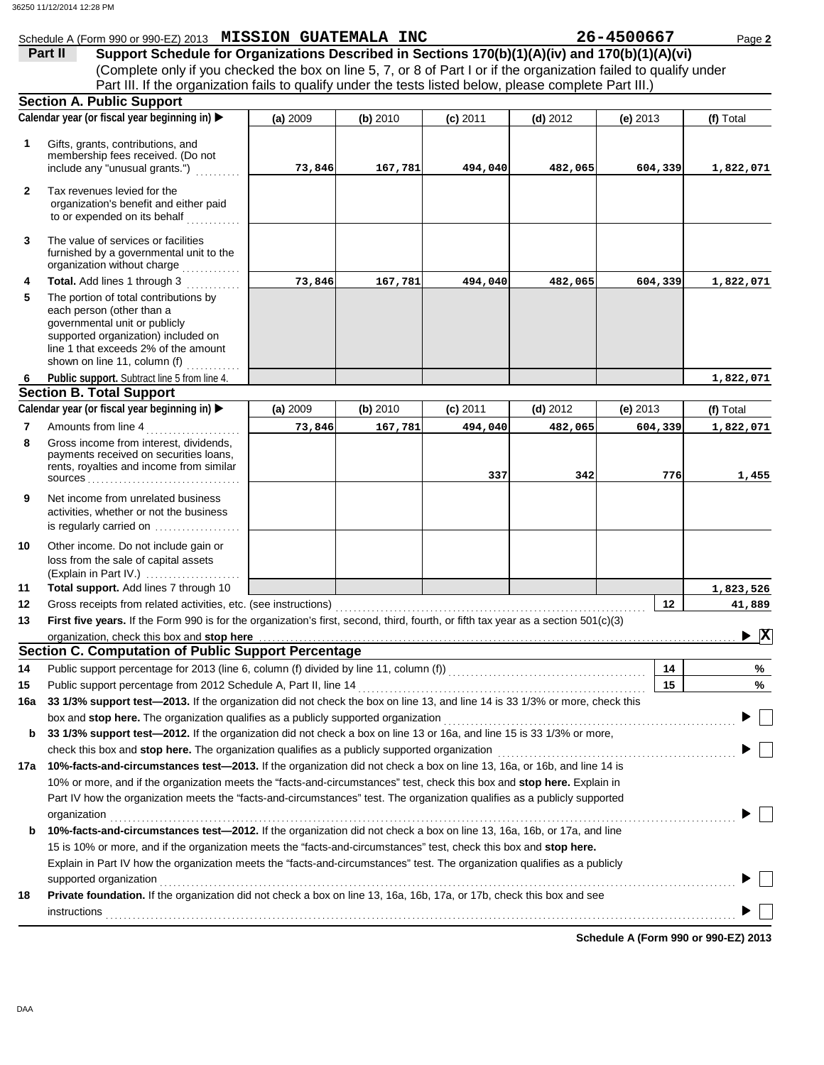|              | Schedule A (Form 990 or 990-EZ) 2013 MISSION GUATEMALA INC                                                                                                                                                                                                                                |          |          |            |            | 26-4500667 | Page 2                             |
|--------------|-------------------------------------------------------------------------------------------------------------------------------------------------------------------------------------------------------------------------------------------------------------------------------------------|----------|----------|------------|------------|------------|------------------------------------|
|              | Support Schedule for Organizations Described in Sections 170(b)(1)(A)(iv) and 170(b)(1)(A)(vi)<br>Part II                                                                                                                                                                                 |          |          |            |            |            |                                    |
|              | (Complete only if you checked the box on line 5, 7, or 8 of Part I or if the organization failed to qualify under                                                                                                                                                                         |          |          |            |            |            |                                    |
|              | Part III. If the organization fails to qualify under the tests listed below, please complete Part III.)                                                                                                                                                                                   |          |          |            |            |            |                                    |
|              | <b>Section A. Public Support</b>                                                                                                                                                                                                                                                          |          |          |            |            |            |                                    |
|              | Calendar year (or fiscal year beginning in)                                                                                                                                                                                                                                               | (a) 2009 | (b) 2010 | $(c)$ 2011 | $(d)$ 2012 | $(e)$ 2013 | (f) Total                          |
|              |                                                                                                                                                                                                                                                                                           |          |          |            |            |            |                                    |
| $\mathbf{1}$ | Gifts, grants, contributions, and                                                                                                                                                                                                                                                         |          |          |            |            |            |                                    |
|              | membership fees received. (Do not<br>include any "unusual grants.")                                                                                                                                                                                                                       | 73,846   | 167,781  | 494,040    | 482,065    | 604,339    | 1,822,071                          |
|              |                                                                                                                                                                                                                                                                                           |          |          |            |            |            |                                    |
| $\mathbf{2}$ | Tax revenues levied for the                                                                                                                                                                                                                                                               |          |          |            |            |            |                                    |
|              | organization's benefit and either paid                                                                                                                                                                                                                                                    |          |          |            |            |            |                                    |
|              | to or expended on its behalf                                                                                                                                                                                                                                                              |          |          |            |            |            |                                    |
| 3            | The value of services or facilities                                                                                                                                                                                                                                                       |          |          |            |            |            |                                    |
|              | furnished by a governmental unit to the                                                                                                                                                                                                                                                   |          |          |            |            |            |                                    |
|              | organization without charge                                                                                                                                                                                                                                                               |          |          |            |            |            |                                    |
| 4            | Total. Add lines 1 through 3                                                                                                                                                                                                                                                              | 73,846   | 167,781  | 494,040    | 482,065    | 604,339    | 1,822,071                          |
| 5            | The portion of total contributions by                                                                                                                                                                                                                                                     |          |          |            |            |            |                                    |
|              | each person (other than a                                                                                                                                                                                                                                                                 |          |          |            |            |            |                                    |
|              | governmental unit or publicly<br>supported organization) included on                                                                                                                                                                                                                      |          |          |            |            |            |                                    |
|              | line 1 that exceeds 2% of the amount                                                                                                                                                                                                                                                      |          |          |            |            |            |                                    |
|              | shown on line 11, column (f)                                                                                                                                                                                                                                                              |          |          |            |            |            |                                    |
|              | Public support. Subtract line 5 from line 4.                                                                                                                                                                                                                                              |          |          |            |            |            | 1,822,071                          |
|              | <b>Section B. Total Support</b>                                                                                                                                                                                                                                                           |          |          |            |            |            |                                    |
|              | Calendar year (or fiscal year beginning in)                                                                                                                                                                                                                                               | (a) 2009 | (b) 2010 | $(c)$ 2011 | $(d)$ 2012 | $(e)$ 2013 | (f) Total                          |
| 7            | Amounts from line 4                                                                                                                                                                                                                                                                       | 73,846   | 167,781  | 494,040    | 482,065    | 604,339    | 1,822,071                          |
| 8            | Gross income from interest, dividends,                                                                                                                                                                                                                                                    |          |          |            |            |            |                                    |
|              | payments received on securities loans,                                                                                                                                                                                                                                                    |          |          |            |            |            |                                    |
|              | rents, royalties and income from similar                                                                                                                                                                                                                                                  |          |          | 337        | 342        | 776        | 1,455                              |
|              | $sources \dots \dots \dots \dots \dots \dots \dots \dots \dots \dots \dots \dots$                                                                                                                                                                                                         |          |          |            |            |            |                                    |
| 9            | Net income from unrelated business                                                                                                                                                                                                                                                        |          |          |            |            |            |                                    |
|              | activities, whether or not the business                                                                                                                                                                                                                                                   |          |          |            |            |            |                                    |
|              | is regularly carried on $\ldots$ , $\ldots$ , $\ldots$                                                                                                                                                                                                                                    |          |          |            |            |            |                                    |
| 10           | Other income. Do not include gain or                                                                                                                                                                                                                                                      |          |          |            |            |            |                                    |
|              | loss from the sale of capital assets                                                                                                                                                                                                                                                      |          |          |            |            |            |                                    |
|              | (Explain in Part IV.)<br>Total support. Add lines 7 through 10                                                                                                                                                                                                                            |          |          |            |            |            |                                    |
| 11           |                                                                                                                                                                                                                                                                                           |          |          |            |            |            | 1,823,526                          |
| 12           | Gross receipts from related activities, etc. (see instructions)                                                                                                                                                                                                                           |          |          |            |            | $12 \,$    | 41,889                             |
| 13           | First five years. If the Form 990 is for the organization's first, second, third, fourth, or fifth tax year as a section 501(c)(3)                                                                                                                                                        |          |          |            |            |            |                                    |
|              | organization, check this box and stop here <b>construction</b> and construction of the construction of the construction of the construction of the construction of the construction of the construction of the construction of the<br>Section C. Computation of Public Support Percentage |          |          |            |            |            | $\blacktriangleright$ $\mathbf{X}$ |
|              |                                                                                                                                                                                                                                                                                           |          |          |            |            |            |                                    |
| 14           | Public support percentage for 2013 (line 6, column (f) divided by line 11, column (f)) [[[[[[[[[[[[[[[[[[[[[[                                                                                                                                                                             |          |          |            |            | 14         | %                                  |
| 15           |                                                                                                                                                                                                                                                                                           |          |          |            |            | 15         | %                                  |
| 16a          | 33 1/3% support test-2013. If the organization did not check the box on line 13, and line 14 is 33 1/3% or more, check this                                                                                                                                                               |          |          |            |            |            |                                    |
|              | box and stop here. The organization qualifies as a publicly supported organization                                                                                                                                                                                                        |          |          |            |            |            |                                    |
| b            | 33 1/3% support test-2012. If the organization did not check a box on line 13 or 16a, and line 15 is 33 1/3% or more,                                                                                                                                                                     |          |          |            |            |            |                                    |
|              |                                                                                                                                                                                                                                                                                           |          |          |            |            |            |                                    |
| 17a          | 10%-facts-and-circumstances test-2013. If the organization did not check a box on line 13, 16a, or 16b, and line 14 is                                                                                                                                                                    |          |          |            |            |            |                                    |
|              | 10% or more, and if the organization meets the "facts-and-circumstances" test, check this box and stop here. Explain in                                                                                                                                                                   |          |          |            |            |            |                                    |
|              | Part IV how the organization meets the "facts-and-circumstances" test. The organization qualifies as a publicly supported                                                                                                                                                                 |          |          |            |            |            |                                    |
|              | organization                                                                                                                                                                                                                                                                              |          |          |            |            |            |                                    |
| b            | 10%-facts-and-circumstances test-2012. If the organization did not check a box on line 13, 16a, 16b, or 17a, and line                                                                                                                                                                     |          |          |            |            |            |                                    |
|              | 15 is 10% or more, and if the organization meets the "facts-and-circumstances" test, check this box and stop here.                                                                                                                                                                        |          |          |            |            |            |                                    |
|              | Explain in Part IV how the organization meets the "facts-and-circumstances" test. The organization qualifies as a publicly                                                                                                                                                                |          |          |            |            |            |                                    |
|              | supported organization                                                                                                                                                                                                                                                                    |          |          |            |            |            |                                    |
| 18           | Private foundation. If the organization did not check a box on line 13, 16a, 16b, 17a, or 17b, check this box and see                                                                                                                                                                     |          |          |            |            |            |                                    |
|              | <b>instructions</b>                                                                                                                                                                                                                                                                       |          |          |            |            |            |                                    |
|              |                                                                                                                                                                                                                                                                                           |          |          |            |            |            |                                    |

**Schedule A (Form 990 or 990-EZ) 2013**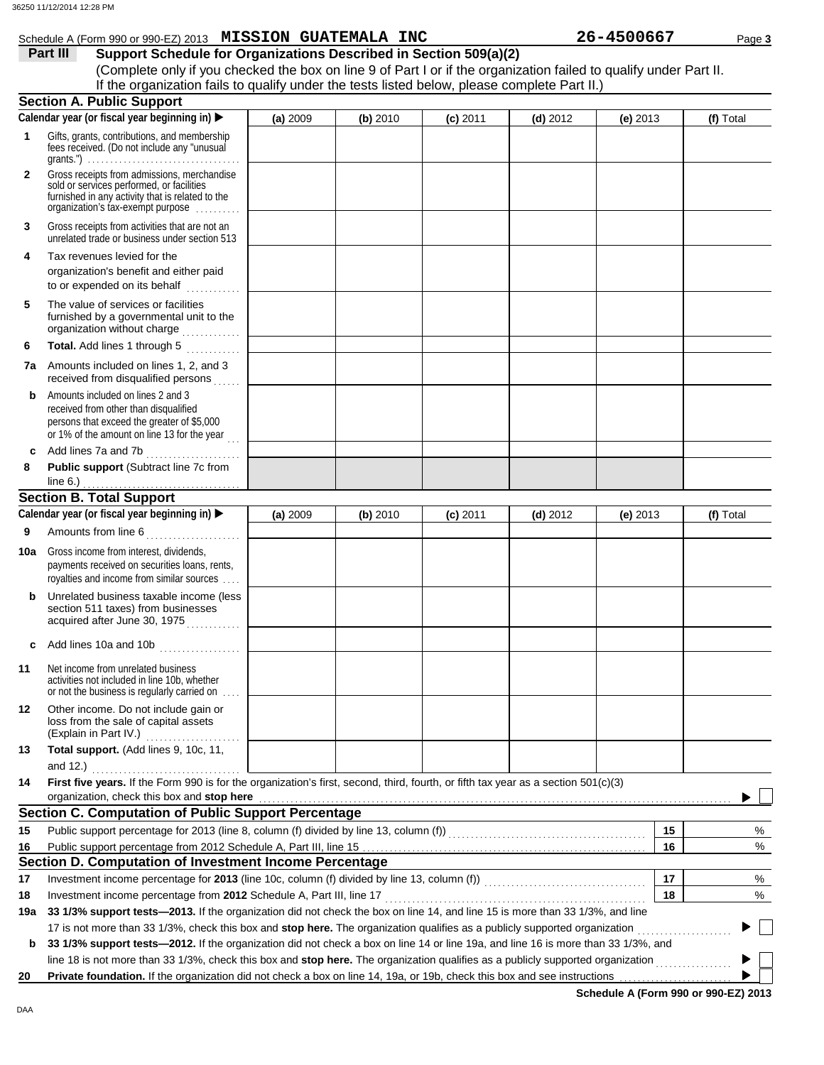|              | Schedule A (Form 990 or 990-EZ) 2013 MISSION GUATEMALA INC                                                                                                                            |          |          |            |            | 26-4500667 | Page 3    |
|--------------|---------------------------------------------------------------------------------------------------------------------------------------------------------------------------------------|----------|----------|------------|------------|------------|-----------|
|              | Part III<br>Support Schedule for Organizations Described in Section 509(a)(2)                                                                                                         |          |          |            |            |            |           |
|              | (Complete only if you checked the box on line 9 of Part I or if the organization failed to qualify under Part II.                                                                     |          |          |            |            |            |           |
|              | If the organization fails to qualify under the tests listed below, please complete Part II.)                                                                                          |          |          |            |            |            |           |
|              | <b>Section A. Public Support</b>                                                                                                                                                      |          |          |            |            |            |           |
|              | Calendar year (or fiscal year beginning in) ▶                                                                                                                                         | (a) 2009 | (b) 2010 | $(c)$ 2011 | $(d)$ 2012 | $(e)$ 2013 | (f) Total |
| $\mathbf{1}$ | Gifts, grants, contributions, and membership<br>fees received. (Do not include any "unusual                                                                                           |          |          |            |            |            |           |
| $\mathbf{2}$ | Gross receipts from admissions, merchandise<br>sold or services performed, or facilities<br>furnished in any activity that is related to the<br>organization's tax-exempt purpose     |          |          |            |            |            |           |
| 3            | Gross receipts from activities that are not an<br>unrelated trade or business under section 513                                                                                       |          |          |            |            |            |           |
| 4            | Tax revenues levied for the<br>organization's benefit and either paid                                                                                                                 |          |          |            |            |            |           |
| 5            | The value of services or facilities<br>furnished by a governmental unit to the<br>organization without charge                                                                         |          |          |            |            |            |           |
| 6            | Total. Add lines 1 through 5                                                                                                                                                          |          |          |            |            |            |           |
| 7a           | Amounts included on lines 1, 2, and 3<br>received from disqualified persons                                                                                                           |          |          |            |            |            |           |
| b            | Amounts included on lines 2 and 3<br>received from other than disqualified<br>persons that exceed the greater of \$5,000<br>or 1% of the amount on line 13 for the year $\frac{1}{1}$ |          |          |            |            |            |           |
|              | Add lines 7a and 7b                                                                                                                                                                   |          |          |            |            |            |           |
| 8            | Public support (Subtract line 7c from                                                                                                                                                 |          |          |            |            |            |           |
|              | line $6.$ )                                                                                                                                                                           |          |          |            |            |            |           |
|              | <b>Section B. Total Support</b>                                                                                                                                                       |          |          |            |            |            |           |
|              | Calendar year (or fiscal year beginning in)                                                                                                                                           | (a) 2009 | (b) 2010 | $(c)$ 2011 | $(d)$ 2012 | $(e)$ 2013 | (f) Total |
| 9            | Amounts from line 6                                                                                                                                                                   |          |          |            |            |            |           |
| 10a          | Gross income from interest, dividends,<br>payments received on securities loans, rents,<br>royalties and income from similar sources                                                  |          |          |            |            |            |           |
| b            | Unrelated business taxable income (less<br>section 511 taxes) from businesses<br>acquired after June 30, 1975                                                                         |          |          |            |            |            |           |
| c            | Add lines 10a and 10b                                                                                                                                                                 |          |          |            |            |            |           |
| 11           | Net income from unrelated business<br>activities not included in line 10b, whether<br>or not the business is regularly carried on                                                     |          |          |            |            |            |           |
| 12           | Other income. Do not include gain or<br>loss from the sale of capital assets<br>(Explain in Part IV.)                                                                                 |          |          |            |            |            |           |
| 13           | Total support. (Add lines 9, 10c, 11,                                                                                                                                                 |          |          |            |            |            |           |
| 14           | First five years. If the Form 990 is for the organization's first, second, third, fourth, or fifth tax year as a section 501(c)(3)<br>organization, check this box and stop here      |          |          |            |            |            |           |
|              | <b>Section C. Computation of Public Support Percentage</b>                                                                                                                            |          |          |            |            |            |           |
| 15           | Public support percentage for 2013 (line 8, column (f) divided by line 13, column (f)) [[[[[[[[[[[[[[[[[[[[[[                                                                         |          |          |            |            | 15         | %         |
| 16           |                                                                                                                                                                                       |          |          |            |            | 16         | %         |
|              | Section D. Computation of Investment Income Percentage                                                                                                                                |          |          |            |            |            |           |
| 17           |                                                                                                                                                                                       |          |          |            |            | 17         | %         |
| 18           | Investment income percentage from 2012 Schedule A, Part III, line 17                                                                                                                  |          |          |            |            | 18         | %         |
| 19a          | 33 1/3% support tests-2013. If the organization did not check the box on line 14, and line 15 is more than 33 1/3%, and line                                                          |          |          |            |            |            |           |
|              | 17 is not more than 33 1/3%, check this box and stop here. The organization qualifies as a publicly supported organization                                                            |          |          |            |            |            |           |
| b            | 33 1/3% support tests-2012. If the organization did not check a box on line 14 or line 19a, and line 16 is more than 33 1/3%, and                                                     |          |          |            |            |            |           |
|              | line 18 is not more than 33 1/3%, check this box and stop here. The organization qualifies as a publicly supported organization <i>[[[[[[[[[[[[[[[[[[[[]]]]</i>                       |          |          |            |            |            |           |
| 20           | Private foundation. If the organization did not check a box on line 14, 19a, or 19b, check this box and see instructions                                                              |          |          |            |            |            |           |

**Schedule A (Form 990 or 990-EZ) 2013**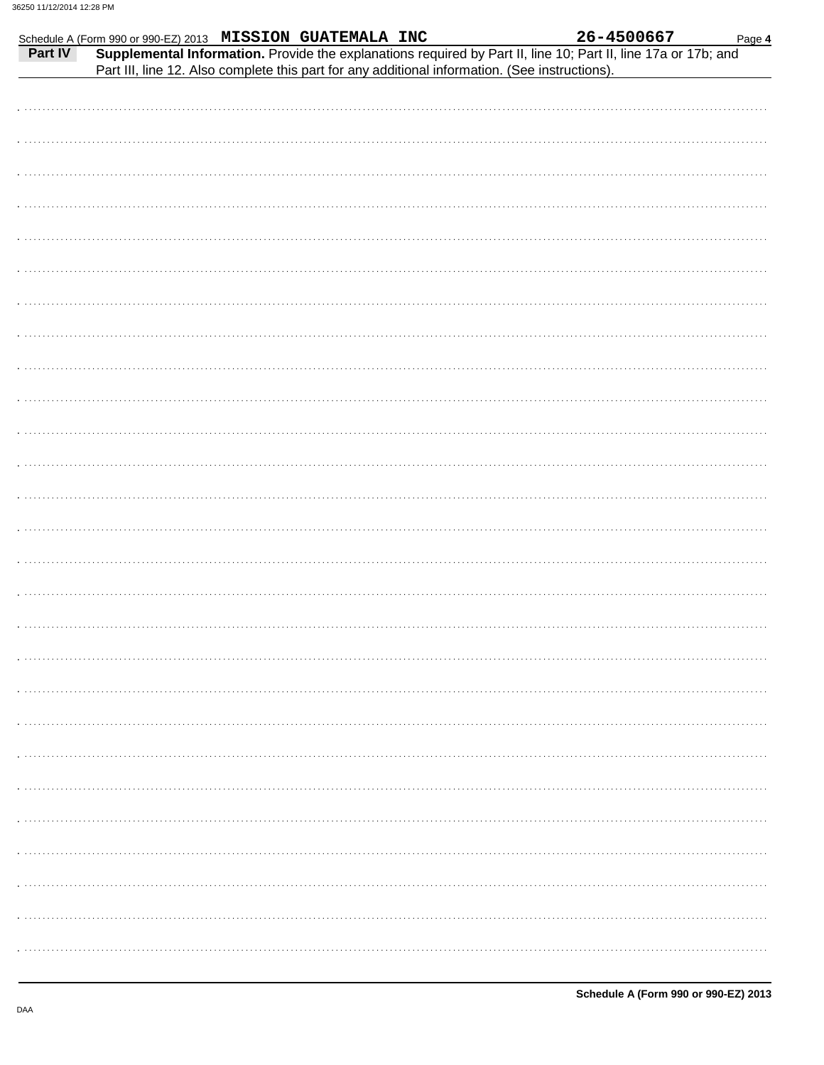|         | Schedule A (Form 990 or 990-EZ) 2013 MISSION GUATEMALA INC |  | 26-4500667<br>Page 4                                                                                           |
|---------|------------------------------------------------------------|--|----------------------------------------------------------------------------------------------------------------|
| Part IV |                                                            |  | Supplemental Information. Provide the explanations required by Part II, line 10; Part II, line 17a or 17b; and |
|         |                                                            |  | Part III, line 12. Also complete this part for any additional information. (See instructions).                 |
|         |                                                            |  |                                                                                                                |
|         |                                                            |  |                                                                                                                |
|         |                                                            |  |                                                                                                                |
|         |                                                            |  |                                                                                                                |
|         |                                                            |  |                                                                                                                |
|         |                                                            |  |                                                                                                                |
|         |                                                            |  |                                                                                                                |
|         |                                                            |  |                                                                                                                |
|         |                                                            |  |                                                                                                                |
|         |                                                            |  |                                                                                                                |
|         |                                                            |  |                                                                                                                |
|         |                                                            |  |                                                                                                                |
|         |                                                            |  |                                                                                                                |
|         |                                                            |  |                                                                                                                |
|         |                                                            |  |                                                                                                                |
|         |                                                            |  |                                                                                                                |
|         |                                                            |  |                                                                                                                |
|         |                                                            |  |                                                                                                                |
|         |                                                            |  |                                                                                                                |
|         |                                                            |  |                                                                                                                |
|         |                                                            |  |                                                                                                                |
|         |                                                            |  |                                                                                                                |
|         |                                                            |  |                                                                                                                |
|         |                                                            |  |                                                                                                                |
|         |                                                            |  |                                                                                                                |
|         |                                                            |  |                                                                                                                |
|         |                                                            |  |                                                                                                                |
|         |                                                            |  |                                                                                                                |
|         |                                                            |  |                                                                                                                |
|         |                                                            |  |                                                                                                                |
|         |                                                            |  |                                                                                                                |
|         |                                                            |  |                                                                                                                |
|         |                                                            |  |                                                                                                                |
|         |                                                            |  |                                                                                                                |
|         |                                                            |  |                                                                                                                |
|         |                                                            |  |                                                                                                                |
|         |                                                            |  |                                                                                                                |
|         |                                                            |  |                                                                                                                |
|         |                                                            |  |                                                                                                                |
|         |                                                            |  |                                                                                                                |
|         |                                                            |  |                                                                                                                |
|         |                                                            |  |                                                                                                                |
|         |                                                            |  |                                                                                                                |
|         |                                                            |  |                                                                                                                |
|         |                                                            |  |                                                                                                                |
|         |                                                            |  |                                                                                                                |
|         |                                                            |  |                                                                                                                |
|         |                                                            |  |                                                                                                                |
|         |                                                            |  |                                                                                                                |
|         |                                                            |  |                                                                                                                |
|         |                                                            |  |                                                                                                                |
|         |                                                            |  |                                                                                                                |
|         |                                                            |  |                                                                                                                |
|         |                                                            |  |                                                                                                                |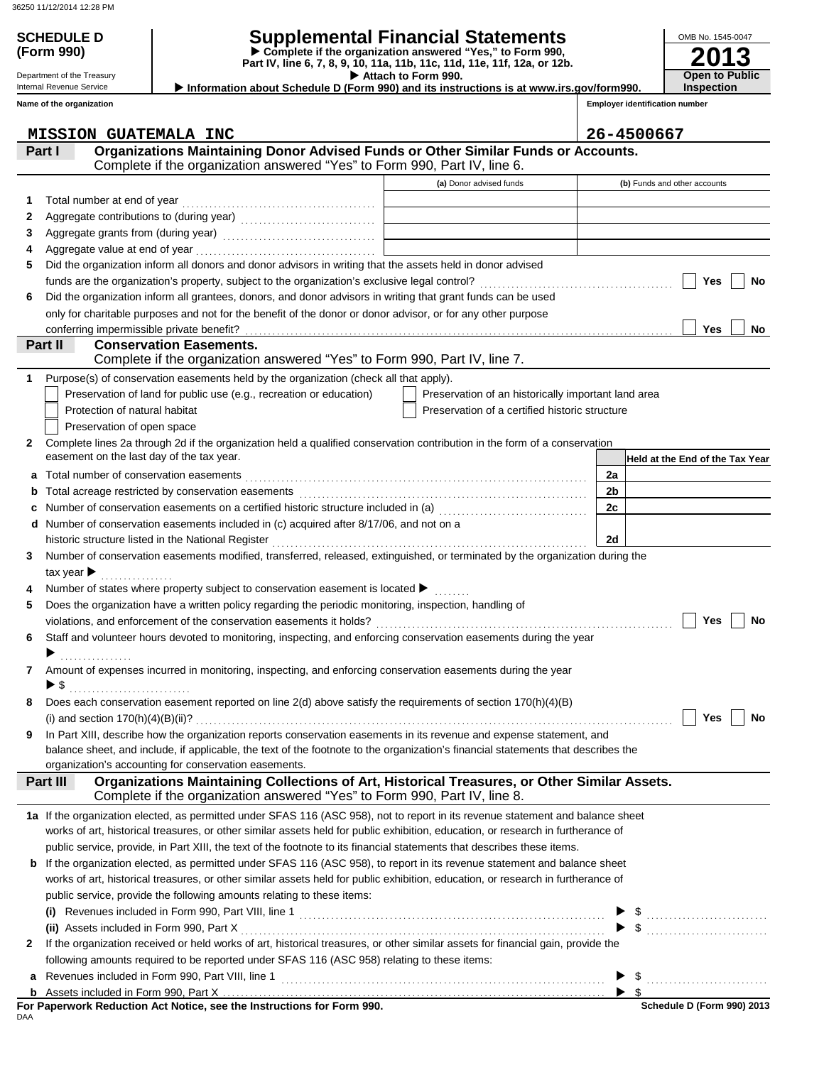**(Form 990)**

# **SCHEDULE D Supplemental Financial Statements**

 **Attach to Form 990. Part IV, line 6, 7, 8, 9, 10, 11a, 11b, 11c, 11d, 11e, 11f, 12a, or 12b. Complete if the organization answered "Yes," to Form 990,**

 **Information about Schedule D (Form 990) and its instructions is at www.irs.gov/form990.**

Department of the Treasury Internal Revenue Service **Name of the organization**

**2013**

**Open to Public Inspection**

OMB No. 1545-0047

| Name of the organization                                                                                                                                                                                                       |                                                     | <b>Employer identification number</b>                 |
|--------------------------------------------------------------------------------------------------------------------------------------------------------------------------------------------------------------------------------|-----------------------------------------------------|-------------------------------------------------------|
| <b>MISSION GUATEMALA INC</b>                                                                                                                                                                                                   |                                                     | 26-4500667                                            |
| Organizations Maintaining Donor Advised Funds or Other Similar Funds or Accounts.<br>Part I<br>Complete if the organization answered "Yes" to Form 990, Part IV, line 6.                                                       |                                                     |                                                       |
|                                                                                                                                                                                                                                | (a) Donor advised funds                             | (b) Funds and other accounts                          |
| Total number at end of year<br>1                                                                                                                                                                                               |                                                     |                                                       |
| 2                                                                                                                                                                                                                              |                                                     |                                                       |
| 3                                                                                                                                                                                                                              |                                                     |                                                       |
| 4                                                                                                                                                                                                                              |                                                     |                                                       |
| Did the organization inform all donors and donor advisors in writing that the assets held in donor advised<br>5                                                                                                                |                                                     |                                                       |
|                                                                                                                                                                                                                                |                                                     | Yes<br>No                                             |
| Did the organization inform all grantees, donors, and donor advisors in writing that grant funds can be used<br>6                                                                                                              |                                                     |                                                       |
| only for charitable purposes and not for the benefit of the donor or donor advisor, or for any other purpose                                                                                                                   |                                                     |                                                       |
|                                                                                                                                                                                                                                |                                                     | <b>Yes</b><br>No                                      |
| Part II<br><b>Conservation Easements.</b><br>Complete if the organization answered "Yes" to Form 990, Part IV, line 7.                                                                                                         |                                                     |                                                       |
| Purpose(s) of conservation easements held by the organization (check all that apply).<br>1                                                                                                                                     |                                                     |                                                       |
| Preservation of land for public use (e.g., recreation or education)                                                                                                                                                            | Preservation of an historically important land area |                                                       |
| Protection of natural habitat                                                                                                                                                                                                  | Preservation of a certified historic structure      |                                                       |
| Preservation of open space                                                                                                                                                                                                     |                                                     |                                                       |
| Complete lines 2a through 2d if the organization held a qualified conservation contribution in the form of a conservation<br>2                                                                                                 |                                                     |                                                       |
| easement on the last day of the tax year.                                                                                                                                                                                      |                                                     | Held at the End of the Tax Year                       |
| a Total number of conservation easements [11, 12] The Conservation conservation of the Conservation conservation conservation conservation conservation conservation conservation conservation conservation conservation conse |                                                     | 2a                                                    |
|                                                                                                                                                                                                                                |                                                     | 2 <sub>b</sub>                                        |
| Number of conservation easements on a certified historic structure included in (a)<br>[20]                                                                                                                                     |                                                     | 2c                                                    |
| d Number of conservation easements included in (c) acquired after 8/17/06, and not on a                                                                                                                                        |                                                     |                                                       |
| Number of conservation easements modified, transferred, released, extinguished, or terminated by the organization during the                                                                                                   |                                                     | 2d                                                    |
| 3                                                                                                                                                                                                                              |                                                     |                                                       |
| Number of states where property subject to conservation easement is located $\blacktriangleright$<br>4                                                                                                                         |                                                     |                                                       |
| Does the organization have a written policy regarding the periodic monitoring, inspection, handling of<br>5                                                                                                                    |                                                     |                                                       |
| violations, and enforcement of the conservation easements it holds?<br>[2012]<br>Although the conservation easements it holds?<br><br>$\frac{1}{2}$                                                                            |                                                     | Yes<br>No                                             |
| Staff and volunteer hours devoted to monitoring, inspecting, and enforcing conservation easements during the year<br>6                                                                                                         |                                                     |                                                       |
| .                                                                                                                                                                                                                              |                                                     |                                                       |
| Amount of expenses incurred in monitoring, inspecting, and enforcing conservation easements during the year<br>7                                                                                                               |                                                     |                                                       |
| $\blacktriangleright$ \$                                                                                                                                                                                                       |                                                     |                                                       |
| Does each conservation easement reported on line $2(d)$ above satisfy the requirements of section 170(h)(4)(B)                                                                                                                 |                                                     |                                                       |
|                                                                                                                                                                                                                                |                                                     | Yes<br>No                                             |
| In Part XIII, describe how the organization reports conservation easements in its revenue and expense statement, and<br>9                                                                                                      |                                                     |                                                       |
| balance sheet, and include, if applicable, the text of the footnote to the organization's financial statements that describes the                                                                                              |                                                     |                                                       |
| organization's accounting for conservation easements.                                                                                                                                                                          |                                                     |                                                       |
| Organizations Maintaining Collections of Art, Historical Treasures, or Other Similar Assets.<br>Part III<br>Complete if the organization answered "Yes" to Form 990, Part IV, line 8.                                          |                                                     |                                                       |
| 1a If the organization elected, as permitted under SFAS 116 (ASC 958), not to report in its revenue statement and balance sheet                                                                                                |                                                     |                                                       |
| works of art, historical treasures, or other similar assets held for public exhibition, education, or research in furtherance of                                                                                               |                                                     |                                                       |
| public service, provide, in Part XIII, the text of the footnote to its financial statements that describes these items.                                                                                                        |                                                     |                                                       |
| <b>b</b> If the organization elected, as permitted under SFAS 116 (ASC 958), to report in its revenue statement and balance sheet                                                                                              |                                                     |                                                       |
| works of art, historical treasures, or other similar assets held for public exhibition, education, or research in furtherance of                                                                                               |                                                     |                                                       |
| public service, provide the following amounts relating to these items:                                                                                                                                                         |                                                     |                                                       |
|                                                                                                                                                                                                                                |                                                     |                                                       |
|                                                                                                                                                                                                                                |                                                     |                                                       |
| If the organization received or held works of art, historical treasures, or other similar assets for financial gain, provide the<br>2                                                                                          |                                                     |                                                       |
| following amounts required to be reported under SFAS 116 (ASC 958) relating to these items:                                                                                                                                    |                                                     |                                                       |
| a                                                                                                                                                                                                                              |                                                     |                                                       |
| b<br>For Paperwork Reduction Act Notice, see the Instructions for Form 990.                                                                                                                                                    |                                                     | $\blacktriangleright$ s<br>Schedule D (Form 990) 2013 |

DAA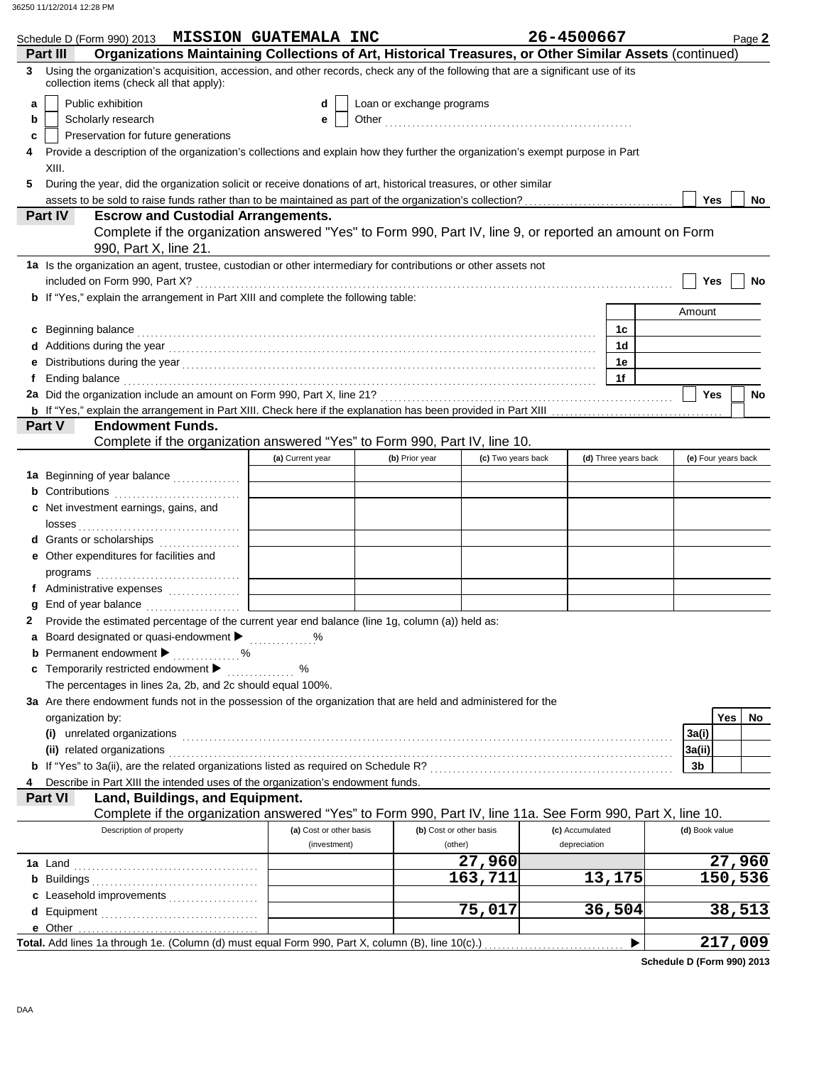| Schedule D (Form 990) 2013 MISSION GUATEMALA INC                                                                                                                                                                                   |                         |                           |                         | 26-4500667           | Page 2                   |
|------------------------------------------------------------------------------------------------------------------------------------------------------------------------------------------------------------------------------------|-------------------------|---------------------------|-------------------------|----------------------|--------------------------|
| Organizations Maintaining Collections of Art, Historical Treasures, or Other Similar Assets (continued)<br>Part III                                                                                                                |                         |                           |                         |                      |                          |
| Using the organization's acquisition, accession, and other records, check any of the following that are a significant use of its<br>3<br>collection items (check all that apply):                                                  |                         |                           |                         |                      |                          |
| Public exhibition<br>a                                                                                                                                                                                                             | d                       | Loan or exchange programs |                         |                      |                          |
| Scholarly research<br>b                                                                                                                                                                                                            | е                       |                           |                         |                      |                          |
| Preservation for future generations<br>c                                                                                                                                                                                           |                         |                           |                         |                      |                          |
| Provide a description of the organization's collections and explain how they further the organization's exempt purpose in Part                                                                                                     |                         |                           |                         |                      |                          |
| XIII.                                                                                                                                                                                                                              |                         |                           |                         |                      |                          |
| During the year, did the organization solicit or receive donations of art, historical treasures, or other similar<br>5                                                                                                             |                         |                           |                         |                      |                          |
| <b>Part IV</b><br><b>Escrow and Custodial Arrangements.</b>                                                                                                                                                                        |                         |                           |                         |                      | Yes<br>No                |
| Complete if the organization answered "Yes" to Form 990, Part IV, line 9, or reported an amount on Form                                                                                                                            |                         |                           |                         |                      |                          |
| 990, Part X, line 21.<br>1a Is the organization an agent, trustee, custodian or other intermediary for contributions or other assets not                                                                                           |                         |                           |                         |                      |                          |
|                                                                                                                                                                                                                                    |                         |                           |                         |                      | Yes<br>No                |
| <b>b</b> If "Yes," explain the arrangement in Part XIII and complete the following table:                                                                                                                                          |                         |                           |                         |                      |                          |
|                                                                                                                                                                                                                                    |                         |                           |                         |                      | Amount                   |
| Beginning balance expression and the contract of the contract of the contract of the contract of the contract of the contract of the contract of the contract of the contract of the contract of the contract of the contract<br>c |                         |                           |                         | 1c                   |                          |
|                                                                                                                                                                                                                                    |                         |                           |                         | 1d                   |                          |
|                                                                                                                                                                                                                                    |                         |                           |                         | 1е                   |                          |
| Ending balance with the continuum control of the control of the control of the control of the control of the control of the control of the control of the control of the control of the control of the control of the control      |                         |                           |                         | 1f                   |                          |
|                                                                                                                                                                                                                                    |                         |                           |                         |                      | <b>Yes</b><br>No         |
| Part V<br><b>Endowment Funds.</b>                                                                                                                                                                                                  |                         |                           |                         |                      |                          |
| Complete if the organization answered "Yes" to Form 990, Part IV, line 10.                                                                                                                                                         |                         |                           |                         |                      |                          |
|                                                                                                                                                                                                                                    | (a) Current year        | (b) Prior year            | (c) Two years back      | (d) Three years back | (e) Four years back      |
| 1a Beginning of year balance                                                                                                                                                                                                       |                         |                           |                         |                      |                          |
| <b>b</b> Contributions                                                                                                                                                                                                             |                         |                           |                         |                      |                          |
| c Net investment earnings, gains, and                                                                                                                                                                                              |                         |                           |                         |                      |                          |
|                                                                                                                                                                                                                                    |                         |                           |                         |                      |                          |
| d Grants or scholarships                                                                                                                                                                                                           |                         |                           |                         |                      |                          |
| e Other expenditures for facilities and                                                                                                                                                                                            |                         |                           |                         |                      |                          |
| f Administrative expenses                                                                                                                                                                                                          |                         |                           |                         |                      |                          |
|                                                                                                                                                                                                                                    |                         |                           |                         |                      |                          |
| Provide the estimated percentage of the current year end balance (line 1g, column (a)) held as:                                                                                                                                    |                         |                           |                         |                      |                          |
| a Board designated or quasi-endowment > %                                                                                                                                                                                          |                         |                           |                         |                      |                          |
| <b>b</b> Permanent endowment <b>b</b> %                                                                                                                                                                                            |                         |                           |                         |                      |                          |
| c Temporarily restricted endowment $\blacktriangleright$                                                                                                                                                                           | %<br>.                  |                           |                         |                      |                          |
| The percentages in lines 2a, 2b, and 2c should equal 100%.                                                                                                                                                                         |                         |                           |                         |                      |                          |
| 3a Are there endowment funds not in the possession of the organization that are held and administered for the                                                                                                                      |                         |                           |                         |                      |                          |
| organization by:                                                                                                                                                                                                                   |                         |                           |                         |                      | Yes<br>No<br>3a(i)       |
| (ii) related organizations expansion of the contract of the contract of the contract or the contract or the contract or the contract of the contract of the contract of the contract of the contract of the contract or the co     |                         |                           |                         |                      | 3a(ii)                   |
|                                                                                                                                                                                                                                    |                         |                           |                         |                      | 3b                       |
| Describe in Part XIII the intended uses of the organization's endowment funds.<br>4                                                                                                                                                |                         |                           |                         |                      |                          |
| <b>Part VI</b><br>Land, Buildings, and Equipment.                                                                                                                                                                                  |                         |                           |                         |                      |                          |
| Complete if the organization answered "Yes" to Form 990, Part IV, line 11a. See Form 990, Part X, line 10.                                                                                                                         |                         |                           |                         |                      |                          |
| Description of property                                                                                                                                                                                                            | (a) Cost or other basis |                           | (b) Cost or other basis | (c) Accumulated      | (d) Book value           |
|                                                                                                                                                                                                                                    | (investment)            |                           | (other)                 | depreciation         |                          |
|                                                                                                                                                                                                                                    |                         |                           | 27,960<br>163,711       | 13,175               | <u>27,960</u><br>150,536 |
| c Leasehold improvements                                                                                                                                                                                                           |                         |                           |                         |                      |                          |
|                                                                                                                                                                                                                                    |                         |                           | 75,017                  | 36,504               | 38,513                   |
|                                                                                                                                                                                                                                    |                         |                           |                         |                      |                          |
|                                                                                                                                                                                                                                    |                         |                           |                         |                      | 217,009                  |

**Schedule D (Form 990) 2013**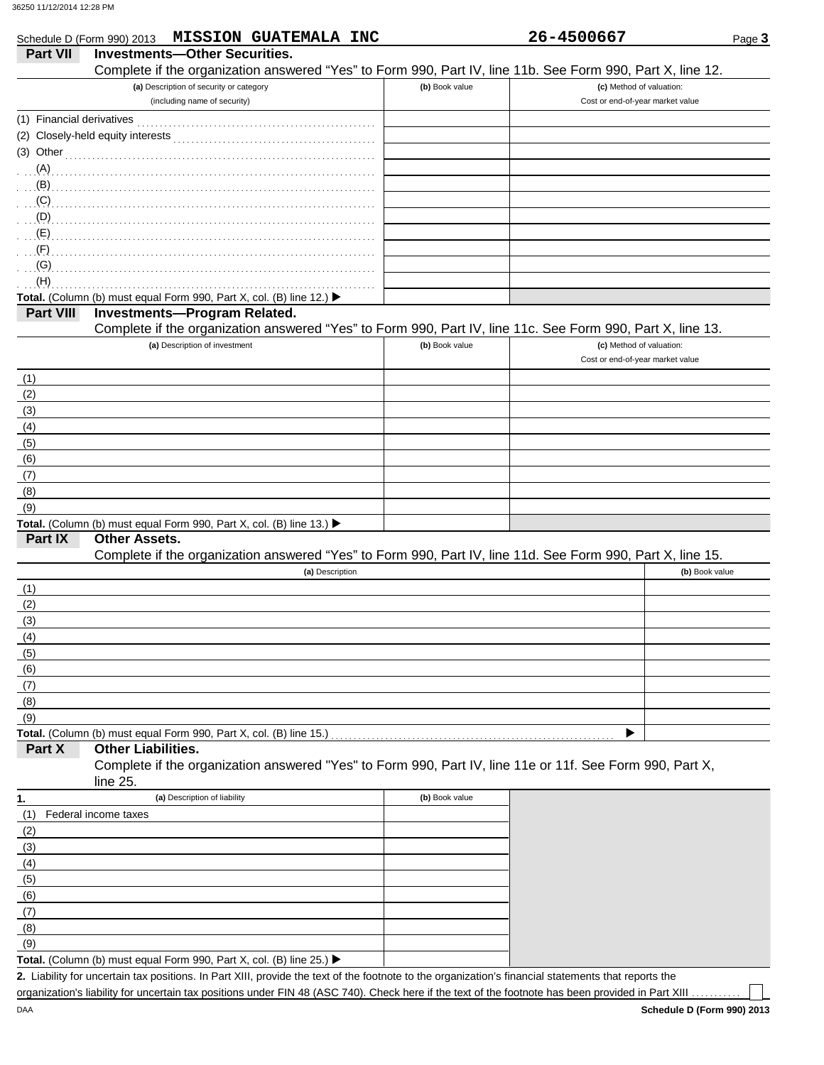|                  | <b>MISSION GUATEMALA INC</b><br>Schedule D (Form 990) 2013                                                                                            |                | 26-4500667                       | Page 3         |
|------------------|-------------------------------------------------------------------------------------------------------------------------------------------------------|----------------|----------------------------------|----------------|
| <b>Part VII</b>  | <b>Investments-Other Securities.</b>                                                                                                                  |                |                                  |                |
|                  | Complete if the organization answered "Yes" to Form 990, Part IV, line 11b. See Form 990, Part X, line 12.<br>(a) Description of security or category | (b) Book value | (c) Method of valuation:         |                |
|                  | (including name of security)                                                                                                                          |                | Cost or end-of-year market value |                |
|                  |                                                                                                                                                       |                |                                  |                |
|                  |                                                                                                                                                       |                |                                  |                |
|                  | (3) Other $\qquad \qquad$ (3) Other $\qquad \qquad$                                                                                                   |                |                                  |                |
|                  |                                                                                                                                                       |                |                                  |                |
| (B)              |                                                                                                                                                       |                |                                  |                |
| (C)              |                                                                                                                                                       |                |                                  |                |
| (D)              |                                                                                                                                                       |                |                                  |                |
| (E)              |                                                                                                                                                       |                |                                  |                |
| (F)              |                                                                                                                                                       |                |                                  |                |
| (G)              |                                                                                                                                                       |                |                                  |                |
| (H)              |                                                                                                                                                       |                |                                  |                |
|                  | Total. (Column (b) must equal Form 990, Part X, col. (B) line 12.) ▶                                                                                  |                |                                  |                |
| <b>Part VIII</b> | <b>Investments-Program Related.</b>                                                                                                                   |                |                                  |                |
|                  | Complete if the organization answered "Yes" to Form 990, Part IV, line 11c. See Form 990, Part X, line 13.                                            |                |                                  |                |
|                  | (a) Description of investment                                                                                                                         | (b) Book value | (c) Method of valuation:         |                |
|                  |                                                                                                                                                       |                | Cost or end-of-year market value |                |
| (1)              |                                                                                                                                                       |                |                                  |                |
| (2)              |                                                                                                                                                       |                |                                  |                |
| (3)              |                                                                                                                                                       |                |                                  |                |
| (4)              |                                                                                                                                                       |                |                                  |                |
| (5)<br>(6)       |                                                                                                                                                       |                |                                  |                |
|                  |                                                                                                                                                       |                |                                  |                |
| (7)              |                                                                                                                                                       |                |                                  |                |
| (8)              |                                                                                                                                                       |                |                                  |                |
| (9)              |                                                                                                                                                       |                |                                  |                |
| Part IX          | Total. (Column (b) must equal Form 990, Part X, col. (B) line 13.) ▶<br><b>Other Assets.</b>                                                          |                |                                  |                |
|                  | Complete if the organization answered "Yes" to Form 990, Part IV, line 11d. See Form 990, Part X, line 15.                                            |                |                                  |                |
|                  | (a) Description                                                                                                                                       |                |                                  | (b) Book value |
| (1)              |                                                                                                                                                       |                |                                  |                |
| (2)              |                                                                                                                                                       |                |                                  |                |
| (3)              |                                                                                                                                                       |                |                                  |                |
| (4)              |                                                                                                                                                       |                |                                  |                |
| (5)              |                                                                                                                                                       |                |                                  |                |
| (6)              |                                                                                                                                                       |                |                                  |                |
| (7)              |                                                                                                                                                       |                |                                  |                |
| (8)              |                                                                                                                                                       |                |                                  |                |
| (9)              |                                                                                                                                                       |                |                                  |                |
|                  | Total. (Column (b) must equal Form 990, Part X, col. (B) line 15.)                                                                                    |                |                                  |                |
| Part X           | <b>Other Liabilities.</b>                                                                                                                             |                |                                  |                |
|                  | Complete if the organization answered "Yes" to Form 990, Part IV, line 11e or 11f. See Form 990, Part X,                                              |                |                                  |                |
|                  | line 25.                                                                                                                                              |                |                                  |                |
|                  | (a) Description of liability                                                                                                                          | (b) Book value |                                  |                |
| (1)              | Federal income taxes                                                                                                                                  |                |                                  |                |
| (2)              |                                                                                                                                                       |                |                                  |                |
| (3)              |                                                                                                                                                       |                |                                  |                |
| (4)              |                                                                                                                                                       |                |                                  |                |
| (5)              |                                                                                                                                                       |                |                                  |                |
| (6)              |                                                                                                                                                       |                |                                  |                |
| (7)              |                                                                                                                                                       |                |                                  |                |
| (8)              |                                                                                                                                                       |                |                                  |                |
| (9)              |                                                                                                                                                       |                |                                  |                |
|                  | Total. (Column (b) must equal Form 990, Part X, col. (B) line 25.) ▶                                                                                  |                |                                  |                |

Liability for uncertain tax positions. In Part XIII, provide the text of the footnote to the organization's financial statements that reports the **2.** organization's liability for uncertain tax positions under FIN 48 (ASC 740). Check here if the text of the footnote has been provided in Part XIII .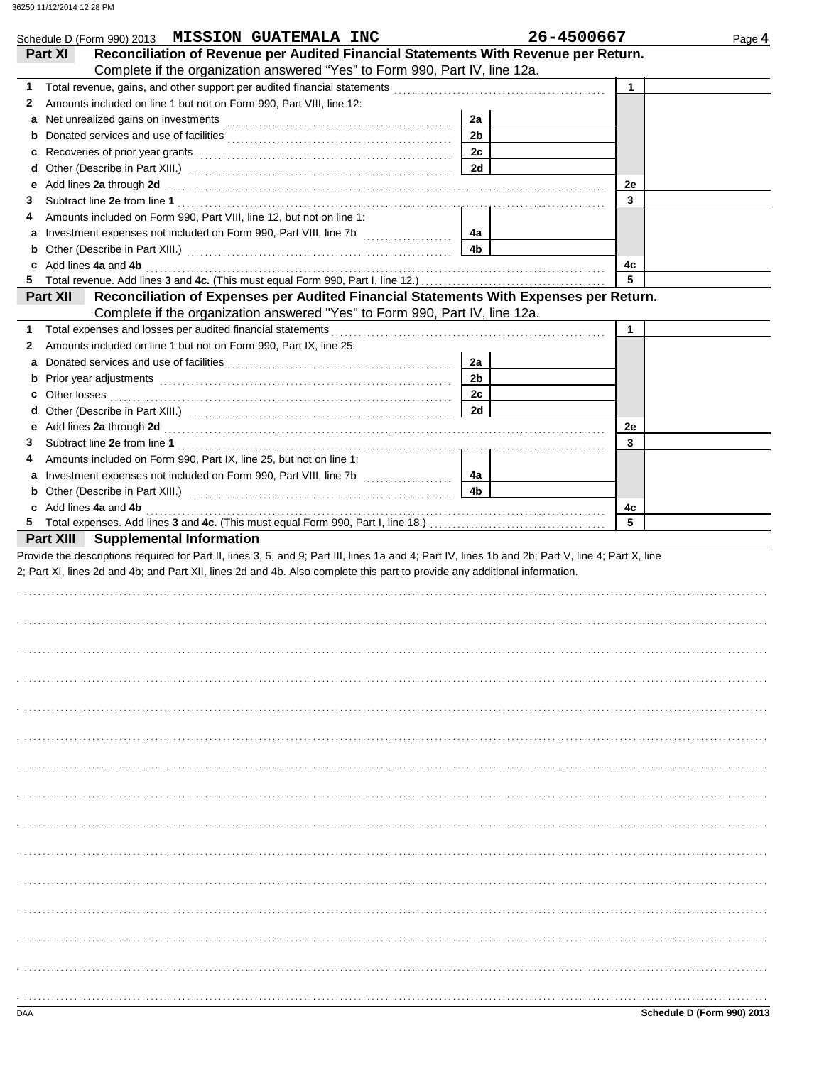|          | Schedule D (Form 990) 2013 MISSION GUATEMALA INC                                                                                                                                                                                                                                 |                | 26-4500667 | Page 4 |
|----------|----------------------------------------------------------------------------------------------------------------------------------------------------------------------------------------------------------------------------------------------------------------------------------|----------------|------------|--------|
| Part XI  | Reconciliation of Revenue per Audited Financial Statements With Revenue per Return.<br>Complete if the organization answered "Yes" to Form 990, Part IV, line 12a.                                                                                                               |                |            |        |
| 1        |                                                                                                                                                                                                                                                                                  |                | 1          |        |
| 2        | Amounts included on line 1 but not on Form 990, Part VIII, line 12:                                                                                                                                                                                                              |                |            |        |
| a        |                                                                                                                                                                                                                                                                                  | 2a             |            |        |
| b        |                                                                                                                                                                                                                                                                                  | 2 <sub>b</sub> |            |        |
| с        |                                                                                                                                                                                                                                                                                  | 2c             |            |        |
| d        |                                                                                                                                                                                                                                                                                  | 2d             |            |        |
| е        | Add lines 2a through 2d [11] March 2013 [12] March 2014 [12] March 2014 [12] March 2014 [12] March 2014 [12] March 2014 [12] March 2014 [12] March 2014 [12] March 2014 [12] March 2014 [12] March 2014 [12] March 2014 [12] M                                                   |                | 2e         |        |
| З        |                                                                                                                                                                                                                                                                                  |                | 3          |        |
| 4        | Amounts included on Form 990, Part VIII, line 12, but not on line 1:                                                                                                                                                                                                             |                |            |        |
| а        |                                                                                                                                                                                                                                                                                  | 4a             |            |        |
| b        |                                                                                                                                                                                                                                                                                  | 4b             |            |        |
| c        | Add lines 4a and 4b                                                                                                                                                                                                                                                              |                | 4c         |        |
| 5.       |                                                                                                                                                                                                                                                                                  |                | 5          |        |
| Part XII | Reconciliation of Expenses per Audited Financial Statements With Expenses per Return.                                                                                                                                                                                            |                |            |        |
|          | Complete if the organization answered "Yes" to Form 990, Part IV, line 12a.                                                                                                                                                                                                      |                |            |        |
| 1.       |                                                                                                                                                                                                                                                                                  |                | 1          |        |
| 2        | Amounts included on line 1 but not on Form 990, Part IX, line 25:                                                                                                                                                                                                                |                |            |        |
| а        |                                                                                                                                                                                                                                                                                  | 2a             |            |        |
| b        |                                                                                                                                                                                                                                                                                  | 2b             |            |        |
| c        |                                                                                                                                                                                                                                                                                  | 2c             |            |        |
| d        |                                                                                                                                                                                                                                                                                  | 2d             |            |        |
|          |                                                                                                                                                                                                                                                                                  |                |            |        |
| е<br>3   | Add lines 2a through 2d [11] March 2014 [12] March 2014 [12] March 2014 [12] March 2014 [12] March 2014 [12] March 2014 [12] March 2014 [12] March 2014 [12] March 2014 [12] March 2014 [12] March 2014 [12] March 2014 [12] M                                                   |                | 2e<br>3    |        |
|          |                                                                                                                                                                                                                                                                                  |                |            |        |
| 4        | Amounts included on Form 990, Part IX, line 25, but not on line 1:                                                                                                                                                                                                               |                |            |        |
| а        | Investment expenses not included on Form 990, Part VIII, line 7b [                                                                                                                                                                                                               | 4a<br>4b       |            |        |
| b        |                                                                                                                                                                                                                                                                                  |                |            |        |
| c<br>5.  | Add lines 4a and 4b<br>Total expenses. Add lines 3 and 4c. (This must equal Form 990, Part I, line 18.) [10] content and stream in the 18.)                                                                                                                                      |                | 4c<br>5    |        |
|          |                                                                                                                                                                                                                                                                                  |                |            |        |
|          | <b>Part XIII</b> Supplemental Information                                                                                                                                                                                                                                        |                |            |        |
|          | Provide the descriptions required for Part II, lines 3, 5, and 9; Part III, lines 1a and 4; Part IV, lines 1b and 2b; Part V, line 4; Part X, line<br>2; Part XI, lines 2d and 4b; and Part XII, lines 2d and 4b. Also complete this part to provide any additional information. |                |            |        |
|          |                                                                                                                                                                                                                                                                                  |                |            |        |
|          |                                                                                                                                                                                                                                                                                  |                |            |        |
|          |                                                                                                                                                                                                                                                                                  |                |            |        |
|          |                                                                                                                                                                                                                                                                                  |                |            |        |
|          |                                                                                                                                                                                                                                                                                  |                |            |        |
|          |                                                                                                                                                                                                                                                                                  |                |            |        |
|          |                                                                                                                                                                                                                                                                                  |                |            |        |
|          |                                                                                                                                                                                                                                                                                  |                |            |        |
|          |                                                                                                                                                                                                                                                                                  |                |            |        |
|          |                                                                                                                                                                                                                                                                                  |                |            |        |
|          |                                                                                                                                                                                                                                                                                  |                |            |        |
|          |                                                                                                                                                                                                                                                                                  |                |            |        |
|          |                                                                                                                                                                                                                                                                                  |                |            |        |
|          |                                                                                                                                                                                                                                                                                  |                |            |        |
|          |                                                                                                                                                                                                                                                                                  |                |            |        |
|          |                                                                                                                                                                                                                                                                                  |                |            |        |
|          |                                                                                                                                                                                                                                                                                  |                |            |        |
|          |                                                                                                                                                                                                                                                                                  |                |            |        |
|          |                                                                                                                                                                                                                                                                                  |                |            |        |
|          |                                                                                                                                                                                                                                                                                  |                |            |        |
|          |                                                                                                                                                                                                                                                                                  |                |            |        |
|          |                                                                                                                                                                                                                                                                                  |                |            |        |
|          |                                                                                                                                                                                                                                                                                  |                |            |        |
|          |                                                                                                                                                                                                                                                                                  |                |            |        |
|          |                                                                                                                                                                                                                                                                                  |                |            |        |
|          |                                                                                                                                                                                                                                                                                  |                |            |        |
|          |                                                                                                                                                                                                                                                                                  |                |            |        |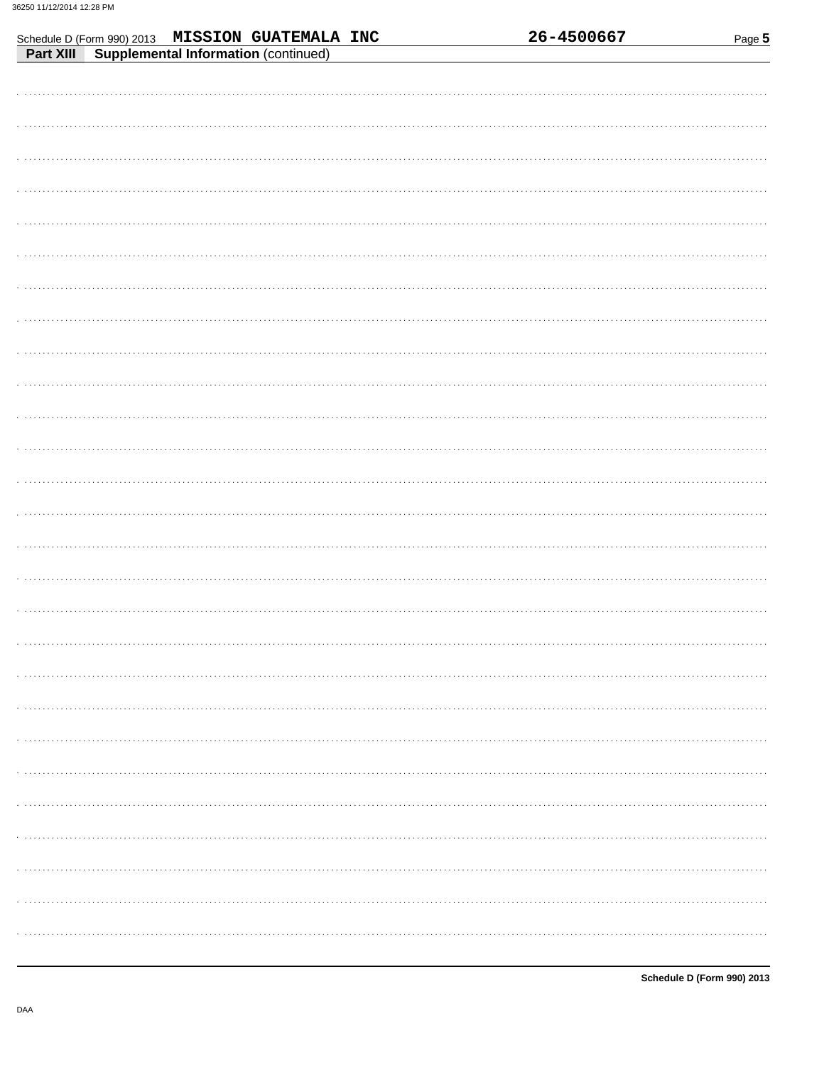| Schedule D (Form 990) 2013 MISSION GUATEMALA INC<br>Part XIII Supplemental Information (continued) | 26-4500667 | Page 5 |
|----------------------------------------------------------------------------------------------------|------------|--------|
|                                                                                                    |            |        |
|                                                                                                    |            |        |
|                                                                                                    |            |        |
|                                                                                                    |            |        |
|                                                                                                    |            |        |
|                                                                                                    |            |        |
|                                                                                                    |            |        |
|                                                                                                    |            |        |
|                                                                                                    |            |        |
|                                                                                                    |            |        |
|                                                                                                    |            |        |
|                                                                                                    |            |        |
|                                                                                                    |            |        |
|                                                                                                    |            |        |
|                                                                                                    |            |        |
|                                                                                                    |            |        |
|                                                                                                    |            |        |
|                                                                                                    |            |        |
|                                                                                                    |            |        |
|                                                                                                    |            |        |
|                                                                                                    |            |        |
|                                                                                                    |            |        |
|                                                                                                    |            |        |
|                                                                                                    |            |        |
|                                                                                                    |            |        |
|                                                                                                    |            |        |
|                                                                                                    |            |        |
|                                                                                                    |            |        |
|                                                                                                    |            |        |
|                                                                                                    |            |        |
|                                                                                                    |            |        |
|                                                                                                    |            |        |
|                                                                                                    |            |        |
|                                                                                                    |            |        |
|                                                                                                    |            |        |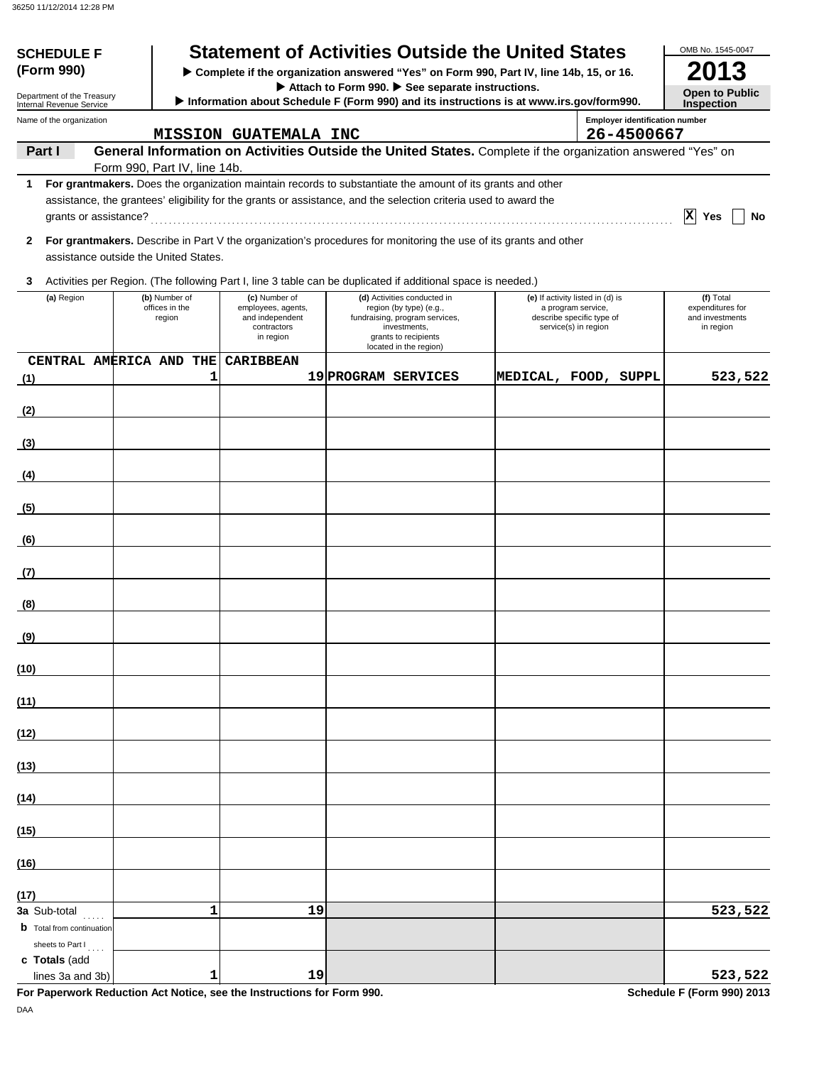| <b>SCHEDULE F</b><br>(Form 990)                        |                                                                                         |                                           | <b>Statement of Activities Outside the United States</b><br>> Complete if the organization answered "Yes" on Form 990, Part IV, line 14b, 15, or 16.                                                                           |    |                                                                                                                                                            |  |                                                                                                             | OMB No. 1545-0047                                             |
|--------------------------------------------------------|-----------------------------------------------------------------------------------------|-------------------------------------------|--------------------------------------------------------------------------------------------------------------------------------------------------------------------------------------------------------------------------------|----|------------------------------------------------------------------------------------------------------------------------------------------------------------|--|-------------------------------------------------------------------------------------------------------------|---------------------------------------------------------------|
|                                                        |                                                                                         |                                           |                                                                                                                                                                                                                                |    | Attach to Form 990. See separate instructions.                                                                                                             |  |                                                                                                             | <b>Open to Public</b>                                         |
| Department of the Treasury<br>Internal Revenue Service | Information about Schedule F (Form 990) and its instructions is at www.irs.gov/form990. |                                           |                                                                                                                                                                                                                                |    |                                                                                                                                                            |  |                                                                                                             |                                                               |
| Name of the organization                               |                                                                                         |                                           | <b>MISSION GUATEMALA INC</b>                                                                                                                                                                                                   |    |                                                                                                                                                            |  | <b>Employer identification number</b><br>26-4500667                                                         |                                                               |
| Part I                                                 |                                                                                         |                                           | General Information on Activities Outside the United States. Complete if the organization answered "Yes" on                                                                                                                    |    |                                                                                                                                                            |  |                                                                                                             |                                                               |
| 1                                                      |                                                                                         | Form 990, Part IV, line 14b.              |                                                                                                                                                                                                                                |    |                                                                                                                                                            |  |                                                                                                             |                                                               |
| grants or assistance?                                  |                                                                                         |                                           | For grantmakers. Does the organization maintain records to substantiate the amount of its grants and other<br>assistance, the grantees' eligibility for the grants or assistance, and the selection criteria used to award the |    |                                                                                                                                                            |  |                                                                                                             | $ \mathbf{x} $<br>Yes<br>No                                   |
| 2                                                      |                                                                                         | assistance outside the United States.     | For grantmakers. Describe in Part V the organization's procedures for monitoring the use of its grants and other                                                                                                               |    |                                                                                                                                                            |  |                                                                                                             |                                                               |
| 3                                                      |                                                                                         |                                           | Activities per Region. (The following Part I, line 3 table can be duplicated if additional space is needed.)                                                                                                                   |    |                                                                                                                                                            |  |                                                                                                             |                                                               |
| (a) Region                                             |                                                                                         | (b) Number of<br>offices in the<br>region | (c) Number of<br>employees, agents,<br>and independent<br>contractors<br>in region                                                                                                                                             |    | (d) Activities conducted in<br>region (by type) (e.g.,<br>fundraising, program services,<br>investments,<br>grants to recipients<br>located in the region) |  | (e) If activity listed in (d) is<br>a program service,<br>describe specific type of<br>service(s) in region | (f) Total<br>expenditures for<br>and investments<br>in region |
| CENTRAL AMERICA AND THE                                |                                                                                         |                                           | <b>CARIBBEAN</b>                                                                                                                                                                                                               |    |                                                                                                                                                            |  |                                                                                                             |                                                               |
| (1)                                                    |                                                                                         |                                           | 1                                                                                                                                                                                                                              |    | 19 PROGRAM SERVICES                                                                                                                                        |  | MEDICAL, FOOD, SUPPL                                                                                        | 523,522                                                       |
| (2)                                                    |                                                                                         |                                           |                                                                                                                                                                                                                                |    |                                                                                                                                                            |  |                                                                                                             |                                                               |
| (3)                                                    |                                                                                         |                                           |                                                                                                                                                                                                                                |    |                                                                                                                                                            |  |                                                                                                             |                                                               |
| (4)                                                    |                                                                                         |                                           |                                                                                                                                                                                                                                |    |                                                                                                                                                            |  |                                                                                                             |                                                               |
| (5)                                                    |                                                                                         |                                           |                                                                                                                                                                                                                                |    |                                                                                                                                                            |  |                                                                                                             |                                                               |
| (6)                                                    |                                                                                         |                                           |                                                                                                                                                                                                                                |    |                                                                                                                                                            |  |                                                                                                             |                                                               |
|                                                        |                                                                                         |                                           |                                                                                                                                                                                                                                |    |                                                                                                                                                            |  |                                                                                                             |                                                               |
| (7)                                                    |                                                                                         |                                           |                                                                                                                                                                                                                                |    |                                                                                                                                                            |  |                                                                                                             |                                                               |
| (8)                                                    |                                                                                         |                                           |                                                                                                                                                                                                                                |    |                                                                                                                                                            |  |                                                                                                             |                                                               |
| (9)                                                    |                                                                                         |                                           |                                                                                                                                                                                                                                |    |                                                                                                                                                            |  |                                                                                                             |                                                               |
| (10)                                                   |                                                                                         |                                           |                                                                                                                                                                                                                                |    |                                                                                                                                                            |  |                                                                                                             |                                                               |
| (11)                                                   |                                                                                         |                                           |                                                                                                                                                                                                                                |    |                                                                                                                                                            |  |                                                                                                             |                                                               |
| (12)                                                   |                                                                                         |                                           |                                                                                                                                                                                                                                |    |                                                                                                                                                            |  |                                                                                                             |                                                               |
| (13)                                                   |                                                                                         |                                           |                                                                                                                                                                                                                                |    |                                                                                                                                                            |  |                                                                                                             |                                                               |
| (14)                                                   |                                                                                         |                                           |                                                                                                                                                                                                                                |    |                                                                                                                                                            |  |                                                                                                             |                                                               |
| (15)                                                   |                                                                                         |                                           |                                                                                                                                                                                                                                |    |                                                                                                                                                            |  |                                                                                                             |                                                               |
| (16)                                                   |                                                                                         |                                           |                                                                                                                                                                                                                                |    |                                                                                                                                                            |  |                                                                                                             |                                                               |
|                                                        |                                                                                         |                                           |                                                                                                                                                                                                                                |    |                                                                                                                                                            |  |                                                                                                             |                                                               |
| (17)<br>3a Sub-total                                   |                                                                                         |                                           | $\mathbf{1}$                                                                                                                                                                                                                   | 19 |                                                                                                                                                            |  |                                                                                                             | 523,522                                                       |
| <b>b</b> Total from continuation                       |                                                                                         |                                           |                                                                                                                                                                                                                                |    |                                                                                                                                                            |  |                                                                                                             |                                                               |
| sheets to Part I<br>c Totals (add                      |                                                                                         |                                           | 1                                                                                                                                                                                                                              | 19 |                                                                                                                                                            |  |                                                                                                             |                                                               |
| lines 3a and 3b)                                       |                                                                                         |                                           |                                                                                                                                                                                                                                |    |                                                                                                                                                            |  |                                                                                                             | 523,522                                                       |

**For Paperwork Reduction Act Notice, see the Instructions for Form 990.** Schedule F (Form 990) 2013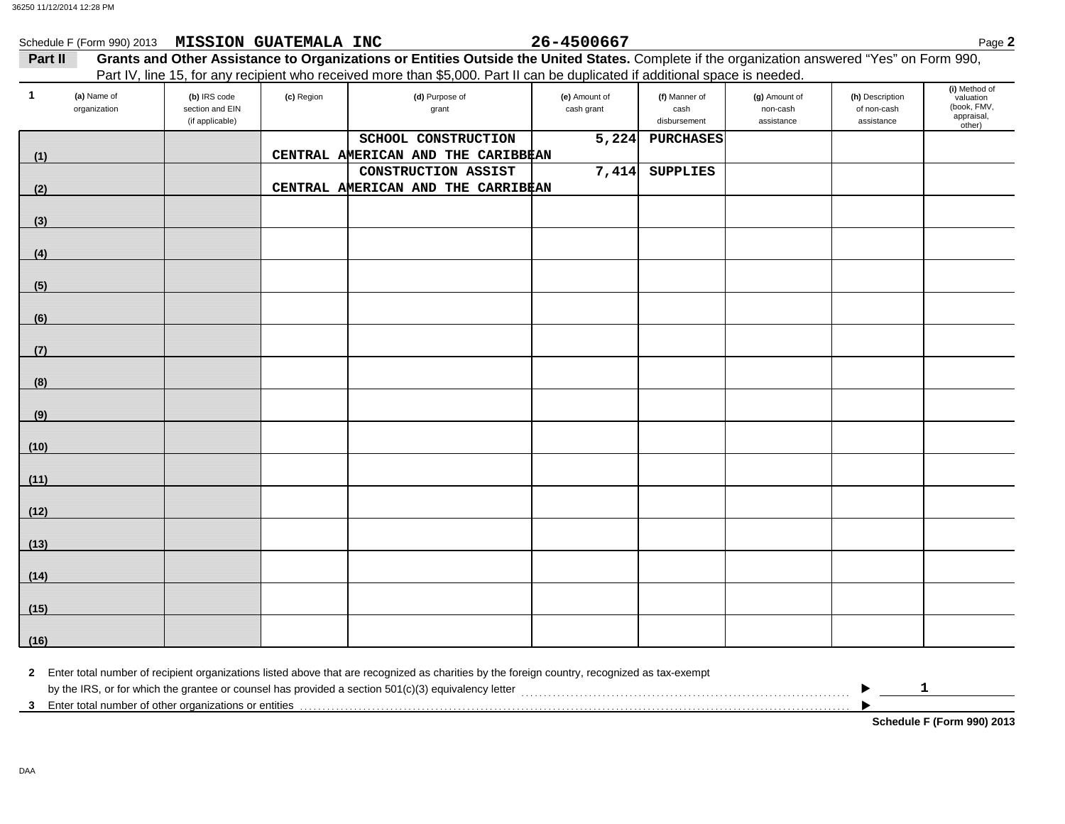|         | Schedule F (Form 990) 2013 MISSION GUATEMALA INC |                                                    |            |                                                                                                                                                         | 26-4500667                  |                                       |                                         |                                              | Page 2                                                            |
|---------|--------------------------------------------------|----------------------------------------------------|------------|---------------------------------------------------------------------------------------------------------------------------------------------------------|-----------------------------|---------------------------------------|-----------------------------------------|----------------------------------------------|-------------------------------------------------------------------|
| Part II |                                                  |                                                    |            | Grants and Other Assistance to Organizations or Entities Outside the United States. Complete if the organization answered "Yes" on Form 990,            |                             |                                       |                                         |                                              |                                                                   |
| -1      | (a) Name of<br>organization                      | (b) IRS code<br>section and EIN<br>(if applicable) | (c) Region | Part IV, line 15, for any recipient who received more than \$5,000. Part II can be duplicated if additional space is needed.<br>(d) Purpose of<br>grant | (e) Amount of<br>cash grant | (f) Manner of<br>cash<br>disbursement | (g) Amount of<br>non-cash<br>assistance | (h) Description<br>of non-cash<br>assistance | (i) Method of<br>valuation<br>(book, FMV,<br>appraisal,<br>other) |
|         |                                                  |                                                    |            | SCHOOL CONSTRUCTION                                                                                                                                     | 5,224                       | <b>PURCHASES</b>                      |                                         |                                              |                                                                   |
| (1)     |                                                  |                                                    |            | CENTRAL AMERICAN AND THE CARIBBEAN                                                                                                                      |                             |                                       |                                         |                                              |                                                                   |
|         |                                                  |                                                    |            | CONSTRUCTION ASSIST<br>CENTRAL AMERICAN AND THE CARRIBEAN                                                                                               | 7,414                       | <b>SUPPLIES</b>                       |                                         |                                              |                                                                   |
| (2)     |                                                  |                                                    |            |                                                                                                                                                         |                             |                                       |                                         |                                              |                                                                   |
| (3)     |                                                  |                                                    |            |                                                                                                                                                         |                             |                                       |                                         |                                              |                                                                   |
| (4)     |                                                  |                                                    |            |                                                                                                                                                         |                             |                                       |                                         |                                              |                                                                   |
| (5)     |                                                  |                                                    |            |                                                                                                                                                         |                             |                                       |                                         |                                              |                                                                   |
|         |                                                  |                                                    |            |                                                                                                                                                         |                             |                                       |                                         |                                              |                                                                   |
| (6)     |                                                  |                                                    |            |                                                                                                                                                         |                             |                                       |                                         |                                              |                                                                   |
| (7)     |                                                  |                                                    |            |                                                                                                                                                         |                             |                                       |                                         |                                              |                                                                   |
| (8)     |                                                  |                                                    |            |                                                                                                                                                         |                             |                                       |                                         |                                              |                                                                   |
| (9)     |                                                  |                                                    |            |                                                                                                                                                         |                             |                                       |                                         |                                              |                                                                   |
| (10)    |                                                  |                                                    |            |                                                                                                                                                         |                             |                                       |                                         |                                              |                                                                   |
| (11)    |                                                  |                                                    |            |                                                                                                                                                         |                             |                                       |                                         |                                              |                                                                   |
|         |                                                  |                                                    |            |                                                                                                                                                         |                             |                                       |                                         |                                              |                                                                   |
| (12)    |                                                  |                                                    |            |                                                                                                                                                         |                             |                                       |                                         |                                              |                                                                   |
| (13)    |                                                  |                                                    |            |                                                                                                                                                         |                             |                                       |                                         |                                              |                                                                   |
| (14)    |                                                  |                                                    |            |                                                                                                                                                         |                             |                                       |                                         |                                              |                                                                   |
| (15)    |                                                  |                                                    |            |                                                                                                                                                         |                             |                                       |                                         |                                              |                                                                   |
| (16)    |                                                  |                                                    |            |                                                                                                                                                         |                             |                                       |                                         |                                              |                                                                   |

| Enter total number of recipient organizations listed above that are recognized as charities by the foreign country, recognized as tax-exempt |  |  |
|----------------------------------------------------------------------------------------------------------------------------------------------|--|--|
| by the IRS, or for which the grantee or counsel has provided a section $501(c)(3)$ equivalency letter                                        |  |  |
| Enter total number of other organizations or entities                                                                                        |  |  |

**Schedule F (Form 990) 2013**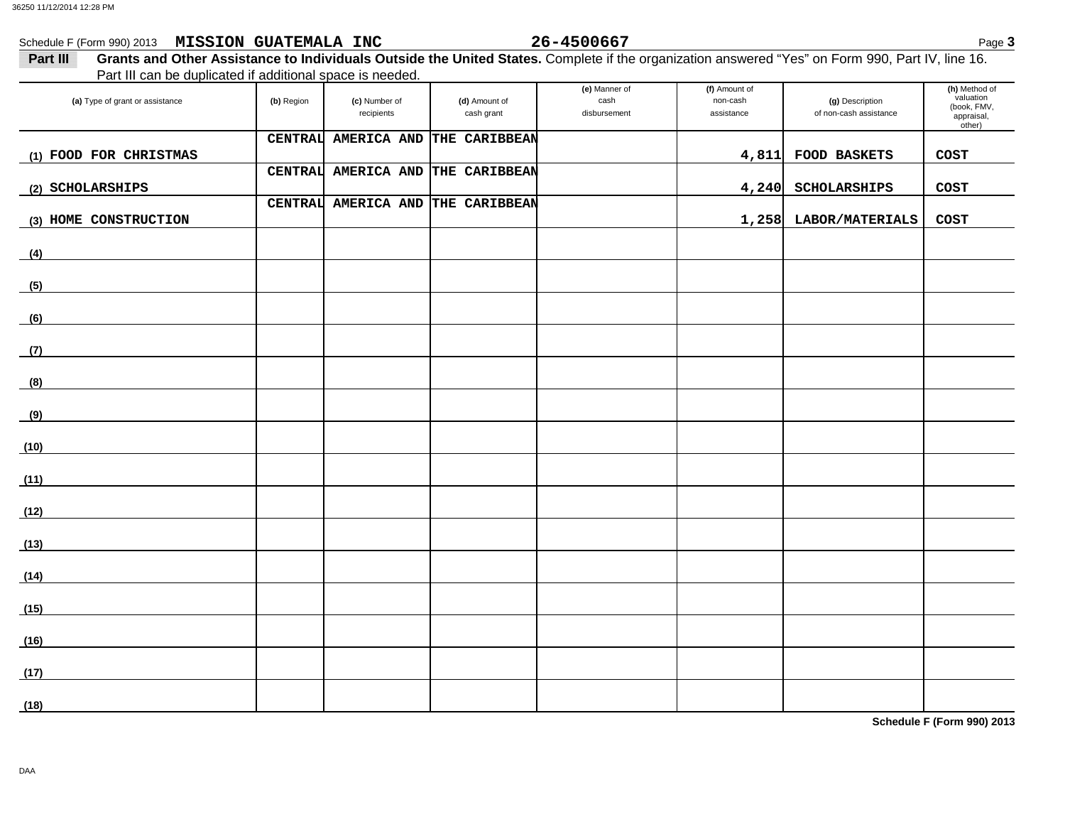| Schedule F (Form 990) 2013 MISSION GUATEMALA INC                                                                            |                |                             |                             | 26-4500667                            |                                         |                                                                                                                                                  | Page 3                                                            |
|-----------------------------------------------------------------------------------------------------------------------------|----------------|-----------------------------|-----------------------------|---------------------------------------|-----------------------------------------|--------------------------------------------------------------------------------------------------------------------------------------------------|-------------------------------------------------------------------|
| Part III                                                                                                                    |                |                             |                             |                                       |                                         | Grants and Other Assistance to Individuals Outside the United States. Complete if the organization answered "Yes" on Form 990, Part IV, line 16. |                                                                   |
| Part III can be duplicated if additional space is needed.<br>(a) Type of grant or assistance                                | (b) Region     | (c) Number of<br>recipients | (d) Amount of<br>cash grant | (e) Manner of<br>cash<br>disbursement | (f) Amount of<br>non-cash<br>assistance | (g) Description<br>of non-cash assistance                                                                                                        | (h) Method of<br>valuation<br>(book, FMV,<br>appraisal,<br>other) |
|                                                                                                                             | <b>CENTRAL</b> | AMERICA AND                 | THE CARIBBEAN               |                                       |                                         |                                                                                                                                                  |                                                                   |
| (1) FOOD FOR CHRISTMAS                                                                                                      | <b>CENTRAL</b> | <b>AMERICA AND</b>          | THE CARIBBEAN               |                                       | 4,811                                   | FOOD BASKETS                                                                                                                                     | <b>COST</b>                                                       |
| (2) SCHOLARSHIPS                                                                                                            |                |                             |                             |                                       | 4,240                                   | SCHOLARSHIPS                                                                                                                                     | <b>COST</b>                                                       |
| (3) HOME CONSTRUCTION                                                                                                       | <b>CENTRAL</b> | <b>AMERICA AND</b>          | THE CARIBBEAN               |                                       | 1,258                                   | LABOR/MATERIALS                                                                                                                                  | COST                                                              |
| (4)                                                                                                                         |                |                             |                             |                                       |                                         |                                                                                                                                                  |                                                                   |
| (5)                                                                                                                         |                |                             |                             |                                       |                                         |                                                                                                                                                  |                                                                   |
| (6)                                                                                                                         |                |                             |                             |                                       |                                         |                                                                                                                                                  |                                                                   |
| (7)                                                                                                                         |                |                             |                             |                                       |                                         |                                                                                                                                                  |                                                                   |
| (8)<br><u> 1980 - Jan Stein Stein Stein Stein Stein Stein Stein Stein Stein Stein Stein Stein Stein Stein Stein Stein S</u> |                |                             |                             |                                       |                                         |                                                                                                                                                  |                                                                   |
| (9)                                                                                                                         |                |                             |                             |                                       |                                         |                                                                                                                                                  |                                                                   |
| (10)                                                                                                                        |                |                             |                             |                                       |                                         |                                                                                                                                                  |                                                                   |
| (11)                                                                                                                        |                |                             |                             |                                       |                                         |                                                                                                                                                  |                                                                   |
| (12)                                                                                                                        |                |                             |                             |                                       |                                         |                                                                                                                                                  |                                                                   |
| (13)                                                                                                                        |                |                             |                             |                                       |                                         |                                                                                                                                                  |                                                                   |
| (14)                                                                                                                        |                |                             |                             |                                       |                                         |                                                                                                                                                  |                                                                   |
| (15)                                                                                                                        |                |                             |                             |                                       |                                         |                                                                                                                                                  |                                                                   |
| (16)                                                                                                                        |                |                             |                             |                                       |                                         |                                                                                                                                                  |                                                                   |
| (17)                                                                                                                        |                |                             |                             |                                       |                                         |                                                                                                                                                  |                                                                   |
|                                                                                                                             |                |                             |                             |                                       |                                         |                                                                                                                                                  |                                                                   |

**Schedule F (Form 990) 2013**

**(18)**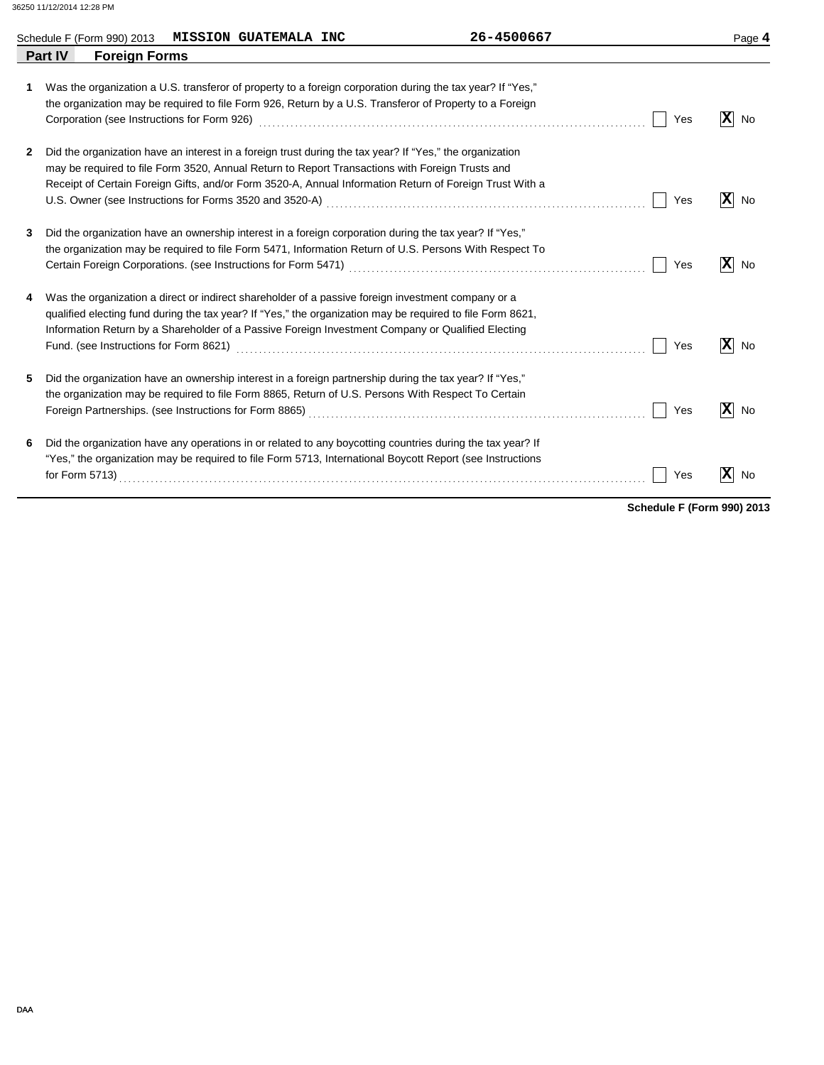|   | Schedule F (Form 990) 2013<br><b>MISSION GUATEMALA INC</b>                                                                                                                                                                                                                                                                                                                                                                                      | 26-4500667 |     | Page 4                      |
|---|-------------------------------------------------------------------------------------------------------------------------------------------------------------------------------------------------------------------------------------------------------------------------------------------------------------------------------------------------------------------------------------------------------------------------------------------------|------------|-----|-----------------------------|
|   | Part IV<br><b>Foreign Forms</b>                                                                                                                                                                                                                                                                                                                                                                                                                 |            |     |                             |
| 1 | Was the organization a U.S. transferor of property to a foreign corporation during the tax year? If "Yes,"<br>the organization may be required to file Form 926, Return by a U.S. Transferor of Property to a Foreign                                                                                                                                                                                                                           |            | Yes | $ \mathbf{X} $<br>No        |
| 2 | Did the organization have an interest in a foreign trust during the tax year? If "Yes," the organization<br>may be required to file Form 3520, Annual Return to Report Transactions with Foreign Trusts and<br>Receipt of Certain Foreign Gifts, and/or Form 3520-A, Annual Information Return of Foreign Trust With a                                                                                                                          |            | Yes | $ \mathbf{X} $<br>No        |
| 3 | Did the organization have an ownership interest in a foreign corporation during the tax year? If "Yes,"<br>the organization may be required to file Form 5471, Information Return of U.S. Persons With Respect To                                                                                                                                                                                                                               |            | Yes | ΙxΙ<br><b>No</b>            |
| 4 | Was the organization a direct or indirect shareholder of a passive foreign investment company or a<br>qualified electing fund during the tax year? If "Yes," the organization may be required to file Form 8621,<br>Information Return by a Shareholder of a Passive Foreign Investment Company or Qualified Electing                                                                                                                           |            | Yes | $ \mathbf{x} $<br><b>No</b> |
| 5 | Did the organization have an ownership interest in a foreign partnership during the tax year? If "Yes,"<br>the organization may be required to file Form 8865, Return of U.S. Persons With Respect To Certain<br>Foreign Partnerships. (see Instructions for Form 8865) [11] Conserved Conserved Conserved Conserved Conserved Conserved Conserved Conserved Conserved Conserved Conserved Conserved Conserved Conserved Conserved Conserved Co |            | Yes | $ \mathbf{X} $<br><b>No</b> |
| 6 | Did the organization have any operations in or related to any boycotting countries during the tax year? If<br>"Yes," the organization may be required to file Form 5713, International Boycott Report (see Instructions<br>for Form 5713) $\ldots$ $\ldots$ $\ldots$ $\ldots$ $\ldots$ $\ldots$ $\ldots$ $\ldots$ $\ldots$ $\ldots$ $\ldots$ $\ldots$ $\ldots$ $\ldots$ $\ldots$ $\ldots$                                                       |            | Yes | $ \mathbf{x} $<br><b>No</b> |

**Schedule F (Form 990) 2013**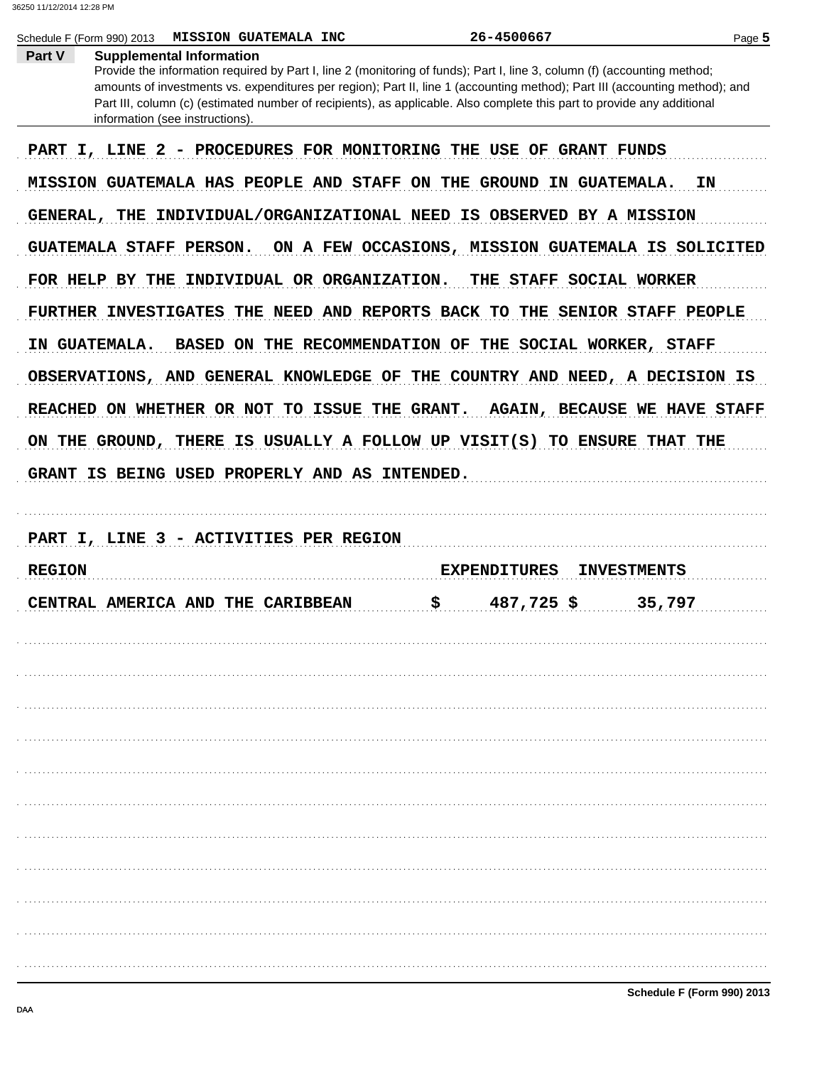| Part V        | <b>MISSION GUATEMALA INC</b><br>Schedule F (Form 990) 2013<br><b>Supplemental Information</b><br>Provide the information required by Part I, line 2 (monitoring of funds); Part I, line 3, column (f) (accounting method;                                                                 | 26-4500667                                              | Page 5                              |
|---------------|-------------------------------------------------------------------------------------------------------------------------------------------------------------------------------------------------------------------------------------------------------------------------------------------|---------------------------------------------------------|-------------------------------------|
|               | amounts of investments vs. expenditures per region); Part II, line 1 (accounting method); Part III (accounting method); and<br>Part III, column (c) (estimated number of recipients), as applicable. Also complete this part to provide any additional<br>information (see instructions). |                                                         |                                     |
|               | PART I, LINE 2 - PROCEDURES FOR MONITORING THE USE OF GRANT FUNDS                                                                                                                                                                                                                         |                                                         |                                     |
|               | MISSION GUATEMALA HAS PEOPLE AND STAFF ON THE GROUND IN GUATEMALA.                                                                                                                                                                                                                        |                                                         | ΙN                                  |
|               | GENERAL, THE INDIVIDUAL/ORGANIZATIONAL NEED IS OBSERVED BY A MISSION                                                                                                                                                                                                                      |                                                         |                                     |
|               | GUATEMALA STAFF PERSON.                                                                                                                                                                                                                                                                   | ON A FEW OCCASIONS, MISSION GUATEMALA IS SOLICITED      |                                     |
|               | FOR HELP BY THE INDIVIDUAL OR ORGANIZATION.                                                                                                                                                                                                                                               | THE STAFF SOCIAL WORKER                                 |                                     |
|               | FURTHER INVESTIGATES THE NEED AND REPORTS BACK TO THE SENIOR STAFF PEOPLE                                                                                                                                                                                                                 |                                                         |                                     |
|               | IN GUATEMALA.                                                                                                                                                                                                                                                                             | BASED ON THE RECOMMENDATION OF THE SOCIAL WORKER, STAFF |                                     |
|               | OBSERVATIONS, AND GENERAL KNOWLEDGE OF THE COUNTRY AND NEED, A DECISION IS                                                                                                                                                                                                                |                                                         |                                     |
|               | REACHED ON WHETHER OR NOT TO ISSUE THE GRANT.                                                                                                                                                                                                                                             |                                                         | <b>AGAIN, BECAUSE WE HAVE STAFF</b> |
|               | ON THE GROUND, THERE IS USUALLY A FOLLOW UP VISIT(S) TO ENSURE THAT THE                                                                                                                                                                                                                   |                                                         |                                     |
|               | GRANT IS BEING USED PROPERLY AND AS INTENDED.                                                                                                                                                                                                                                             |                                                         |                                     |
|               |                                                                                                                                                                                                                                                                                           |                                                         |                                     |
|               |                                                                                                                                                                                                                                                                                           |                                                         |                                     |
|               | PART I, LINE 3 - ACTIVITIES PER REGION                                                                                                                                                                                                                                                    |                                                         |                                     |
| <b>REGION</b> |                                                                                                                                                                                                                                                                                           | <b>EXPENDITURES</b>                                     | <b>INVESTMENTS</b>                  |
|               | CENTRAL AMERICA AND THE CARIBBEAN                                                                                                                                                                                                                                                         | \$<br>$487,725$ \$                                      | 35,797                              |
|               |                                                                                                                                                                                                                                                                                           |                                                         |                                     |
|               |                                                                                                                                                                                                                                                                                           |                                                         |                                     |
|               |                                                                                                                                                                                                                                                                                           |                                                         |                                     |
|               |                                                                                                                                                                                                                                                                                           |                                                         |                                     |
|               |                                                                                                                                                                                                                                                                                           |                                                         |                                     |
|               |                                                                                                                                                                                                                                                                                           |                                                         |                                     |
|               |                                                                                                                                                                                                                                                                                           |                                                         |                                     |
|               |                                                                                                                                                                                                                                                                                           |                                                         |                                     |
|               |                                                                                                                                                                                                                                                                                           |                                                         |                                     |
|               |                                                                                                                                                                                                                                                                                           |                                                         |                                     |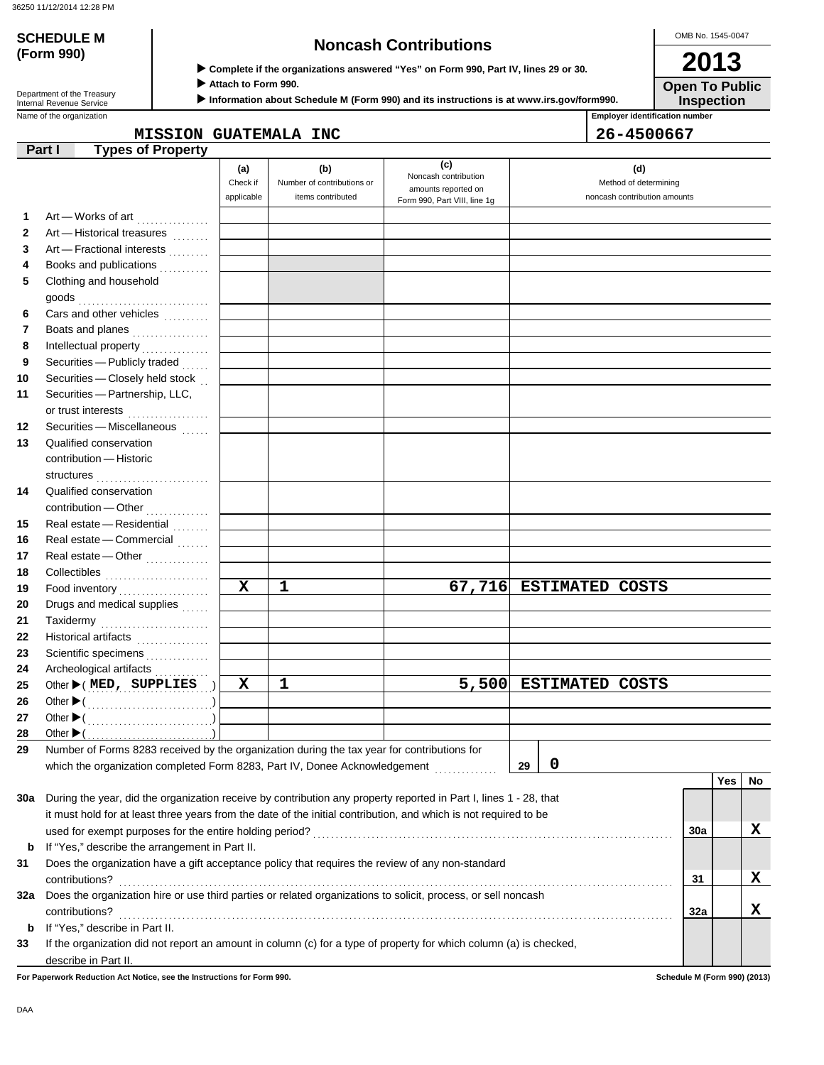| <b>SCHEDULE M</b>                                      |                             |                                                                                                                                                                                                                                                                                              |                                                    |     | OMB No. 1545-0047                     |  |
|--------------------------------------------------------|-----------------------------|----------------------------------------------------------------------------------------------------------------------------------------------------------------------------------------------------------------------------------------------------------------------------------------------|----------------------------------------------------|-----|---------------------------------------|--|
| (Form 990)                                             |                             | <b>Noncash Contributions</b><br>2013<br>> Complete if the organizations answered "Yes" on Form 990, Part IV, lines 29 or 30.<br>Attach to Form 990.<br><b>Open To Public</b><br>Information about Schedule M (Form 990) and its instructions is at www.irs.gov/form990.<br><b>Inspection</b> |                                                    |     |                                       |  |
| Department of the Treasury<br>Internal Revenue Service |                             |                                                                                                                                                                                                                                                                                              |                                                    |     |                                       |  |
| Name of the organization                               |                             |                                                                                                                                                                                                                                                                                              |                                                    |     | <b>Employer identification number</b> |  |
|                                                        | <b>GUATEMALA</b><br>MISSION | INC                                                                                                                                                                                                                                                                                          |                                                    |     | 26-4500667                            |  |
| <b>Types of Property</b><br>Part I                     |                             |                                                                                                                                                                                                                                                                                              |                                                    |     |                                       |  |
|                                                        | (a)<br>Check if             | (b)<br>Number of contributions or                                                                                                                                                                                                                                                            | (c)<br>Noncash contribution<br>amounts reported on | (d) | Method of determining                 |  |

|          |                                                                                                                                                                                                                                           | Check if    | Number of contributions or | amounts reported on                                                                             | Method of determining        |     |        |             |
|----------|-------------------------------------------------------------------------------------------------------------------------------------------------------------------------------------------------------------------------------------------|-------------|----------------------------|-------------------------------------------------------------------------------------------------|------------------------------|-----|--------|-------------|
|          |                                                                                                                                                                                                                                           | applicable  | items contributed          | Form 990, Part VIII, line 1g                                                                    | noncash contribution amounts |     |        |             |
| 1        | Art - Works of art                                                                                                                                                                                                                        |             |                            |                                                                                                 |                              |     |        |             |
| 2        | Art - Historical treasures                                                                                                                                                                                                                |             |                            |                                                                                                 |                              |     |        |             |
| 3        | Art - Fractional interests                                                                                                                                                                                                                |             |                            |                                                                                                 |                              |     |        |             |
| 4        | Books and publications                                                                                                                                                                                                                    |             |                            |                                                                                                 |                              |     |        |             |
| 5        | Clothing and household                                                                                                                                                                                                                    |             |                            |                                                                                                 |                              |     |        |             |
|          |                                                                                                                                                                                                                                           |             |                            |                                                                                                 |                              |     |        |             |
| 6        | Cars and other vehicles                                                                                                                                                                                                                   |             |                            |                                                                                                 |                              |     |        |             |
| 7        | Boats and planes                                                                                                                                                                                                                          |             |                            |                                                                                                 |                              |     |        |             |
| 8        |                                                                                                                                                                                                                                           |             |                            |                                                                                                 |                              |     |        |             |
| 9        | Securities - Publicly traded                                                                                                                                                                                                              |             |                            |                                                                                                 |                              |     |        |             |
| 10       | Securities - Closely held stock                                                                                                                                                                                                           |             |                            |                                                                                                 |                              |     |        |             |
| 11       | Securities - Partnership, LLC,                                                                                                                                                                                                            |             |                            |                                                                                                 |                              |     |        |             |
|          | or trust interests                                                                                                                                                                                                                        |             |                            |                                                                                                 |                              |     |        |             |
| 12       | Securities - Miscellaneous                                                                                                                                                                                                                |             |                            |                                                                                                 |                              |     |        |             |
| 13       | Qualified conservation                                                                                                                                                                                                                    |             |                            |                                                                                                 |                              |     |        |             |
|          | contribution - Historic                                                                                                                                                                                                                   |             |                            |                                                                                                 |                              |     |        |             |
|          | structures                                                                                                                                                                                                                                |             |                            |                                                                                                 |                              |     |        |             |
| 14       | Qualified conservation                                                                                                                                                                                                                    |             |                            |                                                                                                 |                              |     |        |             |
|          | contribution - Other                                                                                                                                                                                                                      |             |                            |                                                                                                 |                              |     |        |             |
| 15       | Real estate - Residential                                                                                                                                                                                                                 |             |                            |                                                                                                 |                              |     |        |             |
| 16       | Real estate - Commercial                                                                                                                                                                                                                  |             |                            |                                                                                                 |                              |     |        |             |
| 17       | Real estate - Other                                                                                                                                                                                                                       |             |                            |                                                                                                 |                              |     |        |             |
| 18       |                                                                                                                                                                                                                                           |             |                            |                                                                                                 |                              |     |        |             |
| 19       | Food inventory                                                                                                                                                                                                                            | $\mathbf x$ | $\mathbf 1$                |                                                                                                 | 67,716 ESTIMATED COSTS       |     |        |             |
| 20       | Drugs and medical supplies                                                                                                                                                                                                                |             |                            |                                                                                                 |                              |     |        |             |
| 21       | Taxidermy                                                                                                                                                                                                                                 |             |                            |                                                                                                 |                              |     |        |             |
| 22       | Historical artifacts                                                                                                                                                                                                                      |             |                            |                                                                                                 |                              |     |        |             |
| 23       | Scientific specimens                                                                                                                                                                                                                      |             |                            |                                                                                                 |                              |     |        |             |
| 24       | Archeological artifacts                                                                                                                                                                                                                   |             |                            |                                                                                                 |                              |     |        |             |
| 25       | Other $\blacktriangleright$ (MED, SUPPLIES)                                                                                                                                                                                               | x           | $\mathbf 1$                |                                                                                                 | 5,500 ESTIMATED COSTS        |     |        |             |
| 26       |                                                                                                                                                                                                                                           |             |                            |                                                                                                 |                              |     |        |             |
| 27       |                                                                                                                                                                                                                                           |             |                            |                                                                                                 |                              |     |        |             |
|          |                                                                                                                                                                                                                                           |             |                            |                                                                                                 |                              |     |        |             |
| 28<br>29 | Number of Forms 8283 received by the organization during the tax year for contributions for                                                                                                                                               |             |                            |                                                                                                 |                              |     |        |             |
|          | which the organization completed Form 8283, Part IV, Donee Acknowledgement [                                                                                                                                                              |             |                            |                                                                                                 | 0<br>29                      |     |        |             |
|          |                                                                                                                                                                                                                                           |             |                            |                                                                                                 |                              |     | Yes No |             |
|          |                                                                                                                                                                                                                                           |             |                            |                                                                                                 |                              |     |        |             |
|          | 30a During the year, did the organization receive by contribution any property reported in Part I, lines 1 - 28, that<br>it must hold for at least three years from the date of the initial contribution, and which is not required to be |             |                            |                                                                                                 |                              |     |        |             |
|          |                                                                                                                                                                                                                                           |             |                            |                                                                                                 |                              |     |        | $\mathbf x$ |
|          |                                                                                                                                                                                                                                           |             |                            |                                                                                                 |                              | 30a |        |             |
| b        | If "Yes," describe the arrangement in Part II.                                                                                                                                                                                            |             |                            |                                                                                                 |                              |     |        |             |
| 31       | Does the organization have a gift acceptance policy that requires the review of any non-standard                                                                                                                                          |             |                            |                                                                                                 |                              |     |        |             |
|          | contributions?                                                                                                                                                                                                                            |             |                            |                                                                                                 |                              | 31  |        | x           |
| 32a      | Does the organization hire or use third parties or related organizations to solicit, process, or sell noncash                                                                                                                             |             |                            |                                                                                                 |                              |     |        |             |
|          | contributions?                                                                                                                                                                                                                            |             |                            |                                                                                                 |                              | 32a |        | x           |
|          | If "Yes," describe in Part II.                                                                                                                                                                                                            |             |                            | of an account to column (a) for a fine of compatible for which column (a) is shown in the start |                              |     |        |             |
|          |                                                                                                                                                                                                                                           |             |                            |                                                                                                 |                              |     |        |             |

**33** If the organization did not report an amount in column (c) for a type of property for which column (a) is checked, describe in Part II.

**For Paperwork Reduction Act Notice, see the Instructions for Form 990. Schedule M (Form 990) (2013)**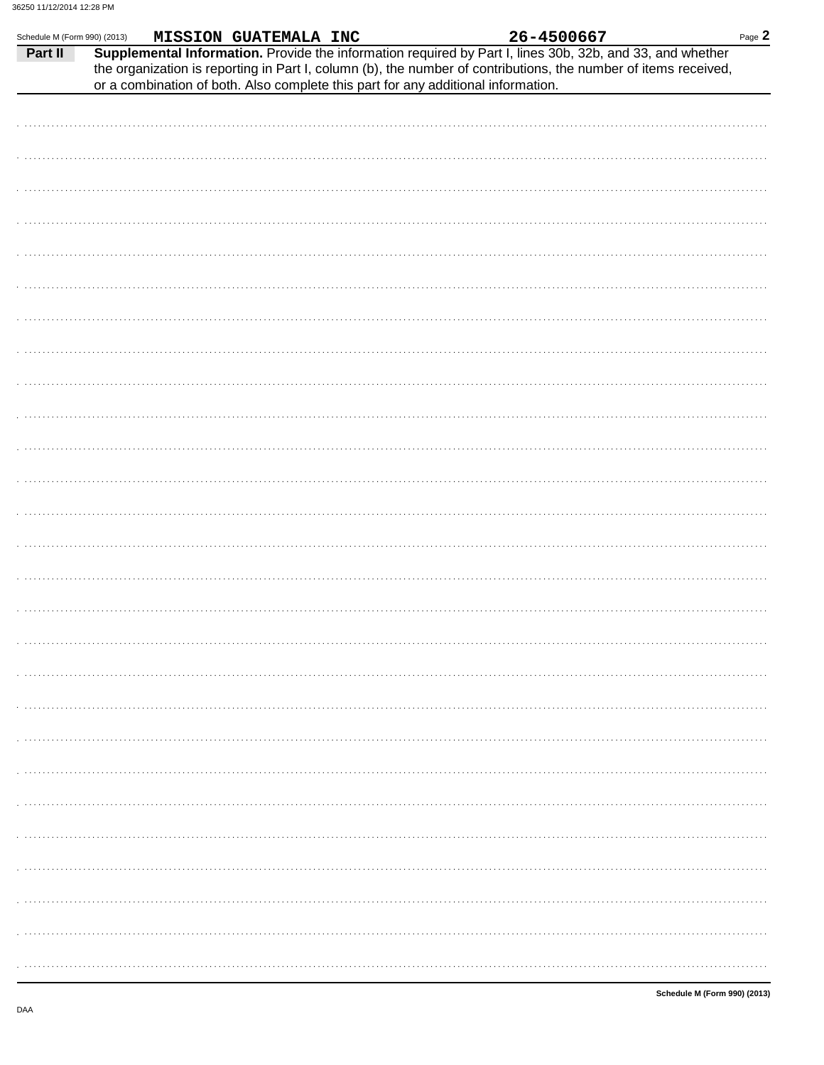| Schedule M (Form 990) (2013)<br>Part II | <b>MISSION GUATEMALA INC</b>                                                      |  | 26-4500667 | Supplemental Information. Provide the information required by Part I, lines 30b, 32b, and 33, and whether       | Page $2$ |
|-----------------------------------------|-----------------------------------------------------------------------------------|--|------------|-----------------------------------------------------------------------------------------------------------------|----------|
|                                         | or a combination of both. Also complete this part for any additional information. |  |            | the organization is reporting in Part I, column (b), the number of contributions, the number of items received, |          |
|                                         |                                                                                   |  |            |                                                                                                                 |          |
|                                         |                                                                                   |  |            |                                                                                                                 |          |
|                                         |                                                                                   |  |            |                                                                                                                 |          |
|                                         |                                                                                   |  |            |                                                                                                                 |          |
|                                         |                                                                                   |  |            |                                                                                                                 |          |
|                                         |                                                                                   |  |            |                                                                                                                 |          |
|                                         |                                                                                   |  |            |                                                                                                                 |          |
|                                         |                                                                                   |  |            |                                                                                                                 |          |
|                                         |                                                                                   |  |            |                                                                                                                 |          |
|                                         |                                                                                   |  |            |                                                                                                                 |          |
|                                         |                                                                                   |  |            |                                                                                                                 |          |
|                                         |                                                                                   |  |            |                                                                                                                 |          |
|                                         |                                                                                   |  |            |                                                                                                                 |          |
|                                         |                                                                                   |  |            |                                                                                                                 |          |
|                                         |                                                                                   |  |            |                                                                                                                 |          |
|                                         |                                                                                   |  |            |                                                                                                                 |          |
|                                         |                                                                                   |  |            |                                                                                                                 |          |
|                                         |                                                                                   |  |            |                                                                                                                 |          |
|                                         |                                                                                   |  |            |                                                                                                                 |          |
|                                         |                                                                                   |  |            |                                                                                                                 |          |
|                                         |                                                                                   |  |            |                                                                                                                 |          |
|                                         |                                                                                   |  |            |                                                                                                                 |          |
|                                         |                                                                                   |  |            |                                                                                                                 |          |
|                                         |                                                                                   |  |            |                                                                                                                 |          |
|                                         |                                                                                   |  |            |                                                                                                                 |          |
|                                         |                                                                                   |  |            |                                                                                                                 |          |
|                                         |                                                                                   |  |            |                                                                                                                 |          |
|                                         |                                                                                   |  |            |                                                                                                                 |          |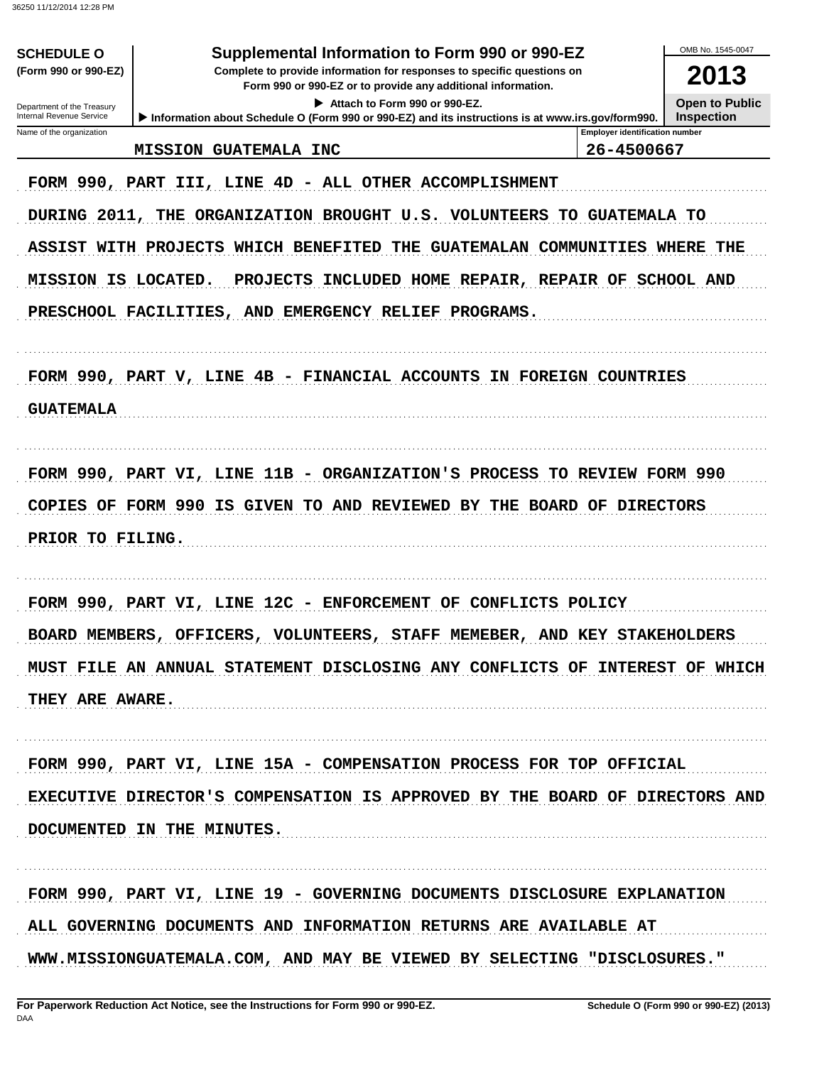| <b>SCHEDULE O</b><br>(Form 990 or 990-EZ)<br>Department of the Treasury<br>Internal Revenue Service                                                                                                                                          | Supplemental Information to Form 990 or 990-EZ<br>Complete to provide information for responses to specific questions on<br>Form 990 or 990-EZ or to provide any additional information.<br>Attach to Form 990 or 990-EZ.<br>Information about Schedule O (Form 990 or 990-EZ) and its instructions is at www.irs.gov/form990. | OMB No. 1545-0047<br>2013<br><b>Open to Public</b><br><b>Inspection</b> |  |  |  |  |  |  |  |
|----------------------------------------------------------------------------------------------------------------------------------------------------------------------------------------------------------------------------------------------|--------------------------------------------------------------------------------------------------------------------------------------------------------------------------------------------------------------------------------------------------------------------------------------------------------------------------------|-------------------------------------------------------------------------|--|--|--|--|--|--|--|
| Name of the organization                                                                                                                                                                                                                     | <b>MISSION GUATEMALA INC</b>                                                                                                                                                                                                                                                                                                   | <b>Employer identification number</b><br>26-4500667                     |  |  |  |  |  |  |  |
| DURING 2011,                                                                                                                                                                                                                                 | FORM 990, PART III, LINE 4D -<br><b>ALL OTHER ACCOMPLISHMENT</b><br>THE ORGANIZATION BROUGHT U.S. VOLUNTEERS                                                                                                                                                                                                                   | TO GUATEMALA TO                                                         |  |  |  |  |  |  |  |
| WITH PROJECTS<br>ASSIST<br>WHICH BENEFITED<br>THE GUATEMALAN COMMUNITIES WHERE THE<br>MISSION IS LOCATED.<br><b>PROJECTS</b><br>INCLUDED HOME REPAIR, REPAIR OF SCHOOL AND<br>PRESCHOOL FACILITIES, AND EMERGENCY RELIEF<br><b>PROGRAMS.</b> |                                                                                                                                                                                                                                                                                                                                |                                                                         |  |  |  |  |  |  |  |
|                                                                                                                                                                                                                                              |                                                                                                                                                                                                                                                                                                                                |                                                                         |  |  |  |  |  |  |  |
| <b>COPIES OF FORM 990</b><br>PRIOR TO FILING.                                                                                                                                                                                                | FORM 990, PART VI, LINE 11B -<br>ORGANIZATION'S PROCESS TO REVIEW FORM 990<br>IS GIVEN<br>TO AND REVIEWED BY THE BOARD OF DIRECTORS                                                                                                                                                                                            |                                                                         |  |  |  |  |  |  |  |
| THEY ARE AWARE.                                                                                                                                                                                                                              | FORM 990, PART VI, LINE 12C -<br><b>ENFORCEMENT OF CONFLICTS POLICY</b><br>BOARD MEMBERS, OFFICERS, VOLUNTEERS, STAFF MEMEBER, AND KEY STAKEHOLDERS<br>MUST FILE AN ANNUAL STATEMENT DISCLOSING ANY CONFLICTS OF INTEREST OF WHICH                                                                                             |                                                                         |  |  |  |  |  |  |  |
|                                                                                                                                                                                                                                              | FORM 990, PART VI, LINE 15A - COMPENSATION PROCESS FOR TOP OFFICIAL<br>EXECUTIVE DIRECTOR'S COMPENSATION IS APPROVED BY THE BOARD OF DIRECTORS AND<br>DOCUMENTED IN THE MINUTES.                                                                                                                                               |                                                                         |  |  |  |  |  |  |  |
|                                                                                                                                                                                                                                              | FORM 990, PART VI, LINE 19 - GOVERNING DOCUMENTS DISCLOSURE EXPLANATION<br>ALL GOVERNING DOCUMENTS AND INFORMATION RETURNS ARE AVAILABLE AT<br>WWW.MISSIONGUATEMALA.COM, AND MAY BE VIEWED BY SELECTING "DISCLOSURES."                                                                                                         |                                                                         |  |  |  |  |  |  |  |